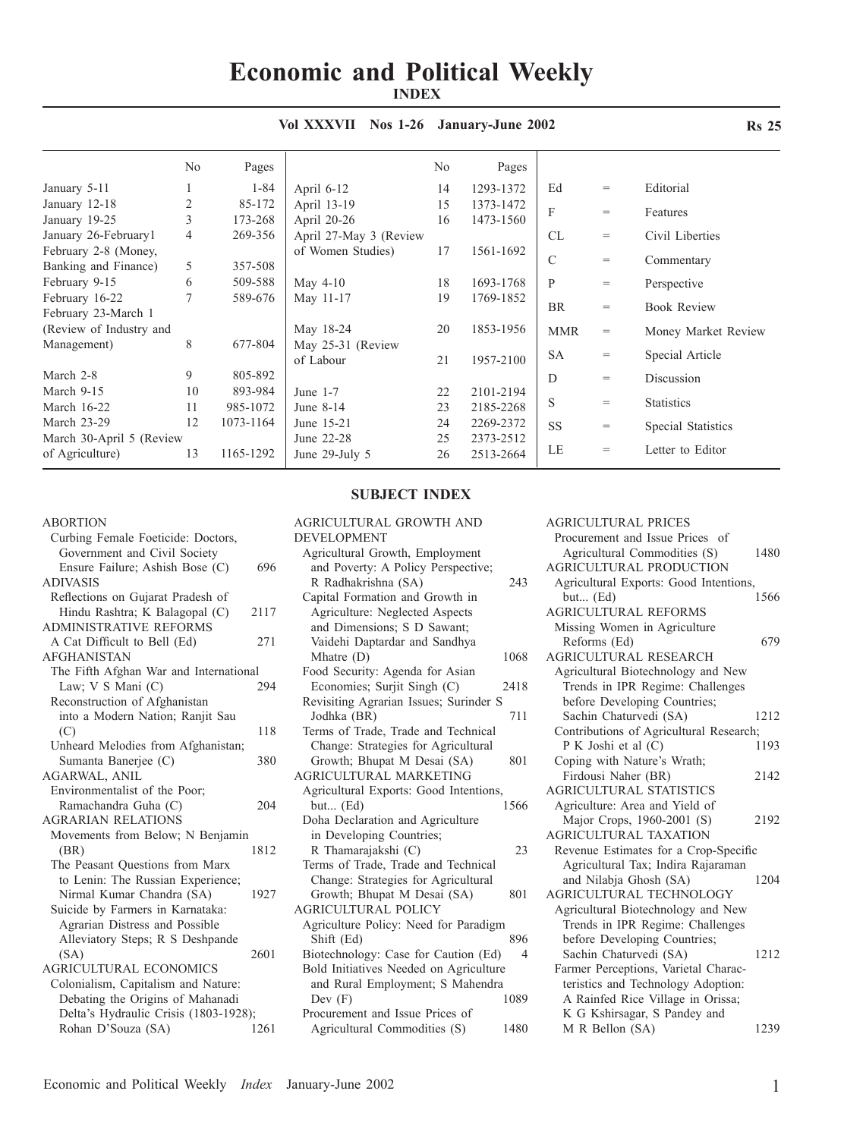# **Economic and Political Weekly INDEX**

|                          | No | Pages     |                        | No | Pages     |               |     |                     |
|--------------------------|----|-----------|------------------------|----|-----------|---------------|-----|---------------------|
| January 5-11             |    | $1 - 84$  | April $6-12$           | 14 | 1293-1372 | Ed            | $=$ | Editorial           |
| January 12-18            | 2  | 85-172    | April 13-19            | 15 | 1373-1472 | F             | $=$ | Features            |
| January 19-25            | 3  | 173-268   | April 20-26            | 16 | 1473-1560 |               |     |                     |
| January 26-February1     | 4  | 269-356   | April 27-May 3 (Review |    |           | CL            | $=$ | Civil Liberties     |
| February 2-8 (Money,     |    |           | of Women Studies)      | 17 | 1561-1692 |               |     |                     |
| Banking and Finance)     | 5  | 357-508   |                        |    |           | $\mathcal{C}$ | $=$ | Commentary          |
| February 9-15            | 6  | 509-588   | May $4-10$             | 18 | 1693-1768 | P             | $=$ | Perspective         |
| February 16-22           |    | 589-676   | May 11-17              | 19 | 1769-1852 |               |     |                     |
| February 23-March 1      |    |           |                        |    |           | <b>BR</b>     | $=$ | <b>Book Review</b>  |
| (Review of Industry and  |    |           | May 18-24              | 20 | 1853-1956 | <b>MMR</b>    | $=$ | Money Market Review |
| Management)              | 8  | 677-804   | May 25-31 (Review      |    |           |               |     |                     |
|                          |    |           | of Labour              | 21 | 1957-2100 | <b>SA</b>     | $=$ | Special Article     |
| March 2-8                | 9  | 805-892   |                        |    |           | D             | $=$ | Discussion          |
| March 9-15               | 10 | 893-984   | June $1-7$             | 22 | 2101-2194 |               |     |                     |
| March 16-22              | 11 | 985-1072  | June 8-14              | 23 | 2185-2268 | S             | $=$ | <b>Statistics</b>   |
| March 23-29              | 12 | 1073-1164 | June 15-21             | 24 | 2269-2372 | <b>SS</b>     | $=$ | Special Statistics  |
| March 30-April 5 (Review |    |           | June 22-28             | 25 | 2373-2512 |               |     |                     |
| of Agriculture)          | 13 | 1165-1292 | June 29-July 5         | 26 | 2513-2664 | LE            | $=$ | Letter to Editor    |
|                          |    |           |                        |    |           |               |     |                     |

## **Vol XXXVII Nos 1-26 January-June 2002**

### ABORTION

| Curbing Female Foeticide: Doctors,     |      |
|----------------------------------------|------|
| Government and Civil Society           |      |
| Ensure Failure; Ashish Bose (C)        | 696  |
| <b>ADIVASIS</b>                        |      |
| Reflections on Gujarat Pradesh of      |      |
| Hindu Rashtra; K Balagopal (C)         | 2117 |
| <b>ADMINISTRATIVE REFORMS</b>          |      |
| A Cat Difficult to Bell (Ed)           | 271  |
| <b>AFGHANISTAN</b>                     |      |
| The Fifth Afghan War and International |      |
| Law; V S Mani (C)                      | 294  |
| Reconstruction of Afghanistan          |      |
| into a Modern Nation; Ranjit Sau       |      |
| (C)                                    | 118  |
| Unheard Melodies from Afghanistan;     |      |
| Sumanta Banerjee (C)                   | 380  |
| AGARWAL, ANIL                          |      |
| Environmentalist of the Poor;          |      |
| Ramachandra Guha (C)                   | 204  |
| <b>AGRARIAN RELATIONS</b>              |      |
| Movements from Below; N Benjamin       |      |
| (BR)                                   | 1812 |
| The Peasant Questions from Marx        |      |
| to Lenin: The Russian Experience;      |      |
| Nirmal Kumar Chandra (SA)              | 1927 |
| Suicide by Farmers in Karnataka:       |      |
| Agrarian Distress and Possible         |      |
| Alleviatory Steps; R S Deshpande       |      |
| (SA)                                   | 2601 |
| <b>AGRICULTURAL ECONOMICS</b>          |      |
| Colonialism, Capitalism and Nature:    |      |
| Debating the Origins of Mahanadi       |      |
| Delta's Hydraulic Crisis (1803-1928);  |      |
| Rohan D'Souza (SA)                     | 1261 |

## **SUBJECT INDEX**

| AGRICULTURAL GROWTH AND                |      |
|----------------------------------------|------|
| <b>DEVELOPMENT</b>                     |      |
| Agricultural Growth, Employment        |      |
| and Poverty: A Policy Perspective;     |      |
| R Radhakrishna (SA)                    | 243  |
| Capital Formation and Growth in        |      |
| Agriculture: Neglected Aspects         |      |
| and Dimensions; S D Sawant;            |      |
| Vaidehi Daptardar and Sandhya          |      |
| Mhatre (D)                             | 1068 |
| Food Security: Agenda for Asian        |      |
| Economies; Surjit Singh (C)            | 2418 |
| Revisiting Agrarian Issues; Surinder S |      |
| Jodhka (BR)                            | 711  |
| Terms of Trade, Trade and Technical    |      |
| Change: Strategies for Agricultural    |      |
| Growth; Bhupat M Desai (SA)            | 801  |
| AGRICULTURAL MARKETING                 |      |
| Agricultural Exports: Good Intentions, |      |
| but $(Ed)$                             | 1566 |
| Doha Declaration and Agriculture       |      |
| in Developing Countries;               |      |
| R Thamarajakshi (C)                    | 23   |
| Terms of Trade, Trade and Technical    |      |
| Change: Strategies for Agricultural    |      |
| Growth; Bhupat M Desai (SA)            | 801  |
| <b>AGRICULTURAL POLICY</b>             |      |
| Agriculture Policy: Need for Paradigm  |      |
| Shift (Ed)                             | 896  |
| Biotechnology: Case for Caution (Ed)   | 4    |
| Bold Initiatives Needed on Agriculture |      |
| and Rural Employment; S Mahendra       |      |
| Dev $(F)$                              | 1089 |
| Procurement and Issue Prices of        |      |
| Agricultural Commodities (S)           | 1480 |
|                                        |      |

| <b>AGRICULTURAL PRICES</b>              |      |
|-----------------------------------------|------|
| Procurement and Issue Prices of         |      |
| Agricultural Commodities (S)            | 1480 |
| <b>AGRICULTURAL PRODUCTION</b>          |      |
| Agricultural Exports: Good Intentions,  |      |
| but $(Ed)$                              | 1566 |
| <b>AGRICULTURAL REFORMS</b>             |      |
| Missing Women in Agriculture            |      |
| Reforms (Ed)                            | 679  |
| <b>AGRICULTURAL RESEARCH</b>            |      |
| Agricultural Biotechnology and New      |      |
| Trends in IPR Regime: Challenges        |      |
| before Developing Countries;            |      |
| Sachin Chaturvedi (SA)                  | 1212 |
| Contributions of Agricultural Research; |      |
| P K Joshi et al (C)                     | 1193 |
| Coping with Nature's Wrath;             |      |
| Firdousi Naher (BR)                     | 2142 |
| <b>AGRICULTURAL STATISTICS</b>          |      |
| Agriculture: Area and Yield of          |      |
| Major Crops, 1960-2001 (S)              | 2192 |
| AGRICULTURAL TAXATION                   |      |
| Revenue Estimates for a Crop-Specific   |      |
| Agricultural Tax; Indira Rajaraman      |      |
| and Nilabja Ghosh (SA)                  | 1204 |
| AGRICULTURAL TECHNOLOGY                 |      |
| Agricultural Biotechnology and New      |      |
| Trends in IPR Regime: Challenges        |      |
| before Developing Countries;            |      |
| Sachin Chaturvedi (SA)                  | 1212 |
| Farmer Perceptions, Varietal Charac-    |      |
| teristics and Technology Adoption:      |      |
| A Rainfed Rice Village in Orissa;       |      |
| K G Kshirsagar, S Pandey and            |      |
| M R Bellon (SA)                         | 1239 |

**Rs 25**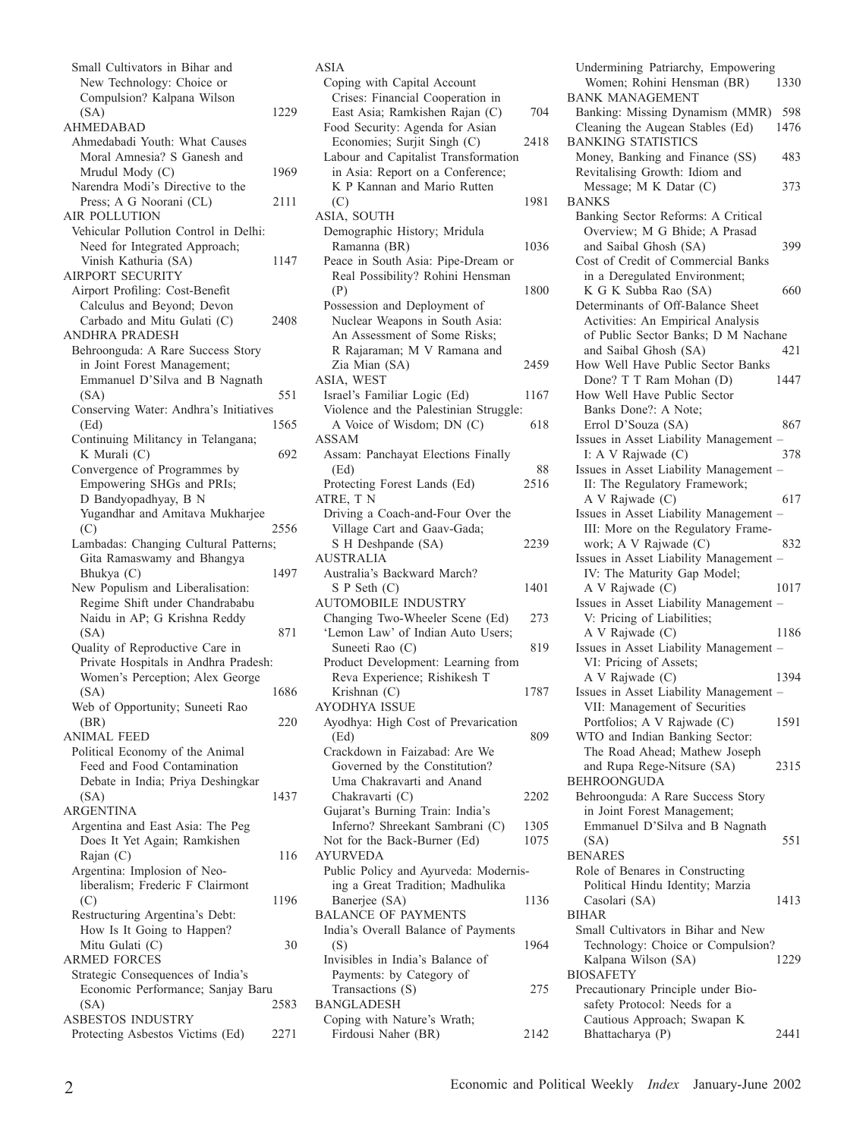| Small Cultivators in Bihar and                  |      |
|-------------------------------------------------|------|
| New Technology: Choice or                       |      |
| Compulsion? Kalpana Wilson                      |      |
| (SA)                                            | 1229 |
| <b>AHMEDABAD</b>                                |      |
| Ahmedabadi Youth: What Causes                   |      |
| Moral Amnesia? S Ganesh and                     |      |
| Mrudul Mody (C)                                 | 1969 |
| Narendra Modi's Directive to the                |      |
| Press; A G Noorani (CL)                         | 2111 |
| <b>AIR POLLUTION</b>                            |      |
| Vehicular Pollution Control in Delhi:           |      |
| Need for Integrated Approach;                   | 1147 |
| Vinish Kathuria (SA)<br><b>AIRPORT SECURITY</b> |      |
| Airport Profiling: Cost-Benefit                 |      |
| Calculus and Beyond; Devon                      |      |
| Carbado and Mitu Gulati (C)                     | 2408 |
| <b>ANDHRA PRADESH</b>                           |      |
| Behroonguda: A Rare Success Story               |      |
| in Joint Forest Management;                     |      |
| Emmanuel D'Silva and B Nagnath                  |      |
| (SA)                                            | 551  |
| Conserving Water: Andhra's Initiatives          |      |
| (Ed)                                            | 1565 |
| Continuing Militancy in Telangana;              |      |
| K Murali (C)                                    | 692  |
| Convergence of Programmes by                    |      |
| Empowering SHGs and PRIs;                       |      |
| D Bandyopadhyay, B N                            |      |
| Yugandhar and Amitava Mukharjee                 |      |
| (C)                                             | 2556 |
| Lambadas: Changing Cultural Patterns;           |      |
| Gita Ramaswamy and Bhangya                      |      |
| Bhukya (C)                                      | 1497 |
| New Populism and Liberalisation:                |      |
| Regime Shift under Chandrababu                  |      |
| Naidu in AP; G Krishna Reddy                    |      |
| (SA)                                            | 871  |
| Quality of Reproductive Care in                 |      |
| Private Hospitals in Andhra Pradesh:            |      |
| Women's Perception; Alex George                 |      |
| (SA)                                            | 1686 |
| Web of Opportunity; Suneeti Rao                 | 220  |
| (BR)<br><b>ANIMAL FEED</b>                      |      |
| Political Economy of the Animal                 |      |
| Feed and Food Contamination                     |      |
| Debate in India; Priya Deshingkar               |      |
| (SA)                                            | 1437 |
| <b>ARGENTINA</b>                                |      |
| Argentina and East Asia: The Peg                |      |
| Does It Yet Again; Ramkishen                    |      |
| Rajan (C)                                       | 116  |
| Argentina: Implosion of Neo-                    |      |
| liberalism; Frederic F Clairmont                |      |
| (C)                                             | 1196 |
| Restructuring Argentina's Debt:                 |      |
| How Is It Going to Happen?                      |      |
| Mitu Gulati (C)                                 | 30   |
| <b>ARMED FORCES</b>                             |      |
| Strategic Consequences of India's               |      |
| Economic Performance; Sanjay Baru               |      |
| (SA)                                            | 2583 |
| ASBESTOS INDUSTRY                               |      |
| Protecting Asbestos Victims (Ed)                | 2271 |

| ASIA                                                            |      |
|-----------------------------------------------------------------|------|
| Coping with Capital Account                                     |      |
| Crises: Financial Cooperation in                                |      |
| East Asia; Ramkishen Rajan (C)                                  | 704  |
| Food Security: Agenda for Asian                                 |      |
| Economies; Surjit Singh (C)                                     | 2418 |
| Labour and Capitalist Transformation                            |      |
| in Asia: Report on a Conference;<br>K P Kannan and Mario Rutten |      |
|                                                                 |      |
| (C)                                                             | 1981 |
| ASIA, SOUTH<br>Demographic History; Mridula                     |      |
| Ramanna (BR)                                                    | 1036 |
| Peace in South Asia: Pipe-Dream or                              |      |
| Real Possibility? Rohini Hensman                                |      |
| (P)                                                             | 1800 |
| Possession and Deployment of                                    |      |
| Nuclear Weapons in South Asia:                                  |      |
| An Assessment of Some Risks;                                    |      |
| R Rajaraman; M V Ramana and                                     |      |
| Zia Mian (SA)                                                   | 2459 |
| ASIA, WEST                                                      |      |
| Israel's Familiar Logic (Ed)                                    | 1167 |
| Violence and the Palestinian Struggle:                          |      |
| A Voice of Wisdom; DN (C)                                       | 618  |
| ASSAM                                                           |      |
| Assam: Panchayat Elections Finally                              |      |
| (Ed)                                                            | 88   |
| Protecting Forest Lands (Ed)                                    | 2516 |
| ATRE, TN                                                        |      |
| Driving a Coach-and-Four Over the                               |      |
| Village Cart and Gaav-Gada;                                     |      |
| S H Deshpande (SA)                                              | 2239 |
| <b>AUSTRALIA</b>                                                |      |
| Australia's Backward March?                                     |      |
| S P Seth (C)                                                    | 1401 |
| <b>AUTOMOBILE INDUSTRY</b>                                      |      |
| Changing Two-Wheeler Scene (Ed)                                 | 273  |
| 'Lemon Law' of Indian Auto Users;                               |      |
| Suneeti Rao (C)                                                 | 819  |
| Product Development: Learning from                              |      |
| Reva Experience; Rishikesh T                                    |      |
| Krishnan (C)                                                    | 1787 |
| <b>AYODHYA ISSUE</b>                                            |      |
| Ayodhya: High Cost of Prevarication                             |      |
| (Ed)                                                            | 809  |
| Crackdown in Faizabad: Are We                                   |      |
| Governed by the Constitution?                                   |      |
| Uma Chakravarti and Anand                                       |      |
| Chakravarti (C)                                                 | 2202 |
| Gujarat's Burning Train: India's                                |      |
| Inferno? Shreekant Sambrani (C)                                 | 1305 |
| Not for the Back-Burner (Ed)                                    | 1075 |
| AYURVEDA                                                        |      |
| Public Policy and Ayurveda: Modernis-                           |      |
| ing a Great Tradition; Madhulika                                |      |
| Banerjee (SA)                                                   | 1136 |
| <b>BALANCE OF PAYMENTS</b>                                      |      |
| India's Overall Balance of Payments                             | 1964 |
| (S)<br>Invisibles in India's Balance of                         |      |
| Payments: by Category of                                        |      |
| Transactions (S)                                                | 275  |
| <b>BANGLADESH</b>                                               |      |
| Coping with Nature's Wrath;                                     |      |
| Firdousi Naher (BR)                                             | 2142 |
|                                                                 |      |

Undermining Patriarchy, Empowering<br>Women, Rohini Hensman (BR) 1330 Women; Rohini Hensman (BR) BANK MANAGEMENT Banking: Missing Dynamism (MMR) 598<br>Cleaning the Augean Stables (Ed) 1476 Cleaning the Augean Stables (Ed) BANKING STATISTICS Money, Banking and Finance (SS) 483 Revitalising Growth: Idiom and Message; M K Datar (C) 373 BANKS Banking Sector Reforms: A Critical Overview; M G Bhide; A Prasad and Saibal Ghosh (SA) 399 Cost of Credit of Commercial Banks in a Deregulated Environment; K G K Subba Rao (SA) 660 Determinants of Off-Balance Sheet Activities: An Empirical Analysis of Public Sector Banks; D M Nachane and Saibal Ghosh (SA) 421 How Well Have Public Sector Banks Done? T T Ram Mohan (D) 1447 How Well Have Public Sector Banks Done?: A Note; Errol D'Souza (SA) 867 Issues in Asset Liability Management – I: A V Rajwade (C) 378 Issues in Asset Liability Management – II: The Regulatory Framework; A V Rajwade (C) 617 Issues in Asset Liability Management – III: More on the Regulatory Framework; A V Rajwade (C) 832 Issues in Asset Liability Management – IV: The Maturity Gap Model; A V Rajwade (C) 1017 Issues in Asset Liability Management – V: Pricing of Liabilities; A V Rajwade (C) 1186 Issues in Asset Liability Management – VI: Pricing of Assets; A V Rajwade (C) 1394 Issues in Asset Liability Management – VII: Management of Securities Portfolios; A V Rajwade (C) 1591 WTO and Indian Banking Sector: The Road Ahead; Mathew Joseph and Rupa Rege-Nitsure (SA) 2315 BEHROONGUDA Behroonguda: A Rare Success Story in Joint Forest Management; Emmanuel D'Silva and B Nagnath (SA) 551 BENARES Role of Benares in Constructing Political Hindu Identity; Marzia Casolari (SA) 1413 BIHAR Small Cultivators in Bihar and New Technology: Choice or Compulsion?<br>Kalpana Wilson (SA) 1229 Kalpana Wilson (SA) BIOSAFETY Precautionary Principle under Biosafety Protocol: Needs for a Cautious Approach; Swapan K Bhattacharya (P) 2441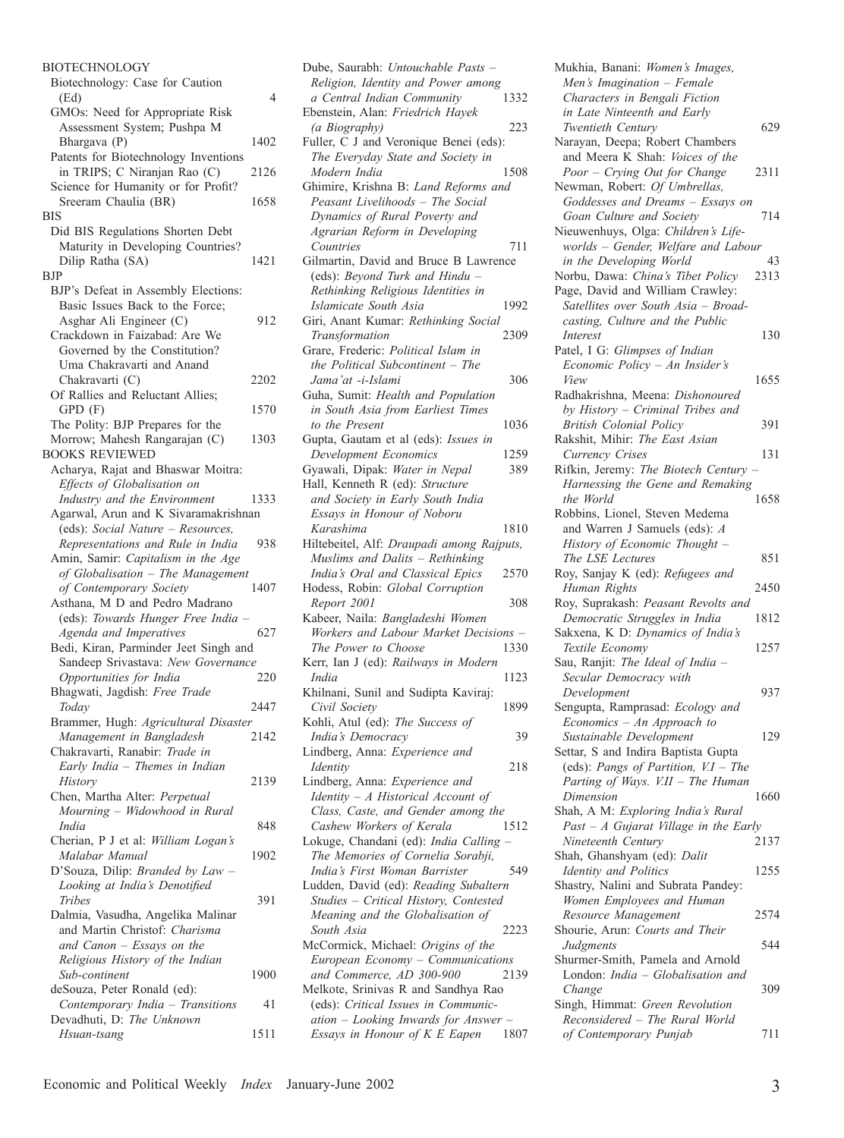| <b>BIOTECHNOLOGY</b>                                            |      |
|-----------------------------------------------------------------|------|
| Biotechnology: Case for Caution                                 |      |
| (Ed)                                                            | 4    |
| GMOs: Need for Appropriate Risk                                 |      |
| Assessment System; Pushpa M                                     |      |
| Bhargava (P)                                                    | 1402 |
| Patents for Biotechnology Inventions                            |      |
| in TRIPS; C Niranjan Rao (C)                                    | 2126 |
| Science for Humanity or for Profit?<br>Sreeram Chaulia (BR)     | 1658 |
| BIS                                                             |      |
| Did BIS Regulations Shorten Debt                                |      |
| Maturity in Developing Countries?                               |      |
| Dilip Ratha (SA)                                                | 1421 |
| BJP                                                             |      |
| BJP's Defeat in Assembly Elections:                             |      |
| Basic Issues Back to the Force;                                 |      |
| Asghar Ali Engineer (C)                                         | 912  |
| Crackdown in Faizabad: Are We                                   |      |
| Governed by the Constitution?                                   |      |
| Uma Chakravarti and Anand                                       |      |
| Chakravarti (C)                                                 | 2202 |
| Of Rallies and Reluctant Allies;                                |      |
| GPD (F)                                                         | 1570 |
| The Polity: BJP Prepares for the                                |      |
| Morrow; Mahesh Rangarajan (C)                                   | 1303 |
| <b>BOOKS REVIEWED</b>                                           |      |
| Acharya, Rajat and Bhaswar Moitra:                              |      |
| Effects of Globalisation on                                     |      |
| Industry and the Environment                                    | 1333 |
| Agarwal, Arun and K Sivaramakrishnan                            |      |
| (eds): Social Nature - Resources,                               |      |
| Representations and Rule in India                               | 938  |
| Amin, Samir: Capitalism in the Age                              |      |
| of Globalisation - The Management<br>of Contemporary Society    | 1407 |
| Asthana, M D and Pedro Madrano                                  |      |
| (eds): Towards Hunger Free India -                              |      |
| Agenda and Imperatives                                          | 627  |
| Bedi, Kiran, Parminder Jeet Singh and                           |      |
| Sandeep Srivastava: New Governance                              |      |
| Opportunities for India                                         | 220  |
| Bhagwati, Jagdish: Free Trade                                   |      |
| Today                                                           | 2447 |
| Brammer, Hugh: Agricultural Disaster                            |      |
| Management in Bangladesh                                        | 2142 |
| Chakravarti, Ranabir: Trade in                                  |      |
| Early India - Themes in Indian                                  |      |
| History                                                         | 2139 |
| Chen, Martha Alter: Perpetual                                   |      |
| Mourning - Widowhood in Rural                                   |      |
| India                                                           | 848  |
| Cherian, P J et al: William Logan's                             |      |
| Malabar Manual                                                  | 1902 |
| D'Souza, Dilip: Branded by Law -                                |      |
| Looking at India's Denotified                                   |      |
| Tribes                                                          | 391  |
| Dalmia, Vasudha, Angelika Malinar                               |      |
| and Martin Christof: Charisma                                   |      |
| and Canon - Essays on the                                       |      |
| Religious History of the Indian<br>Sub-continent                | 1900 |
|                                                                 |      |
| deSouza, Peter Ronald (ed):<br>Contemporary India - Transitions | 41   |
| Devadhuti, D: The Unknown                                       |      |
| Hsuan-tsang                                                     | 1511 |
|                                                                 |      |

| Dube, Saurabh: Untouchable Pasts -                                            |
|-------------------------------------------------------------------------------|
| Religion, Identity and Power among<br>a Central Indian Community<br>1332      |
| Ebenstein, Alan: Friedrich Hayek                                              |
| (a Biography)<br>223<br>Fuller, C J and Veronique Benei (eds):                |
| The Everyday State and Society in                                             |
| Modern India<br>1508<br>Ghimire, Krishna B: Land Reforms and                  |
| Peasant Livelihoods - The Social                                              |
| Dynamics of Rural Poverty and                                                 |
| Agrarian Reform in Developing<br>Countries<br>711                             |
| Gilmartin, David and Bruce B Lawrence                                         |
| (eds): Beyond Turk and Hindu -<br>Rethinking Religious Identities in          |
| Islamicate South Asia<br>1992                                                 |
| Giri, Anant Kumar: Rethinking Social                                          |
| 2309<br>Transformation<br>Grare, Frederic: Political Islam in                 |
| the Political Subcontinent - The                                              |
| Jama'at -i-Islami<br>306<br>Guha, Sumit: Health and Population                |
| in South Asia from Earliest Times                                             |
| to the Present<br>1036                                                        |
| Gupta, Gautam et al (eds): Issues in<br>Development Economics<br>1259         |
| Gyawali, Dipak: Water in Nepal<br>389                                         |
| Hall, Kenneth R (ed): Structure                                               |
| and Society in Early South India<br>Essays in Honour of Noboru                |
| Karashima<br>1810                                                             |
| Hiltebeitel, Alf: Draupadi among Rajputs,<br>Muslims and Dalits - Rethinking  |
| India's Oral and Classical Epics<br>2570                                      |
| Hodess, Robin: Global Corruption                                              |
| Report 2001<br>308<br>Kabeer, Naila: Bangladeshi Women                        |
| Workers and Labour Market Decisions -                                         |
| The Power to Choose<br>1330<br>Kerr, Ian J (ed): Railways in Modern           |
| India<br>1123                                                                 |
| Khilnani, Sunil and Sudipta Kaviraj:                                          |
| Civil Society<br>1899<br>Kohli, Atul (ed): The Success of                     |
| 39<br>India's Democracy                                                       |
| Lindberg, Anna: Experience and<br>218                                         |
| Identity<br>Lindberg, Anna: Experience and                                    |
| Identity - A Historical Account of                                            |
| Class, Caste, and Gender among the<br>Cashew Workers of Kerala<br>1512        |
| Lokuge, Chandani (ed): India Calling -                                        |
| The Memories of Cornelia Sorabji,                                             |
| India's First Woman Barrister<br>549<br>Ludden, David (ed): Reading Subaltern |
| Studies - Critical History, Contested                                         |
| Meaning and the Globalisation of<br>South Asia<br>2223                        |
| McCormick, Michael: Origins of the                                            |
| European Economy - Communications                                             |
| and Commerce, AD 300-900<br>2139<br>Melkote, Srinivas R and Sandhya Rao       |
| (eds): Critical Issues in Communic-                                           |
| ation - Looking Inwards for Answer -<br>Essays in Honour of K E Eapen<br>1807 |
|                                                                               |

| Mukhia, Banani: Women's Images,                                    |      |
|--------------------------------------------------------------------|------|
| Men's Imagination - Female                                         |      |
| Characters in Bengali Fiction                                      |      |
| in Late Ninteenth and Early                                        |      |
| Twentieth Century<br>Narayan, Deepa; Robert Chambers               | 629  |
| and Meera K Shah: Voices of the                                    |      |
| Poor - Crying Out for Change                                       | 2311 |
| Newman, Robert: Of Umbrellas,                                      |      |
| Goddesses and Dreams - Essays on                                   |      |
| Goan Culture and Society                                           | 714  |
| Nieuwenhuys, Olga: Children's Life-                                |      |
| worlds - Gender, Welfare and Labour<br>in the Developing World     | 43   |
| Norbu, Dawa: China's Tibet Policy                                  | 2313 |
| Page, David and William Crawley:                                   |      |
| Satellites over South Asia - Broad-                                |      |
| casting, Culture and the Public                                    |      |
| Interest                                                           | 130  |
| Patel, I G: Glimpses of Indian                                     |      |
| Economic Policy - An Insider's<br>View                             | 1655 |
| Radhakrishna, Meena: Dishonoured                                   |      |
| by History - Criminal Tribes and                                   |      |
| <b>British Colonial Policy</b>                                     | 391  |
| Rakshit, Mihir: The East Asian                                     |      |
| Currency Crises                                                    | 131  |
| Rifkin, Jeremy: The Biotech Century                                |      |
| Harnessing the Gene and Remaking                                   |      |
| the World<br>Robbins, Lionel, Steven Medema                        | 1658 |
| and Warren J Samuels (eds): A                                      |      |
| History of Economic Thought -                                      |      |
| The LSE Lectures                                                   | 851  |
| Roy, Sanjay K (ed): Refugees and                                   |      |
| Human Rights                                                       | 2450 |
| Roy, Suprakash: Peasant Revolts and                                |      |
| Democratic Struggles in India<br>Sakxena, K D: Dynamics of India's | 1812 |
| Textile Economy                                                    | 1257 |
| Sau, Ranjit: The Ideal of India -                                  |      |
| Secular Democracy with                                             |      |
| Development                                                        | 937  |
| Sengupta, Ramprasad: Ecology and                                   |      |
| $Economics - An Approach to$                                       |      |
| Sustainable Development<br>Settar, S and Indira Baptista Gupta     | 129  |
| (eds): Pangs of Partition, V.I - The                               |      |
| Parting of Ways. V.II - The Human                                  |      |
| Dimension                                                          | 1660 |
| Shah, A M: Exploring India's Rural                                 |      |
| $Fast - A$ Gujarat Village in the Early                            |      |
| Nineteenth Century<br>Shah, Ghanshyam (ed): Dalit                  | 2137 |
| Identity and Politics                                              | 1255 |
| Shastry, Nalini and Subrata Pandey:                                |      |
| Women Employees and Human                                          |      |
| Resource Management                                                | 2574 |
|                                                                    |      |
| Shourie, Arun: Courts and Their                                    |      |
| Judgments                                                          | 544  |
| Shurmer-Smith, Pamela and Arnold                                   |      |
| London: India - Globalisation and                                  |      |
| Change                                                             | 309  |
| Singh, Himmat: Green Revolution<br>Reconsidered - The Rural World  |      |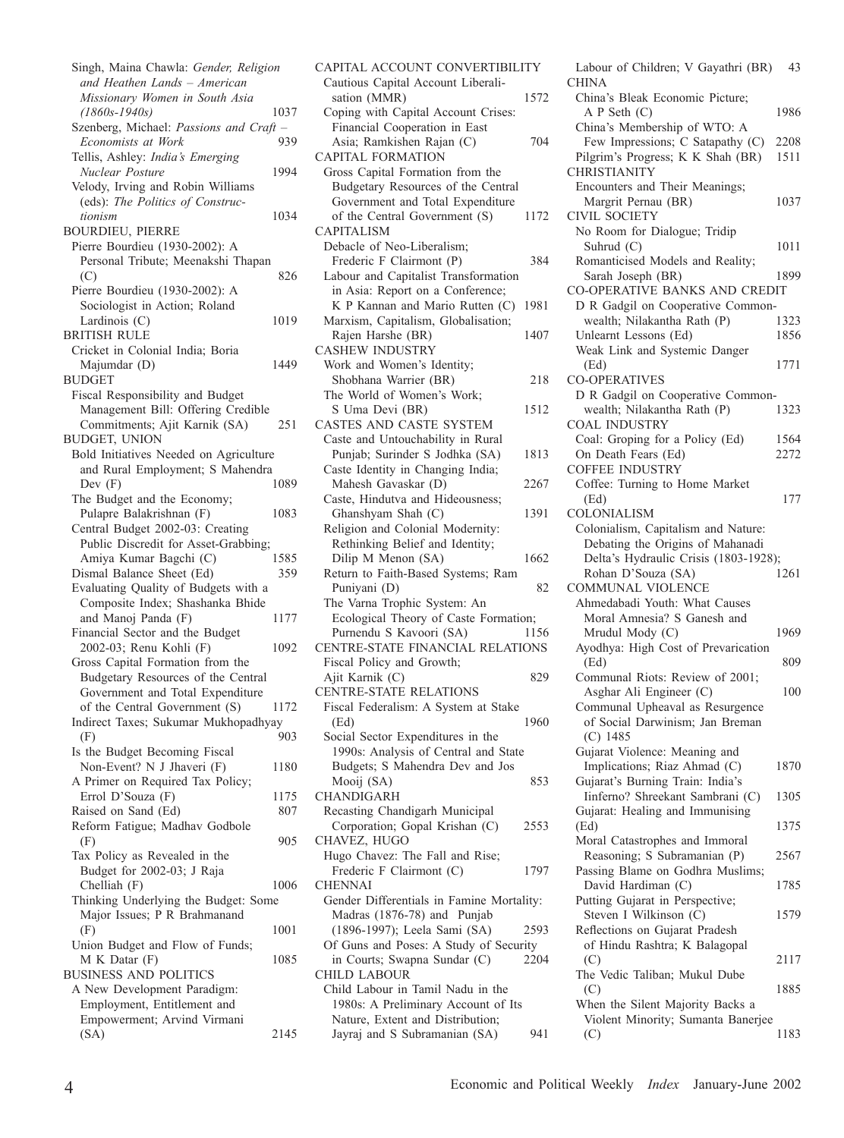Singh, Maina Chawla: *Gender, Religion and Heathen Lands – American Missionary Women in South Asia (1860s-1940s)* 1037 Szenberg, Michael: *Passions and Craft –*  $E$ conomists at Work Tellis, Ashley: *India's Emerging Nuclear Posture* 1994 Velody, Irving and Robin Williams (eds): *The Politics of Constructionism* 1034 BOURDIEU, PIERRE Pierre Bourdieu (1930-2002): A Personal Tribute; Meenakshi Thapan  $(C)$  826 Pierre Bourdieu (1930-2002): A Sociologist in Action; Roland Lardinois (C) 1019 BRITISH RULE Cricket in Colonial India; Boria Majumdar (D) 1449 BUDGET Fiscal Responsibility and Budget Management Bill: Offering Credible Commitments; Ajit Karnik (SA) 251 BUDGET, UNION Bold Initiatives Needed on Agriculture and Rural Employment; S Mahendra Dev (F) 1089 The Budget and the Economy; Pulapre Balakrishnan (F) 1083 Central Budget 2002-03: Creating Public Discredit for Asset-Grabbing; Amiya Kumar Bagchi (C) 1585 Dismal Balance Sheet (Ed) 359 Evaluating Quality of Budgets with a Composite Index; Shashanka Bhide and Manoj Panda (F) 1177 Financial Sector and the Budget 2002-03; Renu Kohli (F) 1092 Gross Capital Formation from the Budgetary Resources of the Central Government and Total Expenditure of the Central Government (S) 1172 Indirect Taxes; Sukumar Mukhopadhyay (F) 903 Is the Budget Becoming Fiscal Non-Event? N J Jhaveri (F) 1180 A Primer on Required Tax Policy; Errol D'Souza (F) 1175 Raised on Sand (Ed) 807 Reform Fatigue; Madhav Godbole (F) 905 Tax Policy as Revealed in the Budget for 2002-03; J Raja Chelliah (F) 1006 Thinking Underlying the Budget: Some Major Issues; P R Brahmanand (F) 1001 Union Budget and Flow of Funds; M K Datar (F) 1085 BUSINESS AND POLITICS A New Development Paradigm: Employment, Entitlement and Empowerment; Arvind Virmani (SA) 2145

CAPITAL ACCOUNT CONVERTIBILITY Cautious Capital Account Liberalisation (MMR) 1572 Coping with Capital Account Crises: Financial Cooperation in East Asia; Ramkishen Rajan (C) 704 CAPITAL FORMATION Gross Capital Formation from the Budgetary Resources of the Central Government and Total Expenditure of the Central Government (S) 1172 CAPITALISM Debacle of Neo-Liberalism; Frederic F Clairmont (P) 384 Labour and Capitalist Transformation in Asia: Report on a Conference; K P Kannan and Mario Rutten (C) 1981 Marxism, Capitalism, Globalisation; Rajen Harshe (BR) 1407 CASHEW INDUSTRY Work and Women's Identity; Shobhana Warrier (BR) 218 The World of Women's Work; S Uma Devi (BR) 1512 CASTES AND CASTE SYSTEM Caste and Untouchability in Rural Punjab; Surinder S Jodhka (SA) 1813 Caste Identity in Changing India; Mahesh Gavaskar (D) 2267 Caste, Hindutva and Hideousness; Ghanshyam Shah (C) 1391 Religion and Colonial Modernity: Rethinking Belief and Identity; Dilip M Menon (SA) 1662 Return to Faith-Based Systems; Ram Puniyani (D) 82 The Varna Trophic System: An Ecological Theory of Caste Formation; Purnendu S Kavoori (SA) 1156 CENTRE-STATE FINANCIAL RELATIONS Fiscal Policy and Growth; Ajit Karnik (C) 829 CENTRE-STATE RELATIONS Fiscal Federalism: A System at Stake (Ed) 1960 Social Sector Expenditures in the 1990s: Analysis of Central and State Budgets; S Mahendra Dev and Jos Mooij (SA) 853 CHANDIGARH Recasting Chandigarh Municipal Corporation; Gopal Krishan (C) 2553 CHAVEZ, HUGO Hugo Chavez: The Fall and Rise; Frederic F Clairmont (C) 1797 **CHENNAI** Gender Differentials in Famine Mortality: Madras (1876-78) and Punjab (1896-1997); Leela Sami (SA) 2593 Of Guns and Poses: A Study of Security in Courts; Swapna Sundar (C) 2204 CHILD LABOUR Child Labour in Tamil Nadu in the 1980s: A Preliminary Account of Its Nature, Extent and Distribution; Jayraj and S Subramanian (SA) 941

Labour of Children; V Gayathri (BR) 43 **CHINA** China's Bleak Economic Picture; A P Seth (C) 1986 China's Membership of WTO: A Few Impressions; C Satapathy (C) 2208 Pilgrim's Progress; K K Shah (BR) 1511 CHRISTIANITY Encounters and Their Meanings; Margrit Pernau (BR) 1037 CIVIL SOCIETY No Room for Dialogue; Tridip Suhrud (C) 1011 Romanticised Models and Reality; Sarah Joseph (BR) 1899 CO-OPERATIVE BANKS AND CREDIT D R Gadgil on Cooperative Common-<br>wealth: Nilakantha Rath (P) 1323 wealth; Nilakantha Rath (P) Unlearnt Lessons (Ed) 1856 Weak Link and Systemic Danger (Ed) 1771 CO-OPERATIVES D R Gadgil on Cooperative Common-<br>wealth: Nilakantha Rath (P) 1323 wealth; Nilakantha Rath (P) COAL INDUSTRY Coal: Groping for a Policy (Ed) 1564 On Death Fears (Ed) 2272 COFFEE INDUSTRY Coffee: Turning to Home Market (Ed) 177 COLONIALISM Colonialism, Capitalism and Nature: Debating the Origins of Mahanadi Delta's Hydraulic Crisis (1803-1928); Rohan D'Souza (SA) 1261 COMMUNAL VIOLENCE Ahmedabadi Youth: What Causes Moral Amnesia? S Ganesh and Mrudul Mody (C) 1969 Ayodhya: High Cost of Prevarication (Ed) 809 Communal Riots: Review of 2001; Asghar Ali Engineer (C) 100 Communal Upheaval as Resurgence of Social Darwinism; Jan Breman (C) 1485 Gujarat Violence: Meaning and Implications; Riaz Ahmad (C) 1870 Gujarat's Burning Train: India's Iinferno? Shreekant Sambrani (C) 1305 Gujarat: Healing and Immunising (Ed) 1375 Moral Catastrophes and Immoral Reasoning; S Subramanian (P) 2567 Passing Blame on Godhra Muslims; David Hardiman (C) 1785 Putting Gujarat in Perspective; Steven I Wilkinson (C) 1579 Reflections on Gujarat Pradesh of Hindu Rashtra; K Balagopal (C) 2117 The Vedic Taliban; Mukul Dube (C) 1885 When the Silent Majority Backs a Violent Minority; Sumanta Banerjee (C) 1183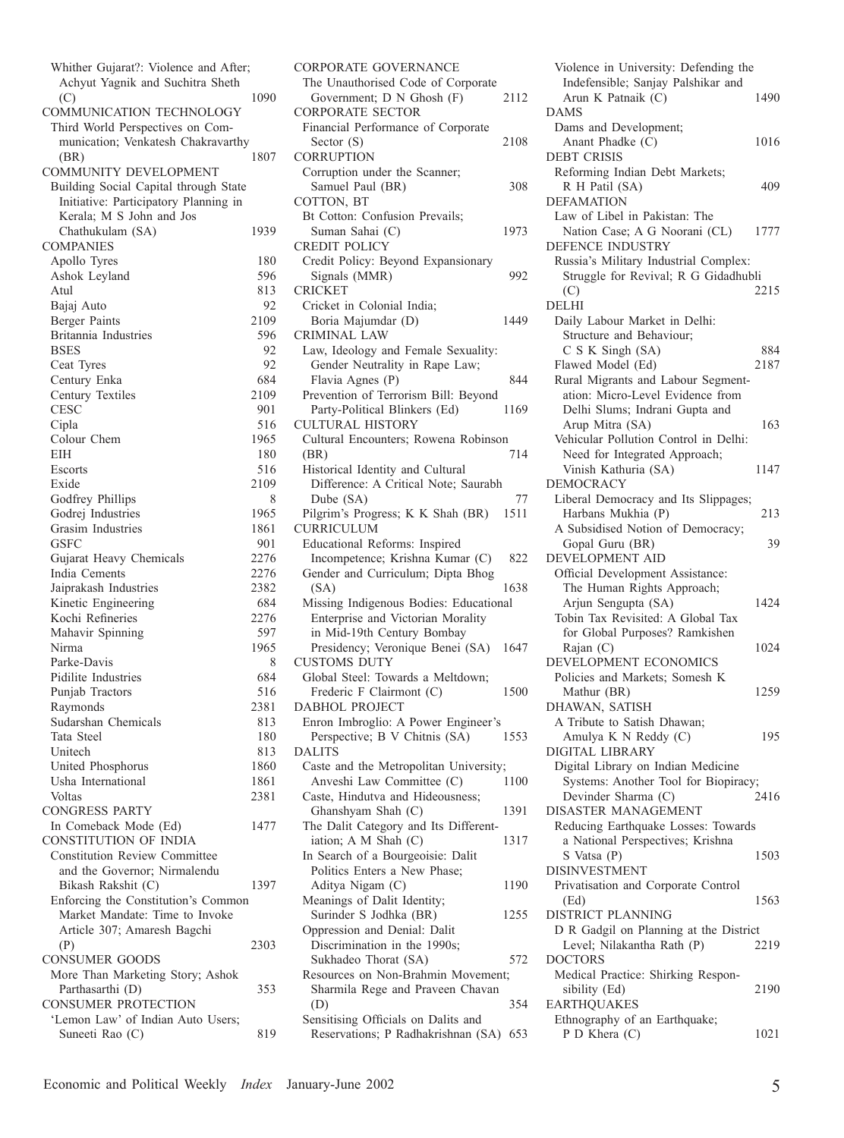| Whither Gujarat?: Violence and After; |      |
|---------------------------------------|------|
| Achyut Yagnik and Suchitra Sheth      |      |
| (C)                                   | 1090 |
| COMMUNICATION TECHNOLOGY              |      |
| Third World Perspectives on Com-      |      |
| munication; Venkatesh Chakravarthy    |      |
| (BR)                                  | 1807 |
| COMMUNITY DEVELOPMENT                 |      |
| Building Social Capital through State |      |
| Initiative: Participatory Planning in |      |
| Kerala; M S John and Jos              |      |
|                                       | 1939 |
| Chathukulam (SA)                      |      |
| <b>COMPANIES</b>                      |      |
| Apollo Tyres                          | 180  |
| Ashok Leyland                         | 596  |
| Atul                                  | 813  |
| Bajaj Auto                            | 92   |
| <b>Berger Paints</b>                  | 2109 |
| Britannia Industries                  | 596  |
| <b>BSES</b>                           | 92   |
| Ceat Tyres                            | 92   |
| Century Enka                          | 684  |
| Century Textiles                      | 2109 |
| <b>CESC</b>                           | 901  |
| Cipla                                 | 516  |
| Colour Chem                           |      |
|                                       | 1965 |
| EIH                                   | 180  |
| Escorts                               | 516  |
| Exide                                 | 2109 |
| Godfrey Phillips                      | 8    |
| Godrej Industries                     | 1965 |
| Grasim Industries                     | 1861 |
| <b>GSFC</b>                           | 901  |
| Gujarat Heavy Chemicals               | 2276 |
| India Cements                         | 2276 |
| Jaiprakash Industries                 | 2382 |
| Kinetic Engineering                   | 684  |
| Kochi Refineries                      | 2276 |
| Mahavir Spinning                      | 597  |
| Nirma                                 | 1965 |
| Parke-Davis                           | 8    |
| Pidilite Industries                   | 684  |
| Punjab Tractors                       |      |
|                                       | 516  |
| Raymonds                              | 2381 |
| Sudarshan Chemicals                   | 813  |
| Tata Steel                            | 180  |
| Unitech                               | 813  |
| United Phosphorus                     | 1860 |
| Usha International                    | 1861 |
| Voltas                                | 2381 |
| <b>CONGRESS PARTY</b>                 |      |
| In Comeback Mode (Ed)                 | 1477 |
| <b>CONSTITUTION OF INDIA</b>          |      |
| <b>Constitution Review Committee</b>  |      |
| and the Governor; Nirmalendu          |      |
| Bikash Rakshit (C)                    | 1397 |
| Enforcing the Constitution's Common   |      |
| Market Mandate: Time to Invoke        |      |
|                                       |      |
| Article 307; Amaresh Bagchi           |      |
| (P)                                   | 2303 |
| <b>CONSUMER GOODS</b>                 |      |
| More Than Marketing Story; Ashok      |      |
| Parthasarthi (D)                      | 353  |
| <b>CONSUMER PROTECTION</b>            |      |
| 'Lemon Law' of Indian Auto Users;     |      |
| Suneeti Rao (C)                       | 819  |

| <b>CORPORATE GOVERNANCE</b>                                               |      |
|---------------------------------------------------------------------------|------|
| The Unauthorised Code of Corporate                                        |      |
| Government; D N Ghosh (F)                                                 | 2112 |
| <b>CORPORATE SECTOR</b>                                                   |      |
| Financial Performance of Corporate<br>Sector (S)                          | 2108 |
| <b>CORRUPTION</b>                                                         |      |
| Corruption under the Scanner;                                             |      |
| Samuel Paul (BR)                                                          | 308  |
| COTTON, BT                                                                |      |
| Bt Cotton: Confusion Prevails;                                            |      |
| Suman Sahai (C)                                                           | 1973 |
| <b>CREDIT POLICY</b>                                                      |      |
| Credit Policy: Beyond Expansionary                                        |      |
| Signals (MMR)                                                             | 992  |
| <b>CRICKET</b>                                                            |      |
| Cricket in Colonial India;                                                |      |
| Boria Majumdar (D)                                                        | 1449 |
| <b>CRIMINAL LAW</b>                                                       |      |
| Law, Ideology and Female Sexuality:                                       |      |
| Gender Neutrality in Rape Law;                                            | 844  |
| Flavia Agnes (P)<br>Prevention of Terrorism Bill: Beyond                  |      |
| Party-Political Blinkers (Ed)                                             | 1169 |
| <b>CULTURAL HISTORY</b>                                                   |      |
| Cultural Encounters; Rowena Robinson                                      |      |
| (BR)                                                                      | 714  |
| Historical Identity and Cultural                                          |      |
| Difference: A Critical Note; Saurabh                                      |      |
| Dube (SA)                                                                 | 77   |
| Pilgrim's Progress; K K Shah (BR)                                         | 1511 |
| <b>CURRICULUM</b>                                                         |      |
| <b>Educational Reforms: Inspired</b>                                      |      |
|                                                                           |      |
| Incompetence; Krishna Kumar (C)                                           | 822  |
| Gender and Curriculum; Dipta Bhog                                         |      |
| (SA)                                                                      | 1638 |
| Missing Indigenous Bodies: Educational                                    |      |
| Enterprise and Victorian Morality                                         |      |
| in Mid-19th Century Bombay                                                |      |
| Presidency; Veronique Benei (SA) 1647                                     |      |
| <b>CUSTOMS DUTY</b>                                                       |      |
| Global Steel: Towards a Meltdown;                                         |      |
| Frederic F Clairmont (C)                                                  | 1500 |
| DABHOL PROJECT                                                            |      |
| Enron Imbroglio: A Power Engineer's                                       | 1553 |
| Perspective; B V Chitnis (SA)<br><b>DALITS</b>                            |      |
| Caste and the Metropolitan University;                                    |      |
| Anveshi Law Committee (C)                                                 | 1100 |
| Caste, Hindutva and Hideousness;                                          |      |
| Ghanshyam Shah (C)                                                        | 1391 |
| The Dalit Category and Its Different-                                     |      |
| iation; A M Shah (C)                                                      | 1317 |
| In Search of a Bourgeoisie: Dalit                                         |      |
| Politics Enters a New Phase;                                              |      |
| Aditya Nigam (C)                                                          | 1190 |
| Meanings of Dalit Identity;                                               |      |
| Surinder S Jodhka (BR)                                                    | 1255 |
| Oppression and Denial: Dalit                                              |      |
| Discrimination in the 1990s;                                              | 572  |
| Sukhadeo Thorat (SA)<br>Resources on Non-Brahmin Movement;                |      |
| Sharmila Rege and Praveen Chavan                                          |      |
| (D)                                                                       | 354  |
| Sensitising Officials on Dalits and<br>Reservations; P Radhakrishnan (SA) |      |

| Violence in University: Defending the          |      |
|------------------------------------------------|------|
| Indefensible; Sanjay Palshikar and             |      |
| Arun K Patnaik (C)                             | 1490 |
| <b>DAMS</b>                                    |      |
| Dams and Development;                          |      |
| Anant Phadke (C)                               | 1016 |
| <b>DEBT CRISIS</b>                             |      |
|                                                |      |
| Reforming Indian Debt Markets;                 |      |
| R H Patil (SA)                                 | 409  |
| <b>DEFAMATION</b>                              |      |
| Law of Libel in Pakistan: The                  |      |
| Nation Case; A G Noorani (CL)                  | 1777 |
| DEFENCE INDUSTRY                               |      |
| Russia's Military Industrial Complex:          |      |
| Struggle for Revival; R G Gidadhubli           |      |
| (C)                                            | 2215 |
| <b>DELHI</b>                                   |      |
|                                                |      |
| Daily Labour Market in Delhi:                  |      |
| Structure and Behaviour;                       |      |
| C S K Singh (SA)                               | 884  |
| Flawed Model (Ed)                              | 2187 |
| Rural Migrants and Labour Segment-             |      |
| ation: Micro-Level Evidence from               |      |
| Delhi Slums; Indrani Gupta and                 |      |
|                                                | 163  |
| Arup Mitra (SA)                                |      |
| Vehicular Pollution Control in Delhi:          |      |
| Need for Integrated Approach;                  |      |
| Vinish Kathuria (SA)                           | 1147 |
| <b>DEMOCRACY</b>                               |      |
| Liberal Democracy and Its Slippages;           |      |
| Harbans Mukhia (P)                             | 213  |
| A Subsidised Notion of Democracy;              |      |
| Gopal Guru (BR)                                | 39   |
|                                                |      |
| <b>DEVELOPMENT AID</b>                         |      |
| Official Development Assistance:               |      |
| The Human Rights Approach;                     |      |
| Arjun Sengupta (SA)                            | 1424 |
| Tobin Tax Revisited: A Global Tax              |      |
| for Global Purposes? Ramkishen                 |      |
| Rajan (C)                                      | 1024 |
| DEVELOPMENT ECONOMICS                          |      |
|                                                |      |
| Policies and Markets; Somesh K                 |      |
| Mathur (BR)                                    | 1259 |
| DHAWAN, SATISH                                 |      |
| A Tribute to Satish Dhawan;                    |      |
| Amulya K N Reddy (C)                           |      |
|                                                | 195  |
|                                                |      |
| DIGITAL LIBRARY                                |      |
| Digital Library on Indian Medicine             |      |
| Systems: Another Tool for Biopiracy;           |      |
| Devinder Sharma (C)                            | 2416 |
| DISASTER MANAGEMENT                            |      |
| Reducing Earthquake Losses: Towards            |      |
| a National Perspectives; Krishna               |      |
| S Vatsa (P)                                    | 1503 |
|                                                |      |
| <b>DISINVESTMENT</b>                           |      |
| Privatisation and Corporate Control            |      |
| (Ed)                                           | 1563 |
| DISTRICT PLANNING                              |      |
| D R Gadgil on Planning at the District         |      |
| Level; Nilakantha Rath (P)                     | 2219 |
| <b>DOCTORS</b>                                 |      |
| Medical Practice: Shirking Respon-             |      |
| sibility (Ed)                                  | 2190 |
| <b>EARTHQUAKES</b>                             |      |
|                                                |      |
| Ethnography of an Earthquake;<br>P D Khera (C) | 1021 |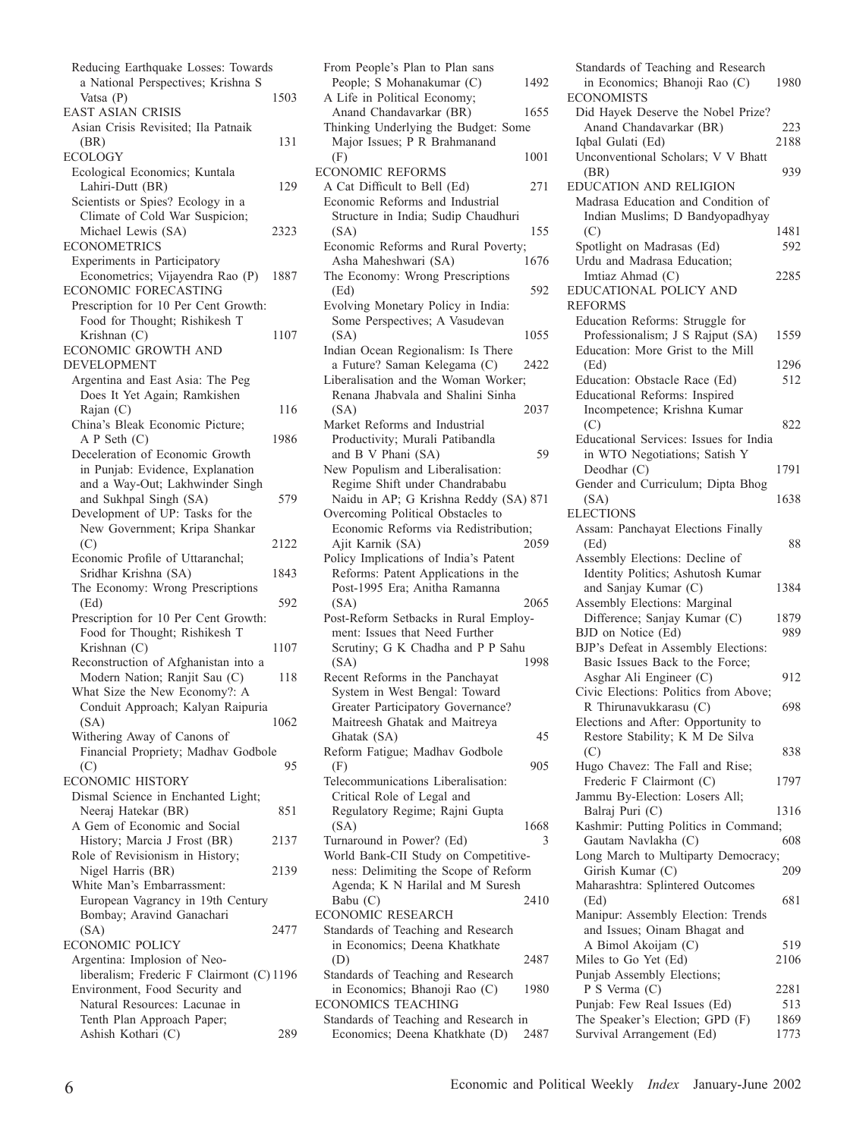| Reducing Earthquake Losses: Towards                                   |      |
|-----------------------------------------------------------------------|------|
| a National Perspectives; Krishna S                                    |      |
| Vatsa (P)<br>EAST ASIAN CRISIS                                        | 1503 |
| Asian Crisis Revisited; Ila Patnaik                                   |      |
| (BR)                                                                  | 131  |
| <b>ECOLOGY</b>                                                        |      |
| Ecological Economics; Kuntala                                         |      |
| Lahiri-Dutt (BR)                                                      | 129  |
| Scientists or Spies? Ecology in a                                     |      |
| Climate of Cold War Suspicion;                                        |      |
| Michael Lewis (SA)                                                    | 2323 |
| <b>ECONOMETRICS</b><br>Experiments in Participatory                   |      |
| Econometrics; Vijayendra Rao (P)                                      | 1887 |
| ECONOMIC FORECASTING                                                  |      |
| Prescription for 10 Per Cent Growth:                                  |      |
| Food for Thought; Rishikesh T                                         |      |
| Krishnan (C)                                                          | 1107 |
| ECONOMIC GROWTH AND                                                   |      |
| <b>DEVELOPMENT</b>                                                    |      |
| Argentina and East Asia: The Peg                                      |      |
| Does It Yet Again; Ramkishen                                          |      |
| Rajan (C)<br>China's Bleak Economic Picture;                          | 116  |
| A P Seth (C)                                                          | 1986 |
| Deceleration of Economic Growth                                       |      |
| in Punjab: Evidence, Explanation                                      |      |
| and a Way-Out; Lakhwinder Singh                                       |      |
| and Sukhpal Singh (SA)                                                | 579  |
| Development of UP: Tasks for the                                      |      |
| New Government; Kripa Shankar                                         |      |
| (C)                                                                   | 2122 |
| Economic Profile of Uttaranchal;                                      |      |
| Sridhar Krishna (SA)                                                  | 1843 |
| The Economy: Wrong Prescriptions                                      |      |
| (Ed)                                                                  | 592  |
| Prescription for 10 Per Cent Growth:<br>Food for Thought; Rishikesh T |      |
| Krishnan (C)                                                          | 1107 |
| Reconstruction of Afghanistan into a                                  |      |
| Modern Nation; Ranjit Sau (C)                                         | 118  |
| What Size the New Economy?: A                                         |      |
| Conduit Approach; Kalyan Raipuria                                     |      |
| (SA)                                                                  | 1062 |
| Withering Away of Canons of                                           |      |
| Financial Propriety; Madhav Godbole                                   |      |
| (C)                                                                   | 95   |
| <b>ECONOMIC HISTORY</b>                                               |      |
| Dismal Science in Enchanted Light;                                    |      |
| Neeraj Hatekar (BR)<br>A Gem of Economic and Social                   | 851  |
| History; Marcia J Frost (BR)                                          | 2137 |
| Role of Revisionism in History;                                       |      |
| Nigel Harris (BR)                                                     | 2139 |
| White Man's Embarrassment:                                            |      |
| European Vagrancy in 19th Century                                     |      |
| Bombay; Aravind Ganachari                                             |      |
| (SA)                                                                  | 2477 |
| ECONOMIC POLICY                                                       |      |
| Argentina: Implosion of Neo-                                          |      |
| liberalism; Frederic F Clairmont (C) 1196                             |      |
| Environment, Food Security and                                        |      |
| Natural Resources: Lacunae in                                         |      |
| Tenth Plan Approach Paper;                                            |      |
| Ashish Kothari (C)                                                    | 289  |

| From People's Plan to Plan sans                                              |      |
|------------------------------------------------------------------------------|------|
| People; S Mohanakumar (C)                                                    | 1492 |
| A Life in Political Economy;                                                 |      |
|                                                                              |      |
| Anand Chandavarkar (BR)                                                      | 1655 |
| Thinking Underlying the Budget: Some                                         |      |
| Major Issues; P R Brahmanand                                                 |      |
| (F)                                                                          | 1001 |
| <b>ECONOMIC REFORMS</b>                                                      |      |
| A Cat Difficult to Bell (Ed)                                                 | 271  |
|                                                                              |      |
| Economic Reforms and Industrial                                              |      |
| Structure in India; Sudip Chaudhuri                                          |      |
| (SA)                                                                         | 155  |
| Economic Reforms and Rural Poverty;                                          |      |
| Asha Maheshwari (SA)                                                         | 1676 |
|                                                                              |      |
| The Economy: Wrong Prescriptions                                             |      |
| (Ed)                                                                         | 592  |
| Evolving Monetary Policy in India:                                           |      |
| Some Perspectives; A Vasudevan                                               |      |
| (SA)                                                                         | 1055 |
| Indian Ocean Regionalism: Is There                                           |      |
| a Future? Saman Kelegama (C)                                                 | 2422 |
|                                                                              |      |
| Liberalisation and the Woman Worker;                                         |      |
| Renana Jhabvala and Shalini Sinha                                            |      |
| (SA)                                                                         | 2037 |
| Market Reforms and Industrial                                                |      |
| Productivity; Murali Patibandla                                              |      |
|                                                                              |      |
| and B V Phani (SA)                                                           | 59   |
| New Populism and Liberalisation:                                             |      |
| Regime Shift under Chandrababu                                               |      |
| Naidu in AP; G Krishna Reddy (SA) 871                                        |      |
| Overcoming Political Obstacles to                                            |      |
| Economic Reforms via Redistribution;                                         |      |
|                                                                              |      |
|                                                                              |      |
| Ajit Karnik (SA)                                                             | 2059 |
| Policy Implications of India's Patent                                        |      |
|                                                                              |      |
| Reforms: Patent Applications in the                                          |      |
| Post-1995 Era; Anitha Ramanna                                                |      |
| (SA)                                                                         | 2065 |
| Post-Reform Setbacks in Rural Employ-                                        |      |
| ment: Issues that Need Further                                               |      |
| Scrutiny; G K Chadha and P P Sahu                                            |      |
| (SA)                                                                         | 1998 |
|                                                                              |      |
| Recent Reforms in the Panchayat                                              |      |
| System in West Bengal: Toward                                                |      |
| Greater Participatory Governance?                                            |      |
| Maitreesh Ghatak and Maitreya                                                |      |
| Ghatak (SA)                                                                  | 45   |
| Reform Fatigue; Madhav Godbole                                               |      |
|                                                                              | 905  |
| (F)                                                                          |      |
| Telecommunications Liberalisation:                                           |      |
| Critical Role of Legal and                                                   |      |
| Regulatory Regime; Rajni Gupta                                               |      |
| (SA)                                                                         | 1668 |
|                                                                              | 3    |
| Turnaround in Power? (Ed)                                                    |      |
| World Bank-CII Study on Competitive-                                         |      |
| ness: Delimiting the Scope of Reform                                         |      |
| Agenda; K N Harilal and M Suresh                                             |      |
| Babu (C)                                                                     | 2410 |
| <b>ECONOMIC RESEARCH</b>                                                     |      |
| Standards of Teaching and Research                                           |      |
|                                                                              |      |
| in Economics; Deena Khatkhate                                                |      |
| (D)                                                                          | 2487 |
| Standards of Teaching and Research                                           |      |
| in Economics; Bhanoji Rao (C)                                                | 1980 |
| <b>ECONOMICS TEACHING</b>                                                    |      |
| Standards of Teaching and Research in<br>Economics; Deena Khatkhate (D) 2487 |      |

| Standards of Teaching and Research                                  |              |
|---------------------------------------------------------------------|--------------|
| in Economics; Bhanoji Rao (C)                                       | 1980         |
| ECONOMISTS                                                          |              |
| Did Hayek Deserve the Nobel Prize?<br>Anand Chandavarkar (BR)       | 223          |
| Iqbal Gulati (Ed)                                                   | 2188         |
| Unconventional Scholars; V V Bhatt                                  |              |
| (BR)                                                                | 939          |
| EDUCATION AND RELIGION                                              |              |
| Madrasa Education and Condition of                                  |              |
| Indian Muslims; D Bandyopadhyay                                     |              |
| (C)                                                                 | 1481         |
| Spotlight on Madrasas (Ed)                                          | 592          |
| Urdu and Madrasa Education;                                         |              |
| Imtiaz Ahmad (C)                                                    | 2285         |
| EDUCATIONAL POLICY AND                                              |              |
| <b>REFORMS</b>                                                      |              |
| Education Reforms: Struggle for<br>Professionalism; J S Rajput (SA) | 1559         |
| Education: More Grist to the Mill                                   |              |
| (Ed)                                                                | 1296         |
| Education: Obstacle Race (Ed)                                       | 512          |
| Educational Reforms: Inspired                                       |              |
| Incompetence; Krishna Kumar                                         |              |
| (C)                                                                 | 822          |
| Educational Services: Issues for India                              |              |
| in WTO Negotiations; Satish Y                                       |              |
| Deodhar (C)                                                         | 1791         |
| Gender and Curriculum; Dipta Bhog                                   |              |
| (SA)                                                                | 1638         |
| <b>ELECTIONS</b><br>Assam: Panchayat Elections Finally              |              |
| (Ed)                                                                | 88           |
| Assembly Elections: Decline of                                      |              |
| Identity Politics; Ashutosh Kumar                                   |              |
| and Sanjay Kumar (C)                                                | 1384         |
| Assembly Elections: Marginal                                        |              |
| Difference; Sanjay Kumar (C)                                        | 1879         |
| BJD on Notice (Ed)                                                  | 989          |
| BJP's Defeat in Assembly Elections:                                 |              |
| Basic Issues Back to the Force;                                     |              |
| Asghar Ali Engineer (C)                                             | 912          |
| Civic Elections: Politics from Above;<br>R Thirunavukkarasu (C)     | 698          |
| Elections and After: Opportunity to                                 |              |
| Restore Stability; K M De Silva                                     |              |
| (C)                                                                 | 838          |
| Hugo Chavez: The Fall and Rise;                                     |              |
| Frederic F Clairmont (C)                                            | 1797         |
| Jammu By-Election: Losers All;                                      |              |
| Balraj Puri (C)                                                     | 1316         |
| Kashmir: Putting Politics in Command;                               |              |
| Gautam Navlakha (C)                                                 | 608          |
| Long March to Multiparty Democracy;                                 |              |
| Girish Kumar (C)                                                    | 209          |
| Maharashtra: Splintered Outcomes<br>(Ed)                            | 681          |
| Manipur: Assembly Election: Trends                                  |              |
| and Issues; Oinam Bhagat and                                        |              |
| A Bimol Akoijam (C)                                                 |              |
| Miles to Go Yet (Ed)                                                | 519          |
|                                                                     | 2106         |
| Punjab Assembly Elections;                                          |              |
| P S Verma (C)                                                       | 2281         |
| Punjab: Few Real Issues (Ed)                                        | 513          |
| The Speaker's Election; GPD (F)<br>Survival Arrangement (Ed)        | 1869<br>1773 |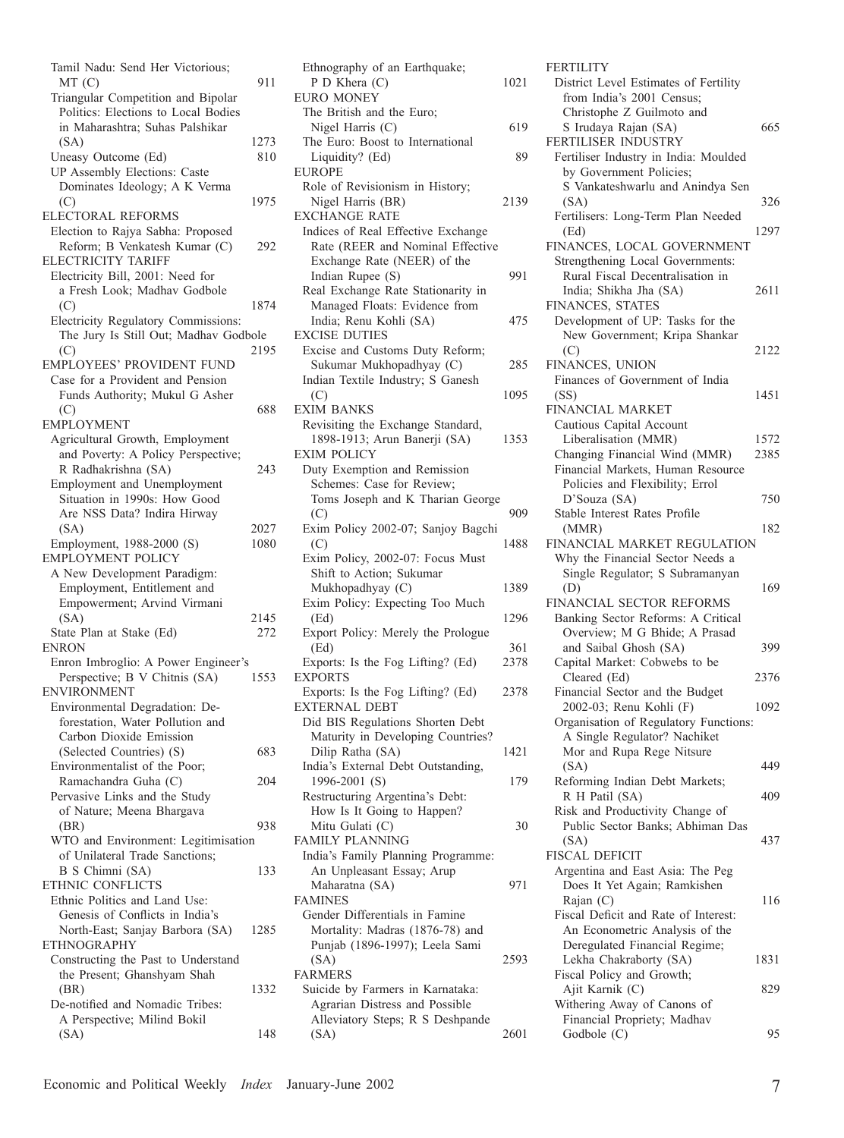| Tamil Nadu: Send Her Victorious;<br>MT(C)<br>Triangular Competition and Bipolar<br>Politics: Elections to Local Bodies                                      | 911          |
|-------------------------------------------------------------------------------------------------------------------------------------------------------------|--------------|
| in Maharashtra; Suhas Palshikar<br>(SA)<br>Uneasy Outcome (Ed)                                                                                              | 1273<br>810  |
| UP Assembly Elections: Caste<br>Dominates Ideology; A K Verma<br>(C)                                                                                        | 1975         |
| ELECTORAL REFORMS<br>Election to Rajya Sabha: Proposed<br>Reform; B Venkatesh Kumar (C)<br>ELECTRICITY TARIFF                                               | 292          |
| Electricity Bill, 2001: Need for<br>a Fresh Look; Madhav Godbole<br>(C)                                                                                     | 1874         |
| Electricity Regulatory Commissions:<br>The Jury Is Still Out; Madhav Godbole<br>(C)<br>EMPLOYEES' PROVIDENT FUND                                            | 2195         |
| Case for a Provident and Pension<br>Funds Authority; Mukul G Asher<br>(C)                                                                                   | 688          |
| <b>EMPLOYMENT</b>                                                                                                                                           |              |
| Agricultural Growth, Employment<br>and Poverty: A Policy Perspective;<br>R Radhakrishna (SA)<br>Employment and Unemployment<br>Situation in 1990s: How Good | 243          |
| Are NSS Data? Indira Hirway<br>(SA)<br>Employment, 1988-2000 (S)<br><b>EMPLOYMENT POLICY</b>                                                                | 2027<br>1080 |
| A New Development Paradigm:<br>Employment, Entitlement and<br>Empowerment; Arvind Virmani<br>(SA)<br>State Plan at Stake (Ed)<br>ENRON                      | 2145<br>272  |
| Enron Imbroglio: A Power Engineer's<br>Perspective; B V Chitnis (SA)<br><b>ENVIRONMENT</b>                                                                  | 1553         |
| Environmental Degradation: De-<br>forestation, Water Pollution and<br>Carbon Dioxide Emission                                                               |              |
| (Selected Countries) (S)<br>Environmentalist of the Poor;                                                                                                   | 683          |
| Ramachandra Guha (C)<br>Pervasive Links and the Study                                                                                                       | 204          |
| of Nature; Meena Bhargava<br>(BR)<br>WTO and Environment: Legitimisation                                                                                    | 938          |
| of Unilateral Trade Sanctions;<br>B S Chimni (SA)<br>ETHNIC CONFLICTS                                                                                       | 133          |
| Ethnic Politics and Land Use:<br>Genesis of Conflicts in India's<br>North-East; Sanjay Barbora (SA)<br><b>ETHNOGRAPHY</b>                                   | 1285         |
| Constructing the Past to Understand<br>the Present; Ghanshyam Shah<br>(BR)<br>De-notified and Nomadic Tribes:                                               | 1332         |
| A Perspective; Milind Bokil<br>(SA)                                                                                                                         | 148          |

| Ethnography of an Earthquake;      |      |
|------------------------------------|------|
| P D Khera (C)                      | 1021 |
| <b>EURO MONEY</b>                  |      |
| The British and the Euro;          |      |
| Nigel Harris (C)                   | 619  |
| The Euro: Boost to International   |      |
| Liquidity? (Ed)                    | 89   |
| <b>EUROPE</b>                      |      |
| Role of Revisionism in History;    |      |
| Nigel Harris (BR)                  | 2139 |
| <b>EXCHANGE RATE</b>               |      |
| Indices of Real Effective Exchange |      |
| Rate (REER and Nominal Effective   |      |
| Exchange Rate (NEER) of the        |      |
| Indian Rupee (S)                   | 991  |
| Real Exchange Rate Stationarity in |      |
| Managed Floats: Evidence from      |      |
| India; Renu Kohli (SA)             | 475  |
| <b>EXCISE DUTIES</b>               |      |
| Excise and Customs Duty Reform;    |      |
| Sukumar Mukhopadhyay (C)           | 285  |
| Indian Textile Industry; S Ganesh  |      |
| (C)                                | 1095 |
| <b>EXIM BANKS</b>                  |      |
| Revisiting the Exchange Standard,  |      |
| 1898-1913; Arun Banerji (SA)       | 1353 |
| <b>EXIM POLICY</b>                 |      |
|                                    |      |
| Duty Exemption and Remission       |      |
| Schemes: Case for Review;          |      |
| Toms Joseph and K Tharian George   |      |
| (C)                                | 909  |
| Exim Policy 2002-07; Sanjoy Bagchi |      |
| (C)                                | 1488 |
| Exim Policy, 2002-07: Focus Must   |      |
| Shift to Action; Sukumar           |      |
| Mukhopadhyay (C)                   | 1389 |
| Exim Policy: Expecting Too Much    |      |
| (Ed)                               | 1296 |
| Export Policy: Merely the Prologue |      |
| (Ed)                               | 361  |
| Exports: Is the Fog Lifting? (Ed)  | 2378 |
| <b>EXPORTS</b>                     |      |
| Exports: Is the Fog Lifting? (Ed)  | 2378 |
| <b>EXTERNAL DEBT</b>               |      |
| Did BIS Regulations Shorten Debt   |      |
| Maturity in Developing Countries?  |      |
| Dilip Ratha (SA)                   | 1421 |
| India's External Debt Outstanding, |      |
| 1996-2001 (S)                      | 179  |
| Restructuring Argentina's Debt:    |      |
| How Is It Going to Happen?         |      |
| Mitu Gulati (C)                    | 30   |
| <b>FAMILY PLANNING</b>             |      |
| India's Family Planning Programme: |      |
|                                    |      |
| An Unpleasant Essay; Arup          |      |
| Maharatna (SA)                     | 971  |
| <b>FAMINES</b>                     |      |
| Gender Differentials in Famine     |      |
| Mortality: Madras (1876-78) and    |      |
| Punjab (1896-1997); Leela Sami     |      |
|                                    |      |
| (SA)                               | 2593 |
| <b>FARMERS</b>                     |      |
| Suicide by Farmers in Karnataka:   |      |
| Agrarian Distress and Possible     |      |
| Alleviatory Steps; R S Deshpande   |      |

| District Level Estimates of Fertility                               |      |
|---------------------------------------------------------------------|------|
| from India's 2001 Census;                                           |      |
| Christophe Z Guilmoto and                                           |      |
| S Irudaya Rajan (SA)                                                | 665  |
| FERTILISER INDUSTRY                                                 |      |
| Fertiliser Industry in India: Moulded<br>by Government Policies;    |      |
| S Vankateshwarlu and Anindya Sen                                    |      |
| (SA)                                                                | 326  |
| Fertilisers: Long-Term Plan Needed                                  |      |
| (Ed)                                                                | 1297 |
| FINANCES, LOCAL GOVERNMENT                                          |      |
| Strengthening Local Governments:                                    |      |
| Rural Fiscal Decentralisation in                                    |      |
| India; Shikha Jha (SA)                                              | 2611 |
| FINANCES, STATES                                                    |      |
| Development of UP: Tasks for the                                    |      |
| New Government; Kripa Shankar                                       |      |
| (C)                                                                 | 2122 |
| FINANCES, UNION<br>Finances of Government of India                  |      |
| (SS)                                                                | 1451 |
| FINANCIAL MARKET                                                    |      |
| Cautious Capital Account                                            |      |
| Liberalisation (MMR)                                                | 1572 |
| Changing Financial Wind (MMR)                                       | 2385 |
| Financial Markets, Human Resource                                   |      |
| Policies and Flexibility; Errol                                     |      |
| D'Souza (SA)                                                        | 750  |
| Stable Interest Rates Profile                                       |      |
| (MMR)                                                               | 182  |
| FINANCIAL MARKET REGULATION<br>Why the Financial Sector Needs a     |      |
| Single Regulator; S Subramanyan                                     |      |
| (D)                                                                 |      |
|                                                                     |      |
|                                                                     | 169  |
| FINANCIAL SECTOR REFORMS                                            |      |
| Banking Sector Reforms: A Critical<br>Overview; M G Bhide; A Prasad |      |
| and Saibal Ghosh (SA)                                               | 399  |
| Capital Market: Cobwebs to be                                       |      |
| Cleared (Ed)                                                        | 2376 |
| Financial Sector and the Budget                                     |      |
| 2002-03; Renu Kohli (F)                                             | 1092 |
| Organisation of Regulatory Functions:                               |      |
| A Single Regulator? Nachiket                                        |      |
| Mor and Rupa Rege Nitsure                                           |      |
| (SA)                                                                | 449  |
| Reforming Indian Debt Markets;                                      | 409  |
| R H Patil (SA)<br>Risk and Productivity Change of                   |      |
| Public Sector Banks; Abhiman Das                                    |      |
| (SA)                                                                | 437  |
| FISCAL DEFICIT                                                      |      |
| Argentina and East Asia: The Peg                                    |      |
| Does It Yet Again; Ramkishen                                        |      |
| Rajan (C)                                                           | 116  |
| Fiscal Deficit and Rate of Interest:                                |      |
| An Econometric Analysis of the                                      |      |
| Deregulated Financial Regime;<br>Lekha Chakraborty (SA)             | 1831 |
| Fiscal Policy and Growth;                                           |      |
| Ajit Karnik (C)                                                     | 829  |
| Withering Away of Canons of                                         |      |
| Financial Propriety; Madhav<br>Godbole (C)                          | 95   |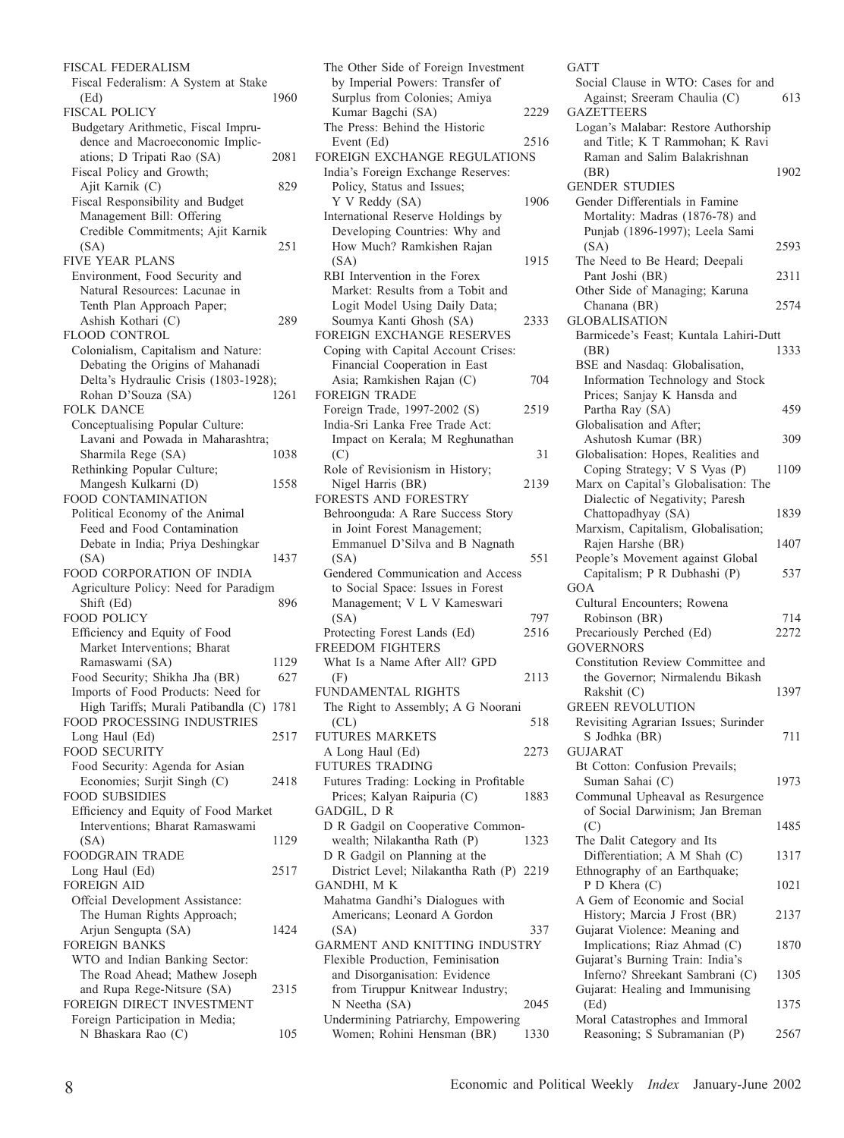FISCAL FEDERALISM Fiscal Federalism: A System at Stake (Ed) 1960 FISCAL POLICY Budgetary Arithmetic, Fiscal Imprudence and Macroeconomic Implications; D Tripati Rao (SA) 2081 Fiscal Policy and Growth; Ajit Karnik (C) 829 Fiscal Responsibility and Budget Management Bill: Offering Credible Commitments; Ajit Karnik (SA) 251 FIVE YEAR PLANS Environment, Food Security and Natural Resources: Lacunae in Tenth Plan Approach Paper; Ashish Kothari (C) 289 FLOOD CONTROL Colonialism, Capitalism and Nature: Debating the Origins of Mahanadi Delta's Hydraulic Crisis (1803-1928); Rohan D'Souza (SA) 1261 FOLK DANCE Conceptualising Popular Culture: Lavani and Powada in Maharashtra; Sharmila Rege (SA) 1038 Rethinking Popular Culture; Mangesh Kulkarni (D) 1558 FOOD CONTAMINATION Political Economy of the Animal Feed and Food Contamination Debate in India; Priya Deshingkar (SA) 1437 FOOD CORPORATION OF INDIA Agriculture Policy: Need for Paradigm Shift (Ed) 896 FOOD POLICY Efficiency and Equity of Food Market Interventions; Bharat Ramaswami (SA) 1129 Food Security; Shikha Jha (BR) 627 Imports of Food Products: Need for High Tariffs; Murali Patibandla (C) 1781 FOOD PROCESSING INDUSTRIES Long Haul (Ed) 2517 FOOD SECURITY Food Security: Agenda for Asian Economies; Surjit Singh (C) 2418 FOOD SUBSIDIES Efficiency and Equity of Food Market Interventions; Bharat Ramaswami (SA) 1129 FOODGRAIN TRADE Long Haul (Ed) 2517 FOREIGN AID Offcial Development Assistance: The Human Rights Approach; Arjun Sengupta (SA) 1424 FOREIGN BANKS WTO and Indian Banking Sector: The Road Ahead; Mathew Joseph and Rupa Rege-Nitsure (SA) 2315 FOREIGN DIRECT INVESTMENT Foreign Participation in Media; N Bhaskara Rao (C) 105

The Other Side of Foreign Investment by Imperial Powers: Transfer of Surplus from Colonies; Amiya Kumar Bagchi (SA) 2229 The Press: Behind the Historic Event (Ed) 2516 FOREIGN EXCHANGE REGULATIONS India's Foreign Exchange Reserves: Policy, Status and Issues; Y V Reddy (SA) 1906 International Reserve Holdings by Developing Countries: Why and How Much? Ramkishen Rajan (SA) 1915 RBI Intervention in the Forex Market: Results from a Tobit and Logit Model Using Daily Data; Soumya Kanti Ghosh (SA) 2333 FOREIGN EXCHANGE RESERVES Coping with Capital Account Crises: Financial Cooperation in East Asia; Ramkishen Rajan (C) 704 FOREIGN TRADE Foreign Trade, 1997-2002 (S) 2519 India-Sri Lanka Free Trade Act: Impact on Kerala; M Reghunathan  $(C)$  31 Role of Revisionism in History; Nigel Harris (BR) 2139 FORESTS AND FORESTRY Behroonguda: A Rare Success Story in Joint Forest Management; Emmanuel D'Silva and B Nagnath (SA) 551 Gendered Communication and Access to Social Space: Issues in Forest Management; V L V Kameswari (SA) 797 Protecting Forest Lands (Ed) 2516 FREEDOM FIGHTERS What Is a Name After All? GPD (F) 2113 FUNDAMENTAL RIGHTS The Right to Assembly; A G Noorani  $CL)$  518 FUTURES MARKETS A Long Haul (Ed) 2273 FUTURES TRADING Futures Trading: Locking in Profitable Prices; Kalyan Raipuria (C) 1883 GADGIL, D R D R Gadgil on Cooperative Commonwealth; Nilakantha Rath (P) 1323 D R Gadgil on Planning at the District Level; Nilakantha Rath (P) 2219 GANDHI, M K Mahatma Gandhi's Dialogues with Americans; Leonard A Gordon (SA) 337 GARMENT AND KNITTING INDUSTRY Flexible Production, Feminisation and Disorganisation: Evidence from Tiruppur Knitwear Industry; N Neetha (SA) 2045 Undermining Patriarchy, Empowering Women; Rohini Hensman (BR) 1330

**GATT** Social Clause in WTO: Cases for and Against; Sreeram Chaulia (C) 613 **GAZETTEERS** Logan's Malabar: Restore Authorship and Title; K T Rammohan; K Ravi Raman and Salim Balakrishnan (BR) 1902 GENDER STUDIES Gender Differentials in Famine Mortality: Madras (1876-78) and Punjab (1896-1997); Leela Sami (SA) 2593 The Need to Be Heard; Deepali Pant Joshi (BR) 2311 Other Side of Managing; Karuna Chanana (BR) 2574 GLOBALISATION Barmicede's Feast; Kuntala Lahiri-Dutt (BR) 1333 BSE and Nasdaq: Globalisation, Information Technology and Stock Prices; Sanjay K Hansda and Partha Ray (SA) 459 Globalisation and After; Ashutosh Kumar (BR) 309 Globalisation: Hopes, Realities and Coping Strategy; V S Vyas (P) 1109 Marx on Capital's Globalisation: The Dialectic of Negativity; Paresh Chattopadhyay (SA) 1839 Marxism, Capitalism, Globalisation; Rajen Harshe (BR) 1407 People's Movement against Global Capitalism; P R Dubhashi (P) 537 GOA Cultural Encounters; Rowena Robinson (BR) 714 Precariously Perched (Ed) 2272 **GOVERNORS** Constitution Review Committee and the Governor; Nirmalendu Bikash Rakshit (C) 1397 GREEN REVOLUTION Revisiting Agrarian Issues; Surinder S Jodhka (BR) 711 GUJARAT Bt Cotton: Confusion Prevails; Suman Sahai (C) 1973 Communal Upheaval as Resurgence of Social Darwinism; Jan Breman (C) 1485 The Dalit Category and Its Differentiation; A M Shah (C) 1317 Ethnography of an Earthquake; P D Khera (C) 1021 A Gem of Economic and Social History; Marcia J Frost (BR) 2137 Gujarat Violence: Meaning and Implications; Riaz Ahmad (C) 1870 Gujarat's Burning Train: India's Inferno? Shreekant Sambrani (C) 1305 Gujarat: Healing and Immunising (Ed) 1375 Moral Catastrophes and Immoral Reasoning; S Subramanian (P) 2567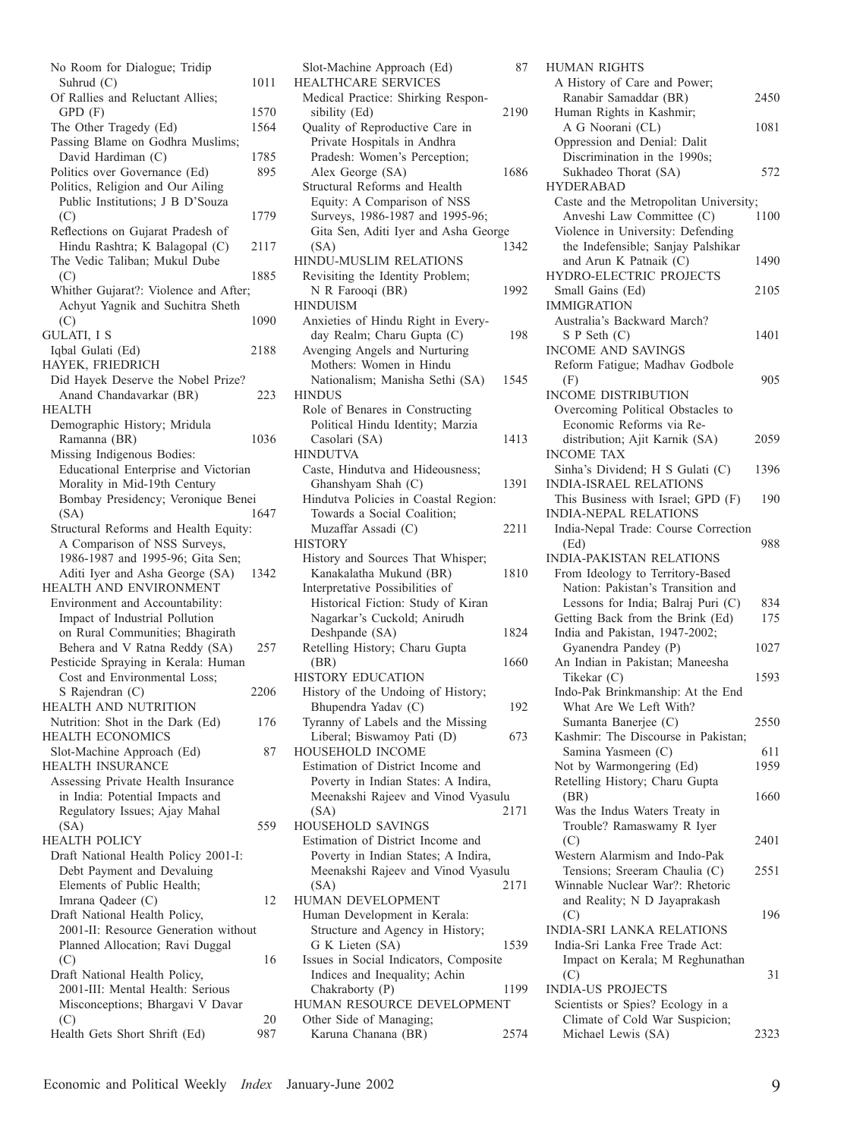| No Room for Dialogue; Tridip                   |           |
|------------------------------------------------|-----------|
| Suhrud (C)                                     | 1011      |
| Of Rallies and Reluctant Allies;               |           |
| GPD (F)                                        | 1570      |
| The Other Tragedy (Ed)                         | 1564      |
| Passing Blame on Godhra Muslims;               |           |
| David Hardiman (C)                             | 1785      |
| Politics over Governance (Ed)                  | 895       |
| Politics, Religion and Our Ailing              |           |
| Public Institutions; J B D'Souza               |           |
| (C)                                            | 1779      |
| Reflections on Gujarat Pradesh of              |           |
| Hindu Rashtra; K Balagopal (C)                 | 2117      |
| The Vedic Taliban; Mukul Dube                  |           |
| (C)                                            | 1885      |
|                                                |           |
| Whither Gujarat?: Violence and After;          |           |
| Achyut Yagnik and Suchitra Sheth               |           |
| (C)                                            | 1090      |
| GULATI, I S                                    |           |
| Iqbal Gulati (Ed)                              | 2188      |
| HAYEK, FRIEDRICH                               |           |
| Did Hayek Deserve the Nobel Prize?             |           |
| Anand Chandavarkar (BR)                        | 223       |
| HEALTH                                         |           |
| Demographic History; Mridula                   |           |
| Ramanna (BR)                                   | 1036      |
| Missing Indigenous Bodies:                     |           |
| Educational Enterprise and Victorian           |           |
| Morality in Mid-19th Century                   |           |
| Bombay Presidency; Veronique Benei             |           |
| (SA)                                           | 1647      |
| Structural Reforms and Health Equity:          |           |
| A Comparison of NSS Surveys,                   |           |
| 1986-1987 and 1995-96; Gita Sen;               |           |
| Aditi Iyer and Asha George (SA)                | 1342      |
| HEALTH AND ENVIRONMENT                         |           |
| Environment and Accountability:                |           |
| Impact of Industrial Pollution                 |           |
| on Rural Communities; Bhagirath                |           |
|                                                |           |
| Behera and V Ratna Reddy (SA)                  | 257       |
| Pesticide Spraying in Kerala: Human            |           |
| Cost and Environmental Loss;                   |           |
|                                                |           |
| S Rajendran (C)                                | 2206      |
| <b>HEALTH AND NUTRITION</b>                    |           |
| Nutrition: Shot in the Dark (Ed)               | 176       |
|                                                |           |
| HEALTH ECONOMICS<br>Slot-Machine Approach (Ed) | 87        |
| HEALTH INSURANCE                               |           |
| Assessing Private Health Insurance             |           |
| in India: Potential Impacts and                |           |
|                                                |           |
| Regulatory Issues; Ajay Mahal<br>(SA)          | 559       |
|                                                |           |
| <b>HEALTH POLICY</b>                           |           |
| Draft National Health Policy 2001-I:           |           |
| Debt Payment and Devaluing                     |           |
| Elements of Public Health;                     | 12        |
| Imrana Qadeer (C)                              |           |
| Draft National Health Policy,                  |           |
| 2001-II: Resource Generation without           |           |
| Planned Allocation; Ravi Duggal                |           |
| (C)                                            | 16        |
| Draft National Health Policy,                  |           |
| 2001-III: Mental Health: Serious               |           |
| Misconceptions; Bhargavi V Davar               |           |
| (C)<br>Health Gets Short Shrift (Ed)           | 20<br>987 |

| Slot-Machine Approach (Ed)             | 87   |
|----------------------------------------|------|
| <b>HEALTHCARE SERVICES</b>             |      |
| Medical Practice: Shirking Respon-     |      |
| sibility (Ed)                          | 2190 |
| Quality of Reproductive Care in        |      |
| Private Hospitals in Andhra            |      |
| Pradesh: Women's Perception;           |      |
| Alex George (SA)                       | 1686 |
| Structural Reforms and Health          |      |
| Equity: A Comparison of NSS            |      |
| Surveys, 1986-1987 and 1995-96;        |      |
| Gita Sen, Aditi Iyer and Asha George   |      |
| (SA)                                   | 1342 |
| HINDU-MUSLIM RELATIONS                 |      |
| Revisiting the Identity Problem;       |      |
| N R Farooqi (BR)                       | 1992 |
| <b>HINDUISM</b>                        |      |
| Anxieties of Hindu Right in Every-     |      |
| day Realm; Charu Gupta (C)             | 198  |
| Avenging Angels and Nurturing          |      |
| Mothers: Women in Hindu                |      |
| Nationalism; Manisha Sethi (SA)        | 1545 |
| <b>HINDUS</b>                          |      |
| Role of Benares in Constructing        |      |
| Political Hindu Identity; Marzia       |      |
| Casolari (SA)                          | 1413 |
| <b>HINDUTVA</b>                        |      |
| Caste, Hindutva and Hideousness;       |      |
| Ghanshyam Shah (C)                     | 1391 |
| Hindutva Policies in Coastal Region:   |      |
| Towards a Social Coalition;            |      |
| Muzaffar Assadi (C)                    | 2211 |
| <b>HISTORY</b>                         |      |
| History and Sources That Whisper;      |      |
| Kanakalatha Mukund (BR)                | 1810 |
| Interpretative Possibilities of        |      |
| Historical Fiction: Study of Kiran     |      |
| Nagarkar's Cuckold; Anirudh            |      |
| Deshpande (SA)                         | 1824 |
| Retelling History; Charu Gupta         |      |
| (BR)                                   | 1660 |
| <b>HISTORY EDUCATION</b>               |      |
| History of the Undoing of History;     |      |
| Bhupendra Yadav (C)                    | 192  |
| Tyranny of Labels and the Missing      |      |
| Liberal; Biswamoy Pati (D)             | 673  |
| HOUSEHOLD INCOME                       |      |
| Estimation of District Income and      |      |
| Poverty in Indian States: A Indira,    |      |
| Meenakshi Rajeev and Vinod Vyasulu     |      |
| (SA)                                   | 2171 |
| HOUSEHOLD SAVINGS                      |      |
| Estimation of District Income and      |      |
| Poverty in Indian States; A Indira,    |      |
| Meenakshi Rajeev and Vinod Vyasulu     |      |
| (SA)                                   | 2171 |
| HUMAN DEVELOPMENT                      |      |
| Human Development in Kerala:           |      |
| Structure and Agency in History;       |      |
| G K Lieten (SA)                        | 1539 |
| Issues in Social Indicators, Composite |      |
| Indices and Inequality; Achin          |      |
| Chakraborty (P)                        | 1199 |
| HUMAN RESOURCE DEVELOPMENT             |      |
| Other Side of Managing;                |      |
| Karuna Chanana (BR)                    | 2574 |

| HUMAN RIGHTS                                             |      |
|----------------------------------------------------------|------|
| A History of Care and Power;                             |      |
| Ranabir Samaddar (BR)                                    | 2450 |
| Human Rights in Kashmir;                                 |      |
| A G Noorani (CL)<br>Oppression and Denial: Dalit         | 1081 |
| Discrimination in the 1990s;                             |      |
| Sukhadeo Thorat (SA)                                     | 572  |
| <b>HYDERABAD</b>                                         |      |
| Caste and the Metropolitan University;                   |      |
| Anveshi Law Committee (C)                                | 1100 |
| Violence in University: Defending                        |      |
| the Indefensible; Sanjay Palshikar                       |      |
| and Arun K Patnaik (C)                                   | 1490 |
| HYDRO-ELECTRIC PROJECTS                                  |      |
| Small Gains (Ed)                                         | 2105 |
| <b>IMMIGRATION</b>                                       |      |
| Australia's Backward March?                              |      |
| S P Seth (C)                                             | 1401 |
| <b>INCOME AND SAVINGS</b>                                |      |
| Reform Fatigue; Madhav Godbole                           |      |
| (F)                                                      | 905  |
| INCOME DISTRIBUTION<br>Overcoming Political Obstacles to |      |
| Economic Reforms via Re-                                 |      |
| distribution; Ajit Karnik (SA)                           | 2059 |
| <b>INCOME TAX</b>                                        |      |
| Sinha's Dividend; H S Gulati (C)                         | 1396 |
| <b>INDIA-ISRAEL RELATIONS</b>                            |      |
| This Business with Israel; GPD (F)                       | 190  |
| <b>INDIA-NEPAL RELATIONS</b>                             |      |
| India-Nepal Trade: Course Correction                     |      |
| (Ed)                                                     | 988  |
| <b>INDIA-PAKISTAN RELATIONS</b>                          |      |
| From Ideology to Territory-Based                         |      |
| Nation: Pakistan's Transition and                        |      |
| Lessons for India; Balraj Puri (C)                       | 834  |
| Getting Back from the Brink (Ed)                         | 175  |
| India and Pakistan, 1947-2002;                           |      |
| Gyanendra Pandey (P)<br>An Indian in Pakistan; Maneesha  | 1027 |
| Tikekar (C)                                              | 1593 |
| Indo-Pak Brinkmanship: At the End                        |      |
| What Are We Left With?                                   |      |
| Sumanta Banerjee (C)                                     | 2550 |
| Kashmir: The Discourse in Pakistan;                      |      |
| Samina Yasmeen (C)                                       | 611  |
| Not by Warmongering (Ed)                                 | 1959 |
| Retelling History; Charu Gupta                           |      |
| (BR)                                                     | 1660 |
| Was the Indus Waters Treaty in                           |      |
| Trouble? Ramaswamy R Iyer                                |      |
| (C)                                                      | 2401 |
| Western Alarmism and Indo-Pak                            |      |
| Tensions; Sreeram Chaulia (C)                            | 2551 |
| Winnable Nuclear War?: Rhetoric                          |      |
| and Reality; N D Jayaprakash                             | 196  |
| (C)<br><b>INDIA-SRI LANKA RELATIONS</b>                  |      |
| India-Sri Lanka Free Trade Act:                          |      |
| Impact on Kerala; M Reghunathan                          |      |
| (C)                                                      | 31   |
| <b>INDIA-US PROJECTS</b>                                 |      |
| Scientists or Spies? Ecology in a                        |      |
|                                                          |      |
| Climate of Cold War Suspicion;<br>Michael Lewis (SA)     |      |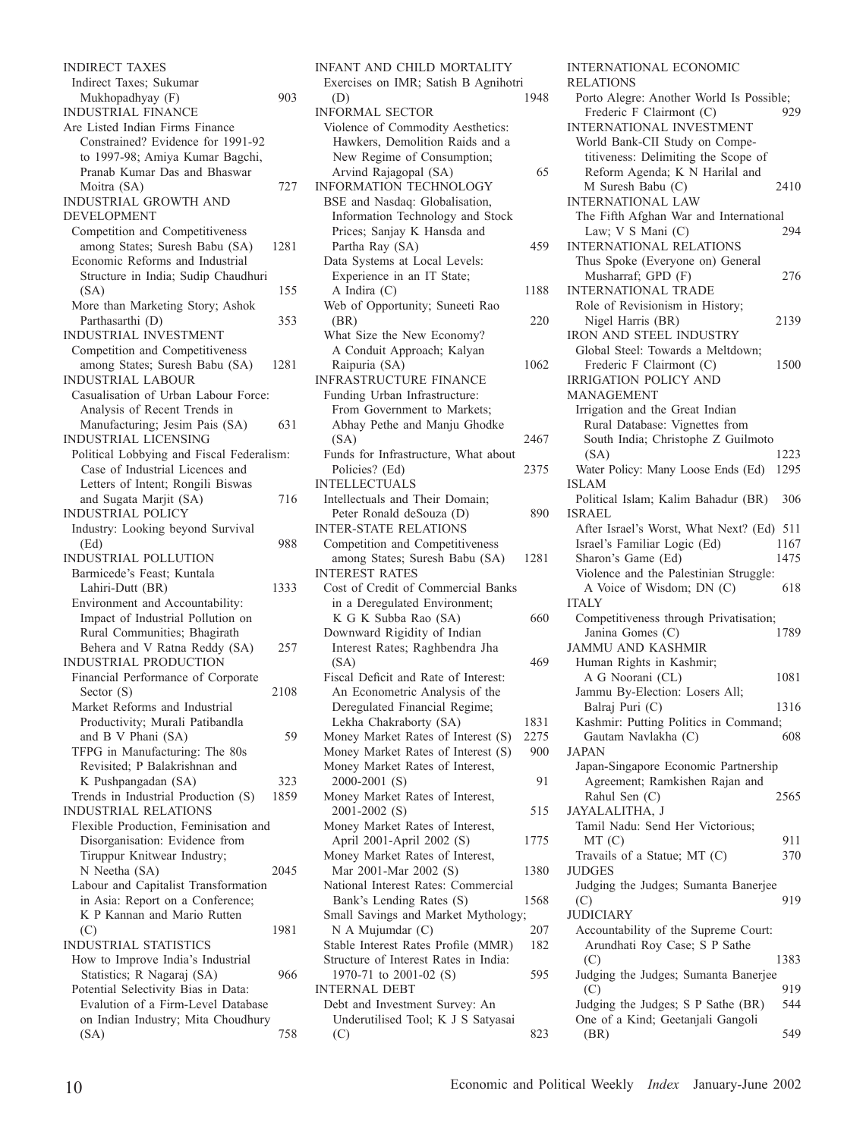INDIRECT TAXES Indirect Taxes; Sukumar Mukhopadhyay (F) 903 INDUSTRIAL FINANCE Are Listed Indian Firms Finance Constrained? Evidence for 1991-92 to 1997-98; Amiya Kumar Bagchi, Pranab Kumar Das and Bhaswar Moitra (SA) 727 INDUSTRIAL GROWTH AND DEVELOPMENT Competition and Competitiveness among States; Suresh Babu (SA) 1281 Economic Reforms and Industrial Structure in India; Sudip Chaudhuri (SA) 155 More than Marketing Story; Ashok Parthasarthi (D) 353 INDUSTRIAL INVESTMENT Competition and Competitiveness among States; Suresh Babu (SA) 1281 INDUSTRIAL LABOUR Casualisation of Urban Labour Force: Analysis of Recent Trends in Manufacturing; Jesim Pais (SA) 631 INDUSTRIAL LICENSING Political Lobbying and Fiscal Federalism: Case of Industrial Licences and Letters of Intent; Rongili Biswas and Sugata Marjit (SA) 716 INDUSTRIAL POLICY Industry: Looking beyond Survival (Ed) 988 INDUSTRIAL POLLUTION Barmicede's Feast; Kuntala Lahiri-Dutt (BR) 1333 Environment and Accountability: Impact of Industrial Pollution on Rural Communities; Bhagirath Behera and V Ratna Reddy (SA) 257 INDUSTRIAL PRODUCTION Financial Performance of Corporate Sector (S) 2108 Market Reforms and Industrial Productivity; Murali Patibandla and B V Phani (SA) 59 TFPG in Manufacturing: The 80s Revisited; P Balakrishnan and K Pushpangadan (SA) 323 Trends in Industrial Production (S) 1859 INDUSTRIAL RELATIONS Flexible Production, Feminisation and Disorganisation: Evidence from Tiruppur Knitwear Industry; N Neetha (SA) 2045 Labour and Capitalist Transformation in Asia: Report on a Conference; K P Kannan and Mario Rutten (C) 1981 INDUSTRIAL STATISTICS How to Improve India's Industrial Statistics; R Nagaraj (SA) 966 Potential Selectivity Bias in Data: Evalution of a Firm-Level Database on Indian Industry; Mita Choudhury (SA) 758

INFANT AND CHILD MORTALITY Exercises on IMR; Satish B Agnihotri<br>(D) 1948 (D) 1948 INFORMAL SECTOR Violence of Commodity Aesthetics: Hawkers, Demolition Raids and a New Regime of Consumption; Arvind Rajagopal (SA) 65 INFORMATION TECHNOLOGY BSE and Nasdaq: Globalisation, Information Technology and Stock Prices; Sanjay K Hansda and Partha Ray (SA) 459 Data Systems at Local Levels: Experience in an IT State; A Indira (C) 1188 Web of Opportunity; Suneeti Rao (BR) 220 What Size the New Economy? A Conduit Approach; Kalyan Raipuria (SA) 1062 INFRASTRUCTURE FINANCE Funding Urban Infrastructure: From Government to Markets; Abhay Pethe and Manju Ghodke (SA) 2467 Funds for Infrastructure, What about Policies? (Ed) 2375 INTELLECTUALS Intellectuals and Their Domain; Peter Ronald deSouza (D) 890 INTER-STATE RELATIONS Competition and Competitiveness among States; Suresh Babu (SA) 1281 INTEREST RATES Cost of Credit of Commercial Banks in a Deregulated Environment; K G K Subba Rao (SA) 660 Downward Rigidity of Indian Interest Rates; Raghbendra Jha  $(SA)$  469 Fiscal Deficit and Rate of Interest: An Econometric Analysis of the Deregulated Financial Regime; Lekha Chakraborty (SA) 1831<br>1831 Ionev Market Rates of Interest (S) Money Market Rates of Interest (S) Money Market Rates of Interest (S) 900 Money Market Rates of Interest, 2000-2001 (S) 91 Money Market Rates of Interest, 2001-2002 (S) 515 Money Market Rates of Interest, April 2001-April 2002 (S) 1775 Money Market Rates of Interest, Mar 2001-Mar 2002 (S) 1380 National Interest Rates: Commercial Bank's Lending Rates (S) 1568 Small Savings and Market Mythology; N A Mujumdar (C) 207 Stable Interest Rates Profile (MMR) 182 Structure of Interest Rates in India: 1970-71 to 2001-02 (S) 595 INTERNAL DEBT Debt and Investment Survey: An Underutilised Tool; K J S Satyasai  $(C)$  823

INTERNATIONAL ECONOMIC RELATIONS Porto Alegre: Another World Is Possible; Frederic F Clairmont (C) 929 INTERNATIONAL INVESTMENT World Bank-CII Study on Competitiveness: Delimiting the Scope of Reform Agenda; K N Harilal and M Suresh Babu (C) 2410 INTERNATIONAL LAW The Fifth Afghan War and International<br>Law: V S Mani (C) 294 Law;  $V S Mani (C)$ INTERNATIONAL RELATIONS Thus Spoke (Everyone on) General Musharraf; GPD (F) 276 INTERNATIONAL TRADE Role of Revisionism in History; Nigel Harris (BR) 2139 IRON AND STEEL INDUSTRY Global Steel: Towards a Meltdown; Frederic F Clairmont (C) 1500 IRRIGATION POLICY AND MANAGEMENT Irrigation and the Great Indian Rural Database: Vignettes from South India; Christophe Z Guilmoto (SA) 1223 Water Policy: Many Loose Ends (Ed) 1295 ISLAM Political Islam; Kalim Bahadur (BR) 306 ISRAEL After Israel's Worst, What Next? (Ed) 511 Israel's Familiar Logic (Ed) 1167 Sharon's Game (Ed) 1475 Violence and the Palestinian Struggle: A Voice of Wisdom; DN (C) 618 ITALY Competitiveness through Privatisation; Janina Gomes (C) 1789 JAMMU AND KASHMIR Human Rights in Kashmir; A G Noorani (CL) 1081 Jammu By-Election: Losers All; Balraj Puri (C) 1316 Kashmir: Putting Politics in Command; Gautam Navlakha (C) 608 JAPAN Japan-Singapore Economic Partnership Agreement; Ramkishen Rajan and Rahul Sen (C) 2565 JAYALALITHA, J Tamil Nadu: Send Her Victorious; MT (C) 911 Travails of a Statue; MT (C) 370 JUDGES Judging the Judges; Sumanta Banerjee  $( C)$  919 **JUDICIARY** Accountability of the Supreme Court: Arundhati Roy Case; S P Sathe (C) 1383 Judging the Judges; Sumanta Banerjee  $(C)$  919 Judging the Judges; S P Sathe (BR) 544 One of a Kind; Geetanjali Gangoli (BR) 549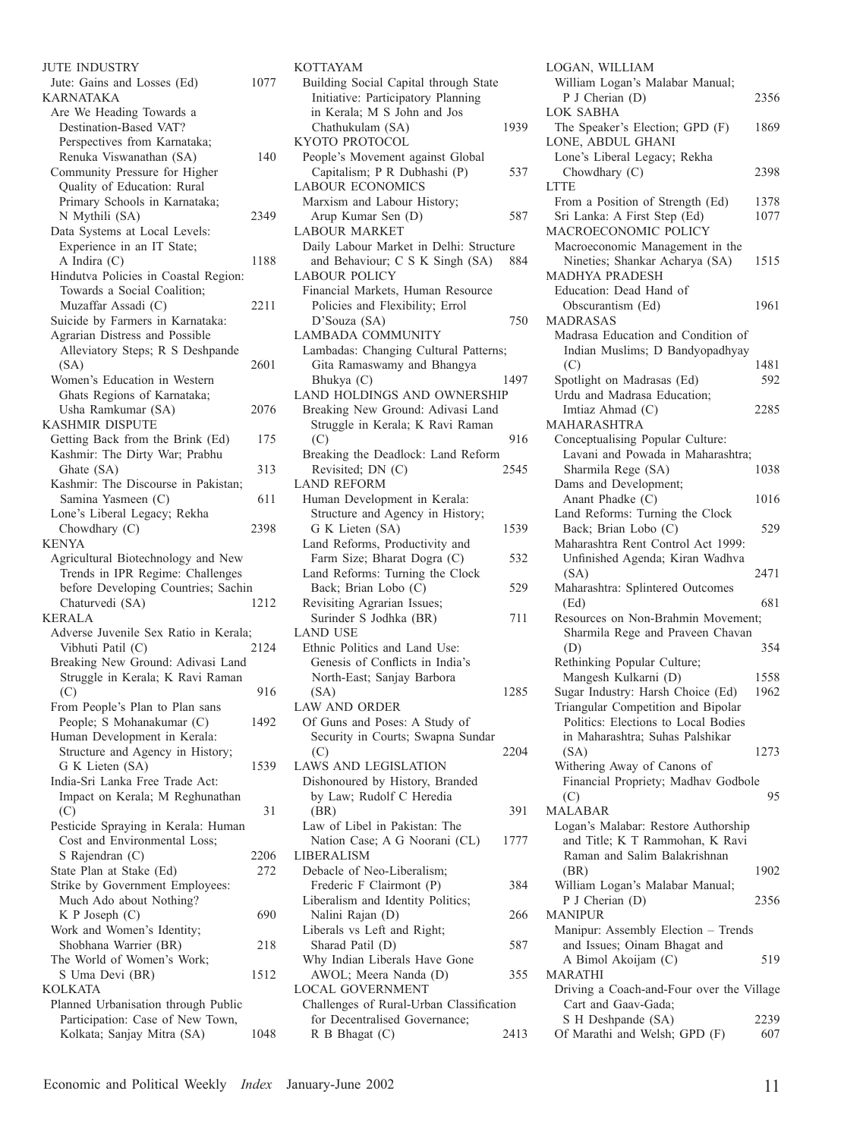| <b>JUTE INDUSTRY</b>                                           |      |
|----------------------------------------------------------------|------|
| Jute: Gains and Losses (Ed)                                    | 1077 |
| KARNATAKA                                                      |      |
| Are We Heading Towards a                                       |      |
| Destination-Based VAT?                                         |      |
| Perspectives from Karnataka;                                   |      |
| Renuka Viswanathan (SA)                                        | 140  |
| Community Pressure for Higher                                  |      |
| Quality of Education: Rural                                    |      |
|                                                                |      |
| Primary Schools in Karnataka;                                  |      |
| N Mythili (SA)                                                 | 2349 |
| Data Systems at Local Levels:                                  |      |
| Experience in an IT State;                                     |      |
| A Indira (C)                                                   | 1188 |
| Hindutva Policies in Coastal Region:                           |      |
| Towards a Social Coalition;                                    |      |
| Muzaffar Assadi (C)                                            | 2211 |
| Suicide by Farmers in Karnataka:                               |      |
| Agrarian Distress and Possible                                 |      |
| Alleviatory Steps; R S Deshpande                               |      |
| (SA)                                                           | 2601 |
| Women's Education in Western                                   |      |
| Ghats Regions of Karnataka;                                    |      |
| Usha Ramkumar (SA)                                             | 2076 |
| KASHMIR DISPUTE                                                |      |
|                                                                |      |
| Getting Back from the Brink (Ed)                               | 175  |
| Kashmir: The Dirty War; Prabhu                                 |      |
| Ghate (SA)                                                     | 313  |
| Kashmir: The Discourse in Pakistan;                            |      |
| Samina Yasmeen (C)                                             | 611  |
| Lone's Liberal Legacy; Rekha                                   |      |
| Chowdhary (C)                                                  | 2398 |
| KENYA                                                          |      |
| Agricultural Biotechnology and New                             |      |
| Trends in IPR Regime: Challenges                               |      |
| before Developing Countries; Sachin                            |      |
| Chaturvedi (SA)                                                | 1212 |
| KERALA                                                         |      |
| Adverse Juvenile Sex Ratio in Kerala;                          |      |
|                                                                |      |
| Vibhuti Patil (C)<br>Breaking New Ground: Adivasi Land         |      |
|                                                                | 2124 |
|                                                                |      |
| Struggle in Kerala; K Ravi Raman                               |      |
| (C)                                                            | 916  |
| From People's Plan to Plan sans                                |      |
| People; S Mohanakumar (C)                                      | 1492 |
| Human Development in Kerala:                                   |      |
|                                                                |      |
| Structure and Agency in History;                               | 1539 |
| G K Lieten (SA)                                                |      |
| India-Sri Lanka Free Trade Act:                                |      |
| Impact on Kerala; M Reghunathan                                |      |
| (C)                                                            | 31   |
| Pesticide Spraying in Kerala: Human                            |      |
| Cost and Environmental Loss;                                   |      |
| S Rajendran (C)                                                | 2206 |
| State Plan at Stake (Ed)                                       | 272  |
| Strike by Government Employees:                                |      |
| Much Ado about Nothing?                                        |      |
| K P Joseph (C)                                                 | 690  |
| Work and Women's Identity;                                     |      |
| Shobhana Warrier (BR)                                          | 218  |
| The World of Women's Work;                                     |      |
| S Uma Devi (BR)                                                | 1512 |
| KOLKATA                                                        |      |
|                                                                |      |
| Planned Urbanisation through Public                            |      |
| Participation: Case of New Town,<br>Kolkata; Sanjay Mitra (SA) | 1048 |

| KOTTAYAM                                  |      |
|-------------------------------------------|------|
| Building Social Capital through State     |      |
| Initiative: Participatory Planning        |      |
| in Kerala; M S John and Jos               |      |
| Chathukulam (SA)                          | 1939 |
| KYOTO PROTOCOL                            |      |
| People's Movement against Global          |      |
| Capitalism; P R Dubhashi (P)              | 537  |
| <b>LABOUR ECONOMICS</b>                   |      |
| Marxism and Labour History;               |      |
| Arup Kumar Sen (D)                        | 587  |
| <b>LABOUR MARKET</b>                      |      |
| Daily Labour Market in Delhi: Structure   |      |
| and Behaviour; C S K Singh (SA)           | 884  |
| <b>LABOUR POLICY</b>                      |      |
| Financial Markets, Human Resource         |      |
|                                           |      |
| Policies and Flexibility; Errol           |      |
| D'Souza (SA)                              | 750  |
| <b>LAMBADA COMMUNITY</b>                  |      |
| Lambadas: Changing Cultural Patterns;     |      |
| Gita Ramaswamy and Bhangya                |      |
| Bhukya (C)                                | 1497 |
| LAND HOLDINGS AND OWNERSHIP               |      |
| Breaking New Ground: Adivasi Land         |      |
| Struggle in Kerala; K Ravi Raman          |      |
| (C)                                       | 916  |
| Breaking the Deadlock: Land Reform        |      |
| Revisited; DN (C)                         | 2545 |
| <b>LAND REFORM</b>                        |      |
| Human Development in Kerala:              |      |
| Structure and Agency in History;          |      |
| G K Lieten (SA)                           | 1539 |
| Land Reforms, Productivity and            |      |
| Farm Size; Bharat Dogra (C)               | 532  |
| Land Reforms: Turning the Clock           |      |
| Back; Brian Lobo (C)                      | 529  |
| Revisiting Agrarian Issues;               |      |
| Surinder S Jodhka (BR)<br><b>LAND USE</b> | 711  |
| Ethnic Politics and Land Use:             |      |
| Genesis of Conflicts in India's           |      |
|                                           |      |
| North-East; Sanjay Barbora                | 1285 |
| (SA)<br><b>LAW AND ORDER</b>              |      |
| Of Guns and Poses: A Study of             |      |
| Security in Courts; Swapna Sundar         |      |
|                                           | 2204 |
| (C)<br><b>LAWS AND LEGISLATION</b>        |      |
| Dishonoured by History, Branded           |      |
|                                           |      |
| by Law; Rudolf C Heredia                  |      |
| (BR)                                      | 391  |
| Law of Libel in Pakistan: The             |      |
| Nation Case; A G Noorani (CL)             | 1777 |
| <b>LIBERALISM</b>                         |      |
| Debacle of Neo-Liberalism;                |      |
| Frederic F Clairmont (P)                  | 384  |
| Liberalism and Identity Politics;         |      |
| Nalini Rajan (D)                          | 266  |
| Liberals vs Left and Right;               |      |
| Sharad Patil (D)                          | 587  |
| Why Indian Liberals Have Gone             |      |
| AWOL; Meera Nanda (D)<br>LOCAL GOVERNMENT | 355  |
| Challenges of Rural-Urban Classification  |      |
| for Decentralised Governance;             |      |
| R B Bhagat (C)                            | 2413 |
|                                           |      |

| LOGAN, WILLIAM                                                      |      |
|---------------------------------------------------------------------|------|
| William Logan's Malabar Manual;                                     |      |
| P J Cherian (D)                                                     | 2356 |
| LOK SABHA                                                           |      |
| The Speaker's Election; GPD (F)                                     | 1869 |
| LONE, ABDUL GHANI                                                   |      |
| Lone's Liberal Legacy; Rekha                                        |      |
| Chowdhary (C)                                                       | 2398 |
| LTTE                                                                |      |
| From a Position of Strength (Ed)                                    | 1378 |
| Sri Lanka: A First Step (Ed)<br>MACROECONOMIC POLICY                | 1077 |
|                                                                     |      |
| Macroeconomic Management in the                                     | 1515 |
| Nineties; Shankar Acharya (SA)<br><b>MADHYA PRADESH</b>             |      |
| Education: Dead Hand of                                             |      |
| Obscurantism (Ed)                                                   | 1961 |
| MADRASAS                                                            |      |
| Madrasa Education and Condition of                                  |      |
| Indian Muslims; D Bandyopadhyay                                     |      |
| (C)                                                                 | 1481 |
| Spotlight on Madrasas (Ed)                                          | 592  |
| Urdu and Madrasa Education;                                         |      |
| Imtiaz Ahmad (C)                                                    | 2285 |
| MAHARASHTRA                                                         |      |
| Conceptualising Popular Culture:                                    |      |
| Lavani and Powada in Maharashtra;                                   |      |
| Sharmila Rege (SA)                                                  | 1038 |
| Dams and Development;                                               |      |
| Anant Phadke (C)                                                    | 1016 |
| Land Reforms: Turning the Clock                                     |      |
| Back; Brian Lobo (C)                                                | 529  |
|                                                                     |      |
| Maharashtra Rent Control Act 1999:                                  |      |
| Unfinished Agenda; Kiran Wadhva                                     |      |
| (SA)                                                                | 2471 |
| Maharashtra: Splintered Outcomes                                    |      |
| (Ed)                                                                | 681  |
| Resources on Non-Brahmin Movement;                                  |      |
| Sharmila Rege and Praveen Chavan                                    |      |
| (D)                                                                 | 354  |
| Rethinking Popular Culture;                                         |      |
| Mangesh Kulkarni (D)                                                | 1558 |
| Sugar Industry: Harsh Choice (Ed)                                   | 1962 |
| Triangular Competition and Bipolar                                  |      |
| Politics: Elections to Local Bodies                                 |      |
| in Maharashtra; Suhas Palshikar                                     |      |
| (SA)                                                                | 1273 |
| Withering Away of Canons of                                         |      |
| Financial Propriety; Madhav Godbole                                 |      |
| (C)                                                                 | 95   |
| <b>MALABAR</b>                                                      |      |
| Logan's Malabar: Restore Authorship                                 |      |
| and Title; K T Rammohan, K Ravi                                     |      |
| Raman and Salim Balakrishnan                                        |      |
| (BR)                                                                | 1902 |
| William Logan's Malabar Manual;<br>P J Cherian (D)                  | 2356 |
| <b>MANIPUR</b>                                                      |      |
|                                                                     |      |
| Manipur: Assembly Election - Trends<br>and Issues; Oinam Bhagat and |      |
| A Bimol Akoijam (C)                                                 | 519  |
| <b>MARATHI</b>                                                      |      |
| Driving a Coach-and-Four over the Village                           |      |
| Cart and Gaav-Gada;                                                 |      |
| S H Deshpande (SA)<br>Of Marathi and Welsh; GPD (F)                 | 2239 |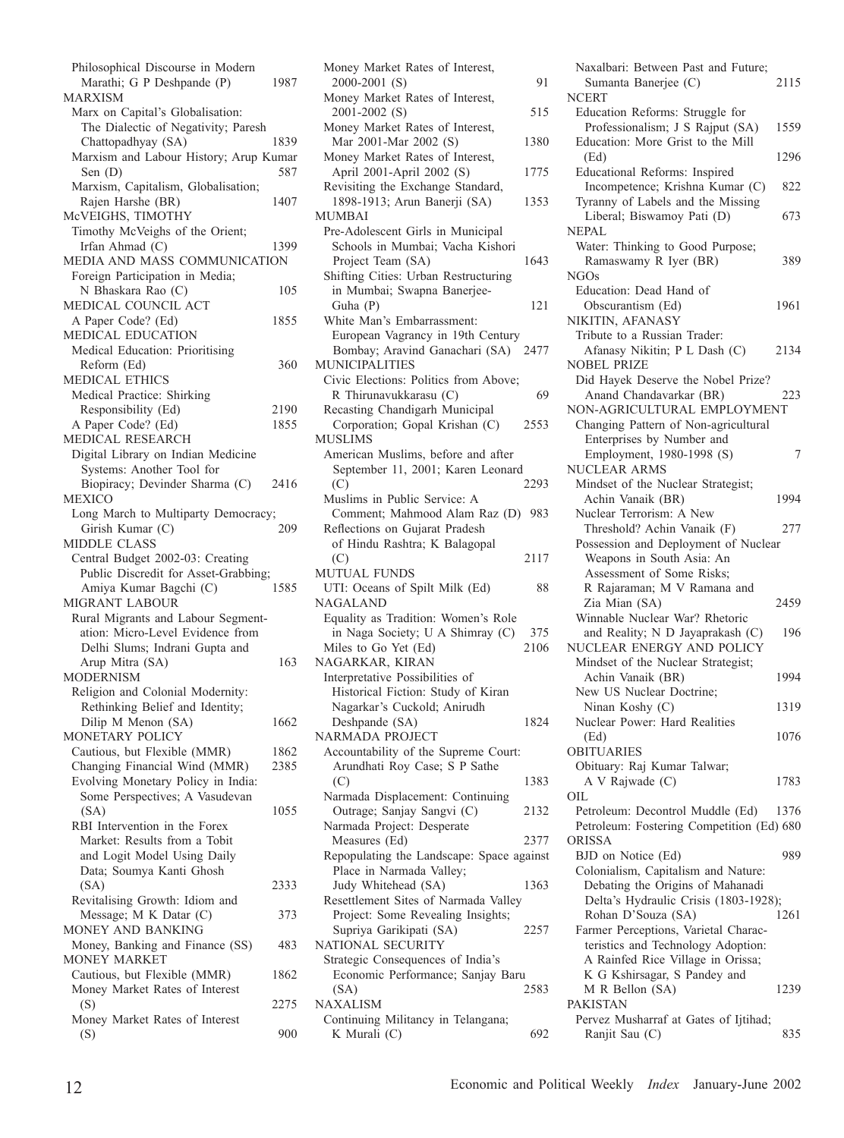Philosophical Discourse in Modern Marathi; G P Deshpande (P) 1987 MARXISM Marx on Capital's Globalisation: The Dialectic of Negativity; Paresh Chattopadhyay (SA) 1839 Marxism and Labour History; Arup Kumar Sen (D) 587 Marxism, Capitalism, Globalisation; Rajen Harshe (BR) 1407 McVEIGHS, TIMOTHY Timothy McVeighs of the Orient; Irfan Ahmad (C) 1399 MEDIA AND MASS COMMUNICATION Foreign Participation in Media; N Bhaskara Rao (C) 105 MEDICAL COUNCIL ACT A Paper Code? (Ed) 1855 MEDICAL EDUCATION Medical Education: Prioritising Reform (Ed) 360 MEDICAL ETHICS Medical Practice: Shirking Responsibility (Ed) 2190 A Paper Code? (Ed) 1855 MEDICAL RESEARCH Digital Library on Indian Medicine Systems: Another Tool for Biopiracy; Devinder Sharma (C) 2416 MEXICO Long March to Multiparty Democracy;<br>Girish Kumar (C) 209 Girish Kumar (C) MIDDLE CLASS Central Budget 2002-03: Creating Public Discredit for Asset-Grabbing; Amiya Kumar Bagchi (C) 1585 MIGRANT LABOUR Rural Migrants and Labour Segmentation: Micro-Level Evidence from Delhi Slums; Indrani Gupta and Arup Mitra (SA) 163 MODERNISM Religion and Colonial Modernity: Rethinking Belief and Identity; Dilip M Menon (SA) 1662 MONETARY POLICY Cautious, but Flexible (MMR) 1862 Changing Financial Wind (MMR) 2385 Evolving Monetary Policy in India: Some Perspectives; A Vasudevan (SA) 1055 RBI Intervention in the Forex Market: Results from a Tobit and Logit Model Using Daily Data; Soumya Kanti Ghosh (SA) 2333 Revitalising Growth: Idiom and Message; M K Datar (C) 373 MONEY AND BANKING Money, Banking and Finance (SS) 483 MONEY MARKET Cautious, but Flexible (MMR) 1862 Money Market Rates of Interest (S) 2275 Money Market Rates of Interest  $($ S $)$  900

Money Market Rates of Interest, 2000-2001 (S) 91 Money Market Rates of Interest, 2001-2002 (S) 515 Money Market Rates of Interest, Mar 2001-Mar 2002 (S) 1380 Money Market Rates of Interest, April 2001-April 2002 (S) 1775 Revisiting the Exchange Standard, 1898-1913; Arun Banerji (SA) 1353 MUMBAI Pre-Adolescent Girls in Municipal Schools in Mumbai; Vacha Kishori Project Team (SA) 1643 Shifting Cities: Urban Restructuring in Mumbai; Swapna Banerjee-Guha (P) 121 White Man's Embarrassment: European Vagrancy in 19th Century Bombay; Aravind Ganachari (SA) 2477 MUNICIPALITIES Civic Elections: Politics from Above; R Thirunavukkarasu (C) 69 Recasting Chandigarh Municipal Corporation; Gopal Krishan (C) 2553 MUSLIMS American Muslims, before and after September 11, 2001; Karen Leonard (C) 2293 Muslims in Public Service: A Comment; Mahmood Alam Raz (D) 983 Reflections on Gujarat Pradesh of Hindu Rashtra; K Balagopal (C) 2117 MUTUAL FUNDS UTI: Oceans of Spilt Milk (Ed) 88 NAGALAND Equality as Tradition: Women's Role in Naga Society; U A Shimray (C) 375 Miles to Go Yet (Ed) 2106 NAGARKAR, KIRAN Interpretative Possibilities of Historical Fiction: Study of Kiran Nagarkar's Cuckold; Anirudh Deshpande (SA) 1824 NARMADA PROJECT Accountability of the Supreme Court: Arundhati Roy Case; S P Sathe (C) 1383 Narmada Displacement: Continuing Outrage; Sanjay Sangvi (C) 2132 Narmada Project: Desperate Measures (Ed) 2377 Repopulating the Landscape: Space against Place in Narmada Valley; Judy Whitehead (SA) 1363 Resettlement Sites of Narmada Valley Project: Some Revealing Insights; Supriya Garikipati (SA) 2257 NATIONAL SECURITY Strategic Consequences of India's Economic Performance; Sanjay Baru (SA) 2583 NAXALISM Continuing Militancy in Telangana; K Murali  $(C)$  692

Naxalbari: Between Past and Future; Sumanta Banerjee (C) 2115 **NCERT** Education Reforms: Struggle for Professionalism; J S Rajput (SA) 1559 Education: More Grist to the Mill (Ed) 1296 Educational Reforms: Inspired Incompetence; Krishna Kumar (C) 822 Tyranny of Labels and the Missing Liberal; Biswamoy Pati (D) 673 NEPAL Water: Thinking to Good Purpose; Ramaswamy R Iyer (BR) 389 NGOs Education: Dead Hand of Obscurantism (Ed) 1961 NIKITIN, AFANASY Tribute to a Russian Trader: Afanasy Nikitin; P L Dash (C) 2134 NOBEL PRIZE Did Hayek Deserve the Nobel Prize? Anand Chandavarkar (BR) 223 NON-AGRICULTURAL EMPLOYMENT Changing Pattern of Non-agricultural Enterprises by Number and Employment, 1980-1998 (S) 7 NUCLEAR ARMS Mindset of the Nuclear Strategist; Achin Vanaik (BR) 1994 Nuclear Terrorism: A New Threshold? Achin Vanaik (F) 277 Possession and Deployment of Nuclear Weapons in South Asia: An Assessment of Some Risks; R Rajaraman; M V Ramana and Zia Mian (SA) 2459 Winnable Nuclear War? Rhetoric and Reality; N D Jayaprakash (C) 196 NUCLEAR ENERGY AND POLICY Mindset of the Nuclear Strategist; Achin Vanaik (BR) 1994 New US Nuclear Doctrine; Ninan Koshy (C) 1319 Nuclear Power: Hard Realities (Ed) 1076 OBITUARIES Obituary: Raj Kumar Talwar; A V Rajwade (C) 1783 OIL Petroleum: Decontrol Muddle (Ed) 1376 Petroleum: Fostering Competition (Ed) 680 ORISSA BJD on Notice (Ed) 989 Colonialism, Capitalism and Nature: Debating the Origins of Mahanadi Delta's Hydraulic Crisis (1803-1928); Rohan D'Souza (SA) 1261 Farmer Perceptions, Varietal Characteristics and Technology Adoption: A Rainfed Rice Village in Orissa; K G Kshirsagar, S Pandey and M R Bellon (SA) 1239 PAKISTAN Pervez Musharraf at Gates of Ijtihad; Ranjit Sau (C) 835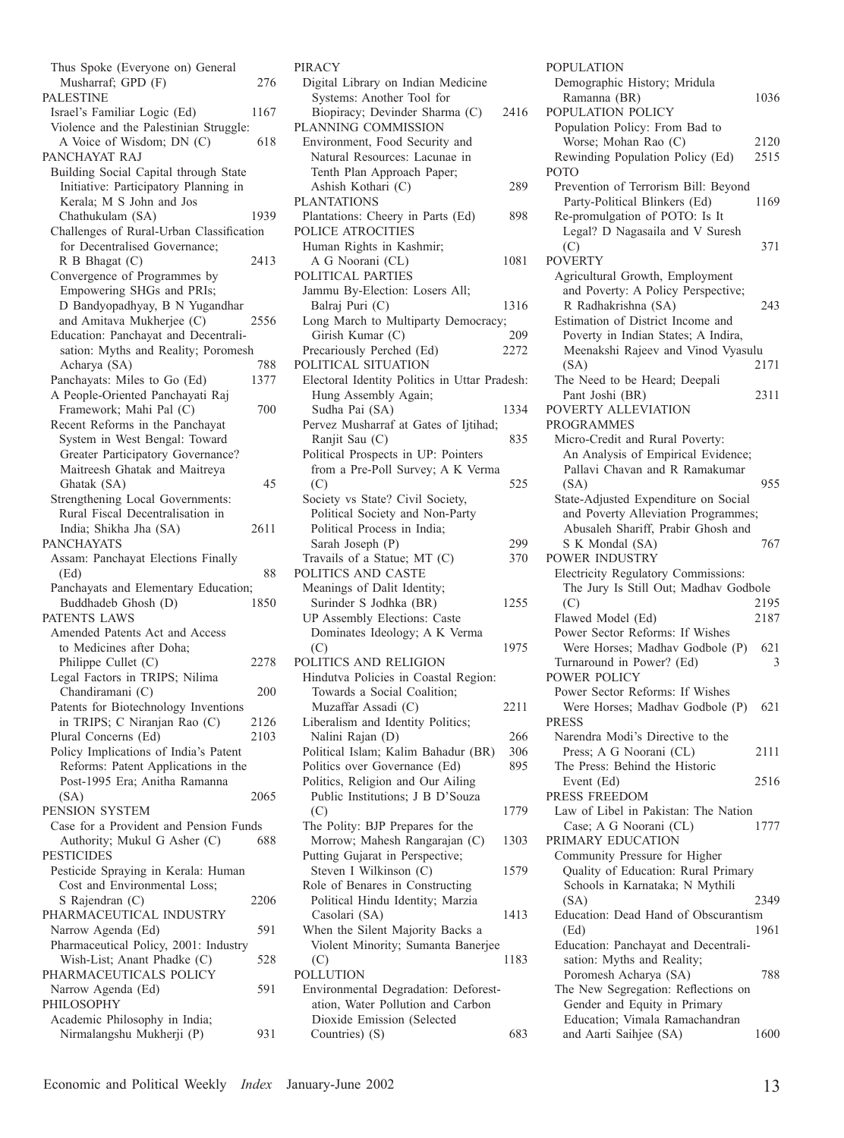| Musharraf; GPD (F)                                               |      |
|------------------------------------------------------------------|------|
|                                                                  | 276  |
| PALESTINE                                                        |      |
| Israel's Familiar Logic (Ed)                                     | 1167 |
| Violence and the Palestinian Struggle:                           |      |
| A Voice of Wisdom; DN (C)                                        | 618  |
| PANCHAYAT RAJ                                                    |      |
| Building Social Capital through State                            |      |
| Initiative: Participatory Planning in                            |      |
| Kerala; M S John and Jos                                         |      |
| Chathukulam (SA)                                                 | 1939 |
| Challenges of Rural-Urban Classification                         |      |
| for Decentralised Governance;                                    |      |
| R B Bhagat (C)                                                   | 2413 |
| Convergence of Programmes by                                     |      |
| Empowering SHGs and PRIs;                                        |      |
| D Bandyopadhyay, B N Yugandhar                                   |      |
| and Amitava Mukherjee (C)                                        | 2556 |
| Education: Panchayat and Decentrali-                             |      |
| sation: Myths and Reality; Poromesh                              |      |
| Acharya (SA)                                                     | 788  |
| Panchayats: Miles to Go (Ed)<br>A People-Oriented Panchayati Raj | 1377 |
| Framework; Mahi Pal (C)                                          | 700  |
| Recent Reforms in the Panchayat                                  |      |
| System in West Bengal: Toward                                    |      |
| Greater Participatory Governance?                                |      |
| Maitreesh Ghatak and Maitreya                                    |      |
| Ghatak (SA)                                                      | 45   |
| Strengthening Local Governments:                                 |      |
| Rural Fiscal Decentralisation in                                 |      |
| India; Shikha Jha (SA)                                           | 2611 |
| <b>PANCHAYATS</b>                                                |      |
| Assam: Panchayat Elections Finally                               |      |
| (Ed)                                                             | 88   |
| Panchayats and Elementary Education;                             |      |
| Buddhadeb Ghosh (D)                                              | 1850 |
| PATENTS LAWS                                                     |      |
|                                                                  |      |
| Amended Patents Act and Access                                   |      |
| to Medicines after Doha;                                         |      |
| Philippe Cullet (C)                                              | 2278 |
| Legal Factors in TRIPS; Nilima                                   |      |
| Chandiramani (C)                                                 | 200  |
| Patents for Biotechnology Inventions                             |      |
| in TRIPS; C Niranjan Rao (C)                                     | 2126 |
| Plural Concerns (Ed)                                             | 2103 |
| Policy Implications of India's Patent                            |      |
| Reforms: Patent Applications in the                              |      |
| Post-1995 Era; Anitha Ramanna                                    |      |
| (SA)                                                             | 2065 |
| PENSION SYSTEM                                                   |      |
| Case for a Provident and Pension Funds                           |      |
| Authority; Mukul G Asher (C)                                     | 688  |
| PESTICIDES                                                       |      |
| Pesticide Spraying in Kerala: Human                              |      |
| Cost and Environmental Loss;                                     |      |
| S Rajendran (C)                                                  | 2206 |
| PHARMACEUTICAL INDUSTRY                                          |      |
| Narrow Agenda (Ed)                                               | 591  |
| Pharmaceutical Policy, 2001: Industry                            |      |
| Wish-List; Anant Phadke (C)                                      | 528  |
| PHARMACEUTICALS POLICY                                           |      |
| Narrow Agenda (Ed)                                               | 591  |
| PHILOSOPHY                                                       |      |
| Academic Philosophy in India;<br>Nirmalangshu Mukherji (P)       | 931  |

| Digital Library on Indian Medicine            |      |
|-----------------------------------------------|------|
| Systems: Another Tool for                     |      |
| Biopiracy; Devinder Sharma (C)                | 2416 |
| PLANNING COMMISSION                           |      |
| Environment, Food Security and                |      |
| Natural Resources: Lacunae in                 |      |
| Tenth Plan Approach Paper;                    |      |
| Ashish Kothari (C)                            | 289  |
| <b>PLANTATIONS</b>                            |      |
| Plantations: Cheery in Parts (Ed)             | 898  |
| POLICE ATROCITIES                             |      |
| Human Rights in Kashmir;                      | 1081 |
| A G Noorani (CL)<br>POLITICAL PARTIES         |      |
| Jammu By-Election: Losers All;                |      |
| Balraj Puri (C)                               | 1316 |
| Long March to Multiparty Democracy;           |      |
| Girish Kumar (C)                              | 209  |
| Precariously Perched (Ed)                     | 2272 |
| POLITICAL SITUATION                           |      |
| Electoral Identity Politics in Uttar Pradesh: |      |
| Hung Assembly Again;                          |      |
| Sudha Pai (SA)                                | 1334 |
| Pervez Musharraf at Gates of Ijtihad;         |      |
| Ranjit Sau (C)                                | 835  |
| Political Prospects in UP: Pointers           |      |
| from a Pre-Poll Survey; A K Verma             |      |
| (C)                                           | 525  |
| Society vs State? Civil Society,              |      |
| Political Society and Non-Party               |      |
| Political Process in India;                   |      |
| Sarah Joseph (P)                              | 299  |
| Travails of a Statue; MT (C)                  | 370  |
| POLITICS AND CASTE                            |      |
| Meanings of Dalit Identity;                   |      |
| Surinder S Jodhka (BR)                        | 1255 |
| <b>UP Assembly Elections: Caste</b>           |      |
| Dominates Ideology; A K Verma                 |      |
| (C)                                           | 1975 |
| POLITICS AND RELIGION                         |      |
| Hindutva Policies in Coastal Region:          |      |
| Towards a Social Coalition;                   |      |
| Muzaffar Assadi (C)                           | 2211 |
| Liberalism and Identity Politics;             |      |
| Nalini Rajan (D)                              | 266  |
| Political Islam; Kalim Bahadur (BR)           | 306  |
| Politics over Governance (Ed)                 | 895  |
| Politics, Religion and Our Ailing             |      |
| Public Institutions; J B D'Souza              |      |
|                                               |      |
| (C)                                           | 1779 |
| The Polity: BJP Prepares for the              |      |
| Morrow; Mahesh Rangarajan (C)                 | 1303 |
| Putting Gujarat in Perspective;               |      |
| Steven I Wilkinson (C)                        | 1579 |
| Role of Benares in Constructing               |      |
| Political Hindu Identity; Marzia              |      |
| Casolari (SA)                                 | 1413 |
| When the Silent Majority Backs a              |      |
| Violent Minority; Sumanta Banerjee            |      |
| (C)                                           | 1183 |
| <b>POLLUTION</b>                              |      |
| Environmental Degradation: Deforest-          |      |
| ation, Water Pollution and Carbon             |      |
| Dioxide Emission (Selected<br>Countries) (S)  | 683  |

PIRACY

| <b>POPULATION</b>                                                         |              |
|---------------------------------------------------------------------------|--------------|
| Demographic History; Mridula                                              |              |
| Ramanna (BR)                                                              | 1036         |
| POPULATION POLICY                                                         |              |
| Population Policy: From Bad to                                            |              |
| Worse; Mohan Rao (C)<br>Rewinding Population Policy (Ed)                  | 2120<br>2515 |
| POTO                                                                      |              |
| Prevention of Terrorism Bill: Beyond                                      |              |
| Party-Political Blinkers (Ed)                                             | 1169         |
| Re-promulgation of POTO: Is It                                            |              |
| Legal? D Nagasaila and V Suresh                                           |              |
| (C)                                                                       | 371          |
| <b>POVERTY</b><br>Agricultural Growth, Employment                         |              |
| and Poverty: A Policy Perspective;                                        |              |
| R Radhakrishna (SA)                                                       | 243          |
| Estimation of District Income and                                         |              |
| Poverty in Indian States; A Indira,                                       |              |
| Meenakshi Rajeev and Vinod Vyasulu                                        |              |
| (SA)                                                                      | 2171         |
| The Need to be Heard; Deepali                                             |              |
| Pant Joshi (BR)<br>POVERTY ALLEVIATION                                    | 2311         |
| PROGRAMMES                                                                |              |
| Micro-Credit and Rural Poverty:                                           |              |
| An Analysis of Empirical Evidence;                                        |              |
| Pallavi Chavan and R Ramakumar                                            |              |
| (SA)                                                                      | 955          |
| State-Adjusted Expenditure on Social                                      |              |
| and Poverty Alleviation Programmes;<br>Abusaleh Shariff, Prabir Ghosh and |              |
| S K Mondal (SA)                                                           | 767          |
| <b>POWER INDUSTRY</b>                                                     |              |
| Electricity Regulatory Commissions:                                       |              |
| The Jury Is Still Out; Madhav Godbole                                     |              |
| (C)                                                                       | 2195         |
| Flawed Model (Ed)                                                         | 2187         |
| Power Sector Reforms: If Wishes<br>Were Horses; Madhav Godbole (P)        | 621          |
| Turnaround in Power? (Ed)                                                 | 3            |
| <b>POWER POLICY</b>                                                       |              |
| Power Sector Reforms: If Wishes                                           |              |
| Were Horses; Madhav Godbole (P)                                           | 621          |
| PRESS                                                                     |              |
| Narendra Modi's Directive to the<br>Press; A G Noorani (CL)               |              |
|                                                                           |              |
|                                                                           | 2111         |
| The Press: Behind the Historic                                            | 2516         |
| Event (Ed)<br>PRESS FREEDOM                                               |              |
| Law of Libel in Pakistan: The Nation                                      |              |
| Case; A G Noorani (CL)                                                    | 1777         |
| PRIMARY EDUCATION                                                         |              |
| Community Pressure for Higher                                             |              |
| Quality of Education: Rural Primary                                       |              |
| Schools in Karnataka; N Mythili<br>(SA)                                   | 2349         |
| Education: Dead Hand of Obscurantism                                      |              |
| (Ed)                                                                      | 1961         |
| Education: Panchayat and Decentrali-                                      |              |
| sation: Myths and Reality;                                                |              |
| Poromesh Acharya (SA)                                                     | 788          |
| The New Segregation: Reflections on                                       |              |
| Gender and Equity in Primary<br>Education; Vimala Ramachandran            |              |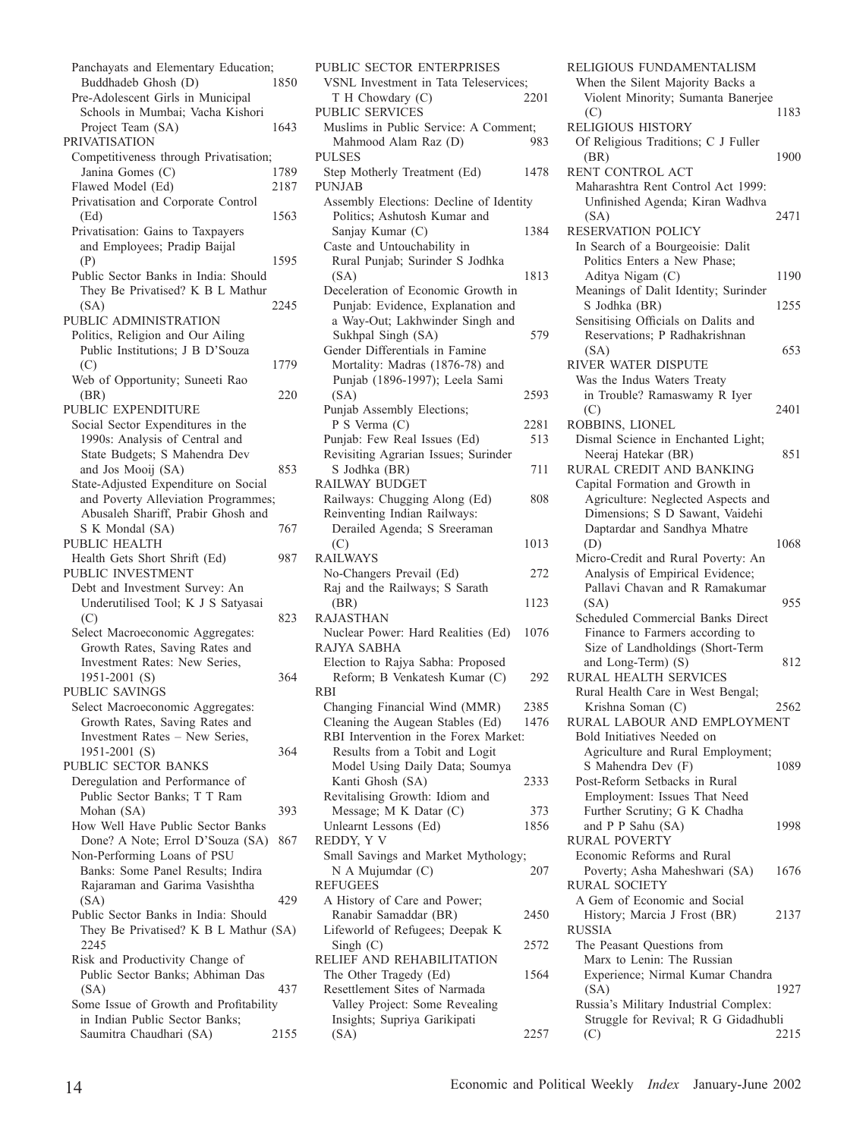Panchayats and Elementary Education;<br>Buddhadeb Ghosh (D) 1850 Buddhadeb Ghosh (D) Pre-Adolescent Girls in Municipal Schools in Mumbai; Vacha Kishori Project Team (SA) 1643 PRIVATISATION Competitiveness through Privatisation;<br>Janina Gomes (C) 1789 Janina Gomes  $(C)$ Flawed Model (Ed) 2187 Privatisation and Corporate Control (Ed) 1563 Privatisation: Gains to Taxpayers and Employees; Pradip Baijal (P) 1595 Public Sector Banks in India: Should They Be Privatised? K B L Mathur (SA) 2245 PUBLIC ADMINISTRATION Politics, Religion and Our Ailing Public Institutions; J B D'Souza (C) 1779 Web of Opportunity; Suneeti Rao (BR) 220 PUBLIC EXPENDITURE Social Sector Expenditures in the 1990s: Analysis of Central and State Budgets; S Mahendra Dev and Jos Mooij (SA) 853 State-Adjusted Expenditure on Social and Poverty Alleviation Programmes; Abusaleh Shariff, Prabir Ghosh and S K Mondal (SA) 767 PUBLIC HEALTH Health Gets Short Shrift (Ed) 987 PUBLIC INVESTMENT Debt and Investment Survey: An Underutilised Tool; K J S Satyasai  $(C)$  823 Select Macroeconomic Aggregates: Growth Rates, Saving Rates and Investment Rates: New Series, 1951-2001 (S) 364 PUBLIC SAVINGS Select Macroeconomic Aggregates: Growth Rates, Saving Rates and Investment Rates – New Series, 1951-2001 (S) 364 PUBLIC SECTOR BANKS Deregulation and Performance of Public Sector Banks; T T Ram Mohan (SA) 393 How Well Have Public Sector Banks Done? A Note; Errol D'Souza (SA) 867 Non-Performing Loans of PSU Banks: Some Panel Results; Indira Rajaraman and Garima Vasishtha (SA) 429 Public Sector Banks in India: Should They Be Privatised? K B L Mathur (SA) 2245 Risk and Productivity Change of Public Sector Banks; Abhiman Das (SA) 437 Some Issue of Growth and Profitability in Indian Public Sector Banks; Saumitra Chaudhari (SA) 2155

PUBLIC SECTOR ENTERPRISES VSNL Investment in Tata Teleservices;<br>
T H Chowdary (C) 2201  $T H$  Chowdary  $(C)$ PUBLIC SERVICES Muslims in Public Service: A Comment; Mahmood Alam Raz (D) 983 PULSES Step Motherly Treatment (Ed) 1478 PUNJAB Assembly Elections: Decline of Identity Politics; Ashutosh Kumar and Sanjay Kumar (C) 1384 Caste and Untouchability in Rural Punjab; Surinder S Jodhka (SA) 1813 Deceleration of Economic Growth in Punjab: Evidence, Explanation and a Way-Out; Lakhwinder Singh and Sukhpal Singh (SA) 579 Gender Differentials in Famine Mortality: Madras (1876-78) and Punjab (1896-1997); Leela Sami (SA) 2593 Punjab Assembly Elections; P S Verma (C) 2281 Punjab: Few Real Issues (Ed) 513 Revisiting Agrarian Issues; Surinder S Jodhka (BR) 711 RAILWAY BUDGET Railways: Chugging Along (Ed) 808 Reinventing Indian Railways: Derailed Agenda; S Sreeraman (C) 1013 RAILWAYS No-Changers Prevail (Ed) 272 Raj and the Railways; S Sarath (BR) 1123 RAJASTHAN Nuclear Power: Hard Realities (Ed) 1076 RAJYA SABHA Election to Rajya Sabha: Proposed Reform; B Venkatesh Kumar (C) 292 RBI Changing Financial Wind (MMR) 2385 Cleaning the Augean Stables (Ed) 1476 RBI Intervention in the Forex Market: Results from a Tobit and Logit Model Using Daily Data; Soumya Kanti Ghosh (SA) 2333 Revitalising Growth: Idiom and Message; M K Datar (C) 373 Unlearnt Lessons (Ed) 1856 REDDY, Y V Small Savings and Market Mythology; N A Mujumdar (C) 207 **REFUGEES** A History of Care and Power; Ranabir Samaddar (BR) 2450 Lifeworld of Refugees; Deepak K Singh (C) 2572 RELIEF AND REHABILITATION The Other Tragedy (Ed) 1564 Resettlement Sites of Narmada Valley Project: Some Revealing Insights; Supriya Garikipati (SA) 2257

RELIGIOUS FUNDAMENTALISM When the Silent Majority Backs a Violent Minority; Sumanta Banerjee (C) 1183 RELIGIOUS HISTORY Of Religious Traditions; C J Fuller (BR) 1900 RENT CONTROL ACT Maharashtra Rent Control Act 1999: Unfinished Agenda; Kiran Wadhva (SA) 2471 RESERVATION POLICY In Search of a Bourgeoisie: Dalit Politics Enters a New Phase; Aditya Nigam (C) 1190 Meanings of Dalit Identity; Surinder S Jodhka (BR) 1255 Sensitising Officials on Dalits and Reservations; P Radhakrishnan  $(SA)$  653 RIVER WATER DISPUTE Was the Indus Waters Treaty in Trouble? Ramaswamy R Iyer (C) 2401 ROBBINS, LIONEL Dismal Science in Enchanted Light; Neeraj Hatekar (BR) 851 RURAL CREDIT AND BANKING Capital Formation and Growth in Agriculture: Neglected Aspects and Dimensions; S D Sawant, Vaidehi Daptardar and Sandhya Mhatre (D) 1068 Micro-Credit and Rural Poverty: An Analysis of Empirical Evidence; Pallavi Chavan and R Ramakumar (SA) 955 Scheduled Commercial Banks Direct Finance to Farmers according to Size of Landholdings (Short-Term and Long-Term $)$  (S) 812 RURAL HEALTH SERVICES Rural Health Care in West Bengal; Krishna Soman (C) 2562 RURAL LABOUR AND EMPLOYMENT Bold Initiatives Needed on Agriculture and Rural Employment; S Mahendra Dev (F) 1089 Post-Reform Setbacks in Rural Employment: Issues That Need Further Scrutiny; G K Chadha and P P Sahu (SA) 1998 RURAL POVERTY Economic Reforms and Rural Poverty; Asha Maheshwari (SA) 1676 RURAL SOCIETY A Gem of Economic and Social History; Marcia J Frost (BR) 2137 RUSSIA The Peasant Questions from Marx to Lenin: The Russian Experience; Nirmal Kumar Chandra (SA) 1927 Russia's Military Industrial Complex: Struggle for Revival; R G Gidadhubli

(C) 2215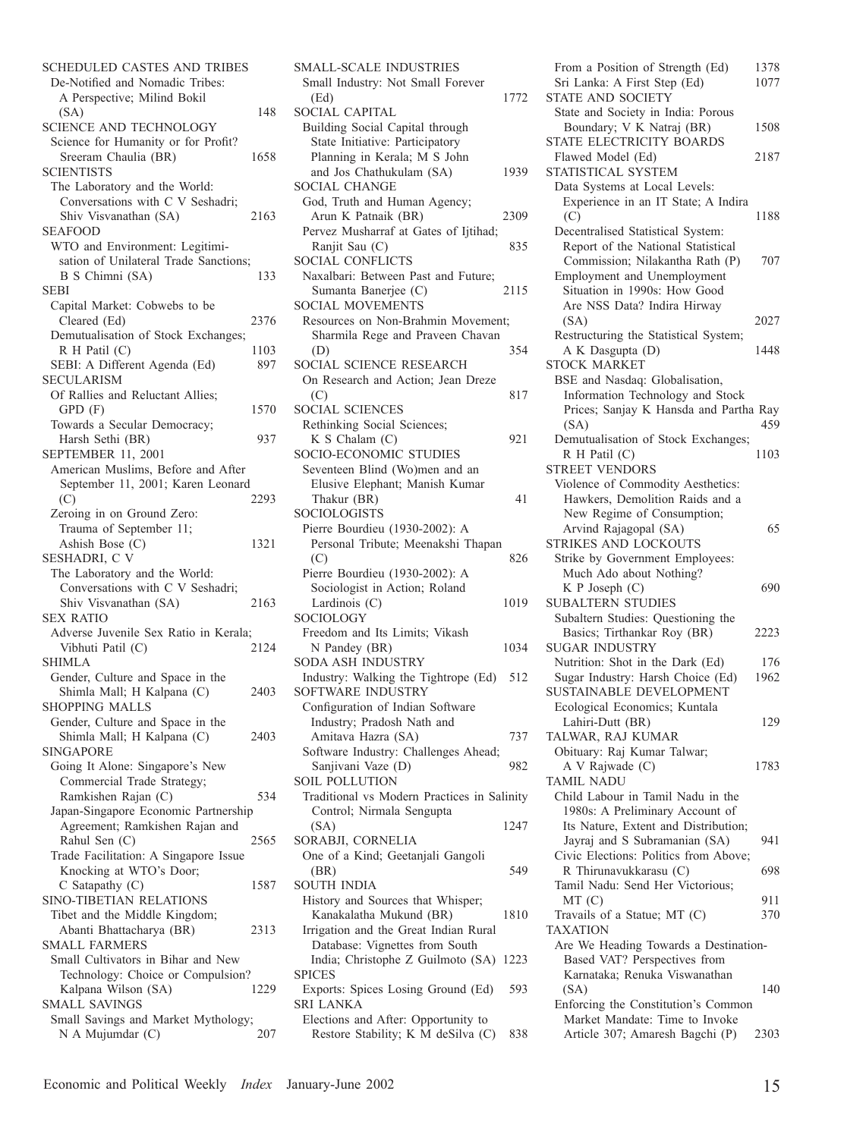| SCHEDULED CASTES AND TRIBES                                 |      |
|-------------------------------------------------------------|------|
| De-Notified and Nomadic Tribes:                             |      |
| A Perspective; Milind Bokil<br>(SA)                         | 148  |
| <b>SCIENCE AND TECHNOLOGY</b>                               |      |
| Science for Humanity or for Profit?                         |      |
| Sreeram Chaulia (BR)                                        | 1658 |
| SCIENTISTS                                                  |      |
| The Laboratory and the World:                               |      |
| Conversations with C V Seshadri;<br>Shiv Visvanathan (SA)   | 2163 |
| <b>SEAFOOD</b>                                              |      |
| WTO and Environment: Legitimi-                              |      |
| sation of Unilateral Trade Sanctions;                       |      |
| B S Chimni (SA)                                             | 133  |
| <b>SEBI</b>                                                 |      |
| Capital Market: Cobwebs to be                               | 2376 |
| Cleared (Ed)<br>Demutualisation of Stock Exchanges;         |      |
| R H Patil (C)                                               | 1103 |
| SEBI: A Different Agenda (Ed)                               | 897  |
| <b>SECULARISM</b>                                           |      |
| Of Rallies and Reluctant Allies;                            |      |
| GPD (F)                                                     | 1570 |
| Towards a Secular Democracy;                                |      |
| Harsh Sethi (BR)<br>SEPTEMBER 11, 2001                      | 937  |
| American Muslims, Before and After                          |      |
| September 11, 2001; Karen Leonard                           |      |
| (C)                                                         | 2293 |
| Zeroing in on Ground Zero:                                  |      |
| Trauma of September 11;                                     |      |
| Ashish Bose (C)                                             | 1321 |
| SESHADRI, C V<br>The Laboratory and the World:              |      |
| Conversations with C V Seshadri;                            |      |
| Shiv Visvanathan (SA)                                       | 2163 |
| <b>SEX RATIO</b>                                            |      |
| Adverse Juvenile Sex Ratio in Kerala;                       |      |
| Vibhuti Patil (C)                                           | 2124 |
| <b>SHIMLA</b><br>Gender, Culture and Space in the           |      |
| Shimla Mall; H Kalpana (C)                                  | 2403 |
| <b>SHOPPING MALLS</b>                                       |      |
| Gender, Culture and Space in the                            |      |
| Shimla Mall; H Kalpana (C)                                  | 2403 |
| <b>SINGAPORE</b>                                            |      |
| Going It Alone: Singapore's New                             |      |
| Commercial Trade Strategy;                                  |      |
| Ramkishen Rajan (C)<br>Japan-Singapore Economic Partnership | 534  |
| Agreement; Ramkishen Rajan and                              |      |
| Rahul Sen (C)                                               | 2565 |
| Trade Facilitation: A Singapore Issue                       |      |
| Knocking at WTO's Door;                                     |      |
| C Satapathy (C)                                             | 1587 |
| SINO-TIBETIAN RELATIONS                                     |      |
| Tibet and the Middle Kingdom;<br>Abanti Bhattacharya (BR)   | 2313 |
| <b>SMALL FARMERS</b>                                        |      |
| Small Cultivators in Bihar and New                          |      |
| Technology: Choice or Compulsion?                           |      |
| Kalpana Wilson (SA)                                         | 1229 |
| <b>SMALL SAVINGS</b>                                        |      |
| Small Savings and Market Mythology;                         | 207  |
| N A Mujumdar (C)                                            |      |

| SMALL-SCALE INDUSTRIES                                                           |
|----------------------------------------------------------------------------------|
| Small Industry: Not Small Forever                                                |
| 1772<br>(Ed)                                                                     |
| <b>SOCIAL CAPITAL</b>                                                            |
| Building Social Capital through                                                  |
| State Initiative: Participatory                                                  |
| Planning in Kerala; M S John                                                     |
| and Jos Chathukulam (SA)<br>1939                                                 |
| <b>SOCIAL CHANGE</b>                                                             |
|                                                                                  |
| God, Truth and Human Agency;                                                     |
| Arun K Patnaik (BR)<br>2309                                                      |
| Pervez Musharraf at Gates of Ijtihad;                                            |
| Ranjit Sau (C)<br>835                                                            |
| <b>SOCIAL CONFLICTS</b>                                                          |
| Naxalbari: Between Past and Future;                                              |
| Sumanta Banerjee (C)<br>2115                                                     |
| <b>SOCIAL MOVEMENTS</b>                                                          |
| Resources on Non-Brahmin Movement;                                               |
| Sharmila Rege and Praveen Chavan                                                 |
| 354<br>(D)                                                                       |
| SOCIAL SCIENCE RESEARCH                                                          |
|                                                                                  |
| On Research and Action; Jean Dreze                                               |
| 817<br>(C)                                                                       |
| <b>SOCIAL SCIENCES</b>                                                           |
| Rethinking Social Sciences;                                                      |
| $K S$ Chalam $(C)$<br>921                                                        |
| <b>SOCIO-ECONOMIC STUDIES</b>                                                    |
| Seventeen Blind (Wo)men and an                                                   |
| Elusive Elephant; Manish Kumar                                                   |
| Thakur (BR)<br>41                                                                |
| <b>SOCIOLOGISTS</b>                                                              |
| Pierre Bourdieu (1930-2002): A                                                   |
|                                                                                  |
| Personal Tribute; Meenakshi Thapan                                               |
| (C)<br>826                                                                       |
| Pierre Bourdieu (1930-2002): A                                                   |
| Sociologist in Action; Roland                                                    |
| Lardinois (C)<br>1019                                                            |
| SOCIOLOGY                                                                        |
| Freedom and Its Limits; Vikash                                                   |
| N Pandey (BR)<br>1034                                                            |
| SODA ASH INDUSTRY                                                                |
| Industry: Walking the Tightrope (Ed)<br>512                                      |
| SOFTWARE INDUSTRY                                                                |
| Configuration of Indian Software                                                 |
|                                                                                  |
|                                                                                  |
| Industry; Pradosh Nath and                                                       |
| Amitava Hazra (SA)<br>737                                                        |
| Software Industry: Challenges Ahead;                                             |
| Sanjivani Vaze (D)<br>982                                                        |
| <b>SOIL POLLUTION</b>                                                            |
|                                                                                  |
| Traditional vs Modern Practices in Salinity<br>Control; Nirmala Sengupta         |
| 1247                                                                             |
| (SA)                                                                             |
| SORABJI, CORNELIA                                                                |
| One of a Kind; Geetanjali Gangoli                                                |
| (BR)<br>549                                                                      |
| <b>SOUTH INDIA</b>                                                               |
| History and Sources that Whisper;                                                |
| Kanakalatha Mukund (BR)<br>1810                                                  |
| Irrigation and the Great Indian Rural                                            |
| Database: Vignettes from South                                                   |
| India; Christophe Z Guilmoto (SA)<br>1223                                        |
| <b>SPICES</b>                                                                    |
| Exports: Spices Losing Ground (Ed)<br>593                                        |
| <b>SRI LANKA</b>                                                                 |
|                                                                                  |
| Elections and After: Opportunity to<br>Restore Stability; K M deSilva (C)<br>838 |

| From a Position of Strength (Ed)<br>Sri Lanka: A First Step (Ed)<br><b>STATE AND SOCIETY</b>                                                                                                             | 1378<br>1077 |
|----------------------------------------------------------------------------------------------------------------------------------------------------------------------------------------------------------|--------------|
| State and Society in India: Porous<br>Boundary; V K Natraj (BR)<br>STATE ELECTRICITY BOARDS                                                                                                              | 1508         |
| Flawed Model (Ed)<br>STATISTICAL SYSTEM<br>Data Systems at Local Levels:                                                                                                                                 | 2187         |
| Experience in an IT State; A Indira<br>(C)                                                                                                                                                               | 1188         |
| Decentralised Statistical System:<br>Report of the National Statistical<br>Commission; Nilakantha Rath (P)<br>Employment and Unemployment<br>Situation in 1990s: How Good<br>Are NSS Data? Indira Hirway | 707          |
| (SA)                                                                                                                                                                                                     | 2027         |
| Restructuring the Statistical System;<br>A K Dasgupta (D)<br><b>STOCK MARKET</b>                                                                                                                         | 1448         |
| BSE and Nasdaq: Globalisation,<br>Information Technology and Stock<br>Prices; Sanjay K Hansda and Partha Ray<br>(SA)                                                                                     | 459          |
| Demutualisation of Stock Exchanges;<br>R H Patil (C)<br><b>STREET VENDORS</b>                                                                                                                            | 1103         |
| Violence of Commodity Aesthetics:<br>Hawkers, Demolition Raids and a<br>New Regime of Consumption;<br>Arvind Rajagopal (SA)<br>STRIKES AND LOCKOUTS<br>Strike by Government Employees:                   | 65           |
| Much Ado about Nothing?                                                                                                                                                                                  |              |
| K P Joseph (C)<br><b>SUBALTERN STUDIES</b>                                                                                                                                                               | 690          |
| Subaltern Studies: Questioning the<br>Basics; Tirthankar Roy (BR)<br><b>SUGAR INDUSTRY</b>                                                                                                               | 2223         |
| Nutrition: Shot in the Dark (Ed)                                                                                                                                                                         | 176          |
| Sugar Industry: Harsh Choice (Ed)<br><b>SUSTAINABLE DEVELOPMENT</b><br>Ecological Economics; Kuntala                                                                                                     | 1962         |
| Lahiri-Dutt (BR)<br>TALWAR, RAJ KUMAR                                                                                                                                                                    | 129          |
| Obituary: Raj Kumar Talwar;<br>A V Rajwade (C)<br><b>TAMIL NADU</b>                                                                                                                                      | 1783         |
| Child Labour in Tamil Nadu in the<br>1980s: A Preliminary Account of<br>Its Nature, Extent and Distribution;                                                                                             |              |
| Jayraj and S Subramanian (SA)<br>Civic Elections: Politics from Above;                                                                                                                                   | 941          |
| R Thirunavukkarasu (C)                                                                                                                                                                                   | 698          |
| Tamil Nadu: Send Her Victorious;                                                                                                                                                                         |              |
| MT(C)<br>Travails of a Statue; MT (C)                                                                                                                                                                    | 911<br>370   |
| <b>TAXATION</b><br>Are We Heading Towards a Destination-                                                                                                                                                 |              |
| Based VAT? Perspectives from<br>Karnataka; Renuka Viswanathan                                                                                                                                            |              |
| (SA)<br>Enforcing the Constitution's Common                                                                                                                                                              | 140          |
| Market Mandate: Time to Invoke<br>Article 307; Amaresh Bagchi (P)                                                                                                                                        | 2303         |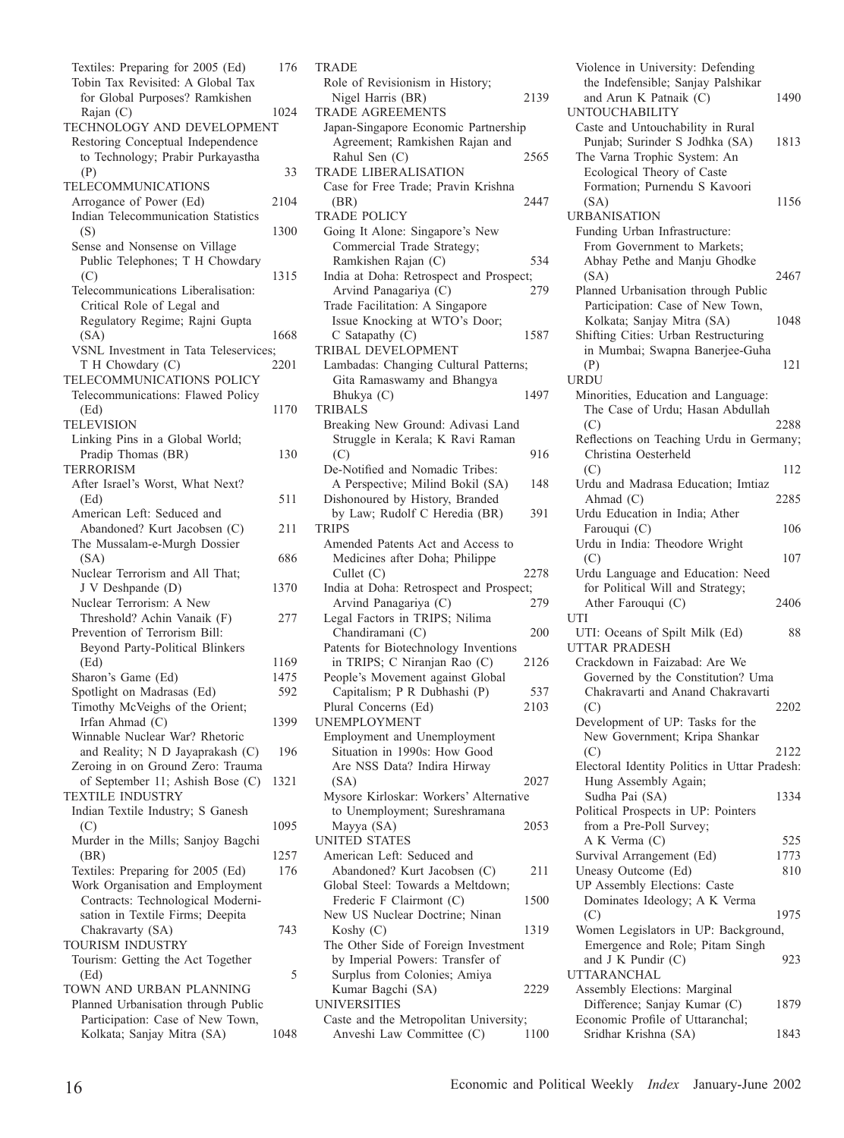Textiles: Preparing for 2005 (Ed) 176 Tobin Tax Revisited: A Global Tax for Global Purposes? Ramkishen Rajan (C) 1024 TECHNOLOGY AND DEVELOPMENT Restoring Conceptual Independence to Technology; Prabir Purkayastha (P) 33 TELECOMMUNICATIONS Arrogance of Power (Ed) 2104 Indian Telecommunication Statistics (S) 1300 Sense and Nonsense on Village Public Telephones; T H Chowdary  $(C)$  1315 Telecommunications Liberalisation: Critical Role of Legal and Regulatory Regime; Rajni Gupta (SA) 1668 VSNL Investment in Tata Teleservices;<br>
T H Chowdary (C) 2201  $T H$  Chowdary  $(C)$ TELECOMMUNICATIONS POLICY Telecommunications: Flawed Policy (Ed) 1170 TELEVISION Linking Pins in a Global World; Pradip Thomas (BR) 130 TERRORISM After Israel's Worst, What Next? (Ed) 511 American Left: Seduced and Abandoned? Kurt Jacobsen (C) 211 The Mussalam-e-Murgh Dossier  $(SA)$  686 Nuclear Terrorism and All That; J V Deshpande (D) 1370 Nuclear Terrorism: A New Threshold? Achin Vanaik (F) 277 Prevention of Terrorism Bill: Beyond Party-Political Blinkers (Ed) 1169 Sharon's Game (Ed) 1475 Spotlight on Madrasas (Ed) 592 Timothy McVeighs of the Orient; Irfan Ahmad (C) 1399 Winnable Nuclear War? Rhetoric and Reality; N D Jayaprakash (C) 196 Zeroing in on Ground Zero: Trauma of September 11; Ashish Bose (C) 1321 TEXTILE INDUSTRY Indian Textile Industry; S Ganesh (C) 1095 Murder in the Mills; Sanjoy Bagchi (BR) 1257 Textiles: Preparing for 2005 (Ed) 176 Work Organisation and Employment Contracts: Technological Modernisation in Textile Firms; Deepita Chakravarty (SA) 743 TOURISM INDUSTRY Tourism: Getting the Act Together  $(Ed)$  5 TOWN AND URBAN PLANNING Planned Urbanisation through Public Participation: Case of New Town, Kolkata; Sanjay Mitra (SA) 1048

**TRADE** Role of Revisionism in History; Nigel Harris (BR) 2139 TRADE AGREEMENTS Japan-Singapore Economic Partnership Agreement; Ramkishen Rajan and Rahul Sen (C) 2565 TRADE LIBERALISATION Case for Free Trade; Pravin Krishna (BR) 2447 TRADE POLICY Going It Alone: Singapore's New Commercial Trade Strategy; Ramkishen Rajan (C) 534 India at Doha: Retrospect and Prospect; Arvind Panagariya (C) 279 Trade Facilitation: A Singapore Issue Knocking at WTO's Door; C Satapathy (C) 1587 TRIBAL DEVELOPMENT Lambadas: Changing Cultural Patterns; Gita Ramaswamy and Bhangya Bhukya (C) 1497 TRIBALS Breaking New Ground: Adivasi Land Struggle in Kerala; K Ravi Raman  $( C)$  916 De-Notified and Nomadic Tribes: A Perspective; Milind Bokil (SA) 148 Dishonoured by History, Branded by Law; Rudolf C Heredia (BR) 391 TRIPS Amended Patents Act and Access to Medicines after Doha; Philippe Cullet (C) 2278 India at Doha: Retrospect and Prospect; Arvind Panagariya (C) 279 Legal Factors in TRIPS; Nilima Chandiramani (C) 200 Patents for Biotechnology Inventions in TRIPS; C Niranjan Rao (C) 2126 People's Movement against Global Capitalism; P R Dubhashi (P) 537<br>
lural Concerns (Ed) 2103 Plural Concerns (Ed) UNEMPLOYMENT Employment and Unemployment Situation in 1990s: How Good Are NSS Data? Indira Hirway (SA) 2027 Mysore Kirloskar: Workers' Alternative to Unemployment; Sureshramana Mayya (SA) 2053 UNITED STATES American Left: Seduced and Abandoned? Kurt Jacobsen (C) 211 Global Steel: Towards a Meltdown; Frederic F Clairmont (C) 1500 New US Nuclear Doctrine; Ninan Koshy (C) 1319 The Other Side of Foreign Investment by Imperial Powers: Transfer of Surplus from Colonies; Amiya Kumar Bagchi (SA) 2229 UNIVERSITIES Caste and the Metropolitan University; Anveshi Law Committee (C) 1100

Violence in University: Defending the Indefensible; Sanjay Palshikar and Arun K Patnaik (C) 1490 UNTOUCHABILITY Caste and Untouchability in Rural Punjab; Surinder S Jodhka (SA) 1813 The Varna Trophic System: An Ecological Theory of Caste Formation; Purnendu S Kavoori (SA) 1156 URBANISATION Funding Urban Infrastructure: From Government to Markets; Abhay Pethe and Manju Ghodke (SA) 2467 Planned Urbanisation through Public Participation: Case of New Town, Kolkata; Sanjay Mitra (SA) 1048 Shifting Cities: Urban Restructuring in Mumbai; Swapna Banerjee-Guha (P) 121 URDU Minorities, Education and Language: The Case of Urdu; Hasan Abdullah (C) 2288 Reflections on Teaching Urdu in Germany; Christina Oesterheld  $($ C $)$  112 Urdu and Madrasa Education; Imtiaz Ahmad (C) 2285 Urdu Education in India; Ather Farouqui (C) 106 Urdu in India: Theodore Wright  $(C)$  107 Urdu Language and Education: Need for Political Will and Strategy; Ather Farouqui (C) 2406 UTI UTI: Oceans of Spilt Milk (Ed) 88 UTTAR PRADESH Crackdown in Faizabad: Are We Governed by the Constitution? Uma Chakravarti and Anand Chakravarti (C) 2202 Development of UP: Tasks for the New Government; Kripa Shankar (C) 2122 Electoral Identity Politics in Uttar Pradesh: Hung Assembly Again; Sudha Pai (SA) 1334 Political Prospects in UP: Pointers from a Pre-Poll Survey;  $AK \, Verman (C)$  525 Survival Arrangement (Ed) 1773 Uneasy Outcome (Ed) 810 UP Assembly Elections: Caste Dominates Ideology; A K Verma (C) 1975 Women Legislators in UP: Background, Emergence and Role; Pitam Singh and J K Pundir (C) 923 UTTARANCHAL Assembly Elections: Marginal Difference; Sanjay Kumar (C) 1879 Economic Profile of Uttaranchal; Sridhar Krishna (SA) 1843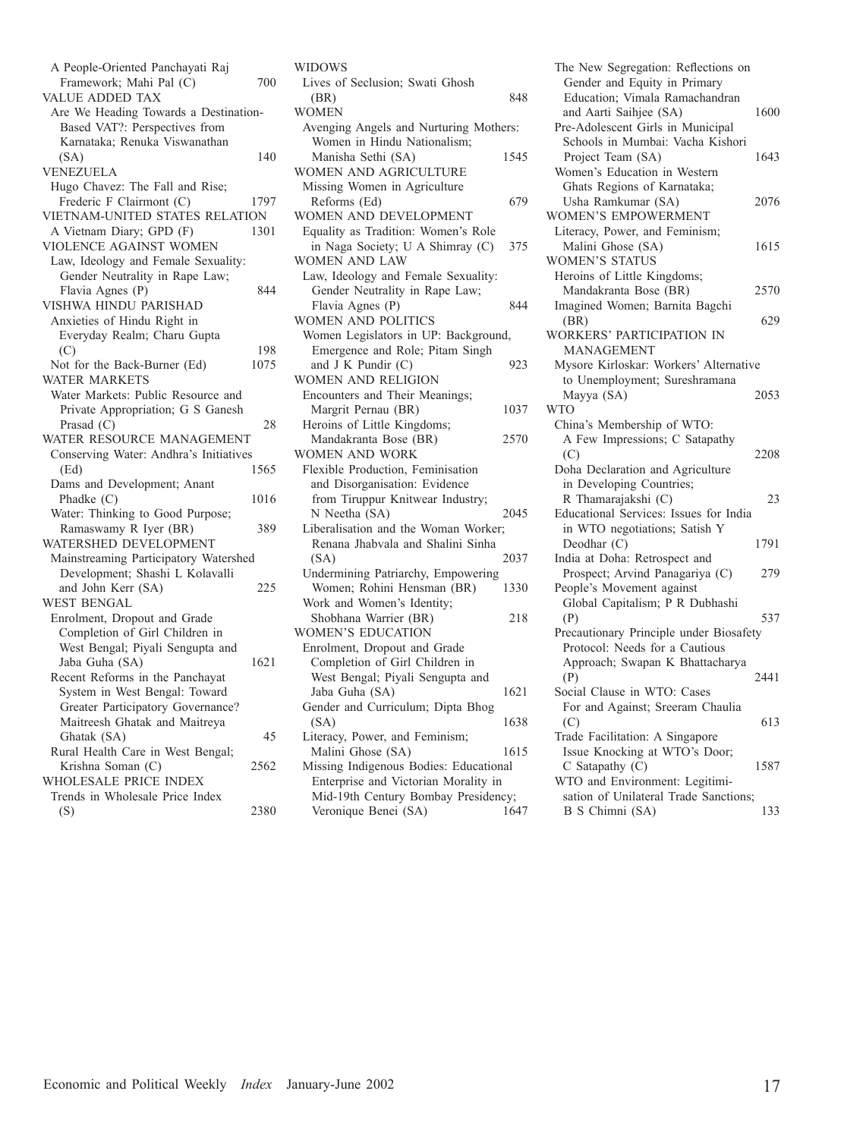| A People-Oriented Panchayati Raj<br>Framework; Mahi Pal (C)<br><b>VALUE ADDED TAX</b>                   | 700         |
|---------------------------------------------------------------------------------------------------------|-------------|
| Are We Heading Towards a Destination-<br>Based VAT?: Perspectives from<br>Karnataka; Renuka Viswanathan |             |
| (SA)<br>VENEZUELA                                                                                       | 140         |
| Hugo Chavez: The Fall and Rise;<br>Frederic F Clairmont (C)<br>VIETNAM-UNITED STATES RELATION           | 1797        |
| A Vietnam Diary; GPD (F)<br>VIOLENCE AGAINST WOMEN                                                      | 1301        |
| Law, Ideology and Female Sexuality:<br>Gender Neutrality in Rape Law;<br>Flavia Agnes (P)               | 844         |
| VISHWA HINDU PARISHAD<br>Anxieties of Hindu Right in<br>Everyday Realm; Charu Gupta                     |             |
| (C)<br>Not for the Back-Burner (Ed)                                                                     | 198<br>1075 |
| <b>WATER MARKETS</b><br>Water Markets: Public Resource and<br>Private Appropriation; G S Ganesh         |             |
| Prasad $(C)$<br>WATER RESOURCE MANAGEMENT                                                               | 28          |
| Conserving Water: Andhra's Initiatives<br>(Ed)<br>Dams and Development; Anant                           | 1565        |
| Phadke (C)<br>Water: Thinking to Good Purpose;                                                          | 1016        |
| Ramaswamy R Iyer (BR)<br>WATERSHED DEVELOPMENT<br>Mainstreaming Participatory Watershed                 | 389         |
| Development; Shashi L Kolavalli<br>and John Kerr (SA)                                                   | 225         |
| <b>WEST BENGAL</b><br>Enrolment, Dropout and Grade<br>Completion of Girl Children in                    |             |
| West Bengal; Piyali Sengupta and<br>Jaba Guha (SA)<br>Recent Reforms in the Panchayat                   | 1621        |
| System in West Bengal: Toward<br>Greater Participatory Governance?                                      |             |
| Maitreesh Ghatak and Maitreya<br>Ghatak (SA)<br>Rural Health Care in West Bengal;                       | 45          |
| Krishna Soman (C)<br>WHOLESALE PRICE INDEX                                                              | 2562        |
| Trends in Wholesale Price Index<br>(S)                                                                  | 2380        |

| WIDOWS                                                                |      |
|-----------------------------------------------------------------------|------|
| Lives of Seclusion; Swati Ghosh                                       |      |
| (BR)                                                                  | 848  |
| <b>WOMEN</b>                                                          |      |
| Avenging Angels and Nurturing Mothers:<br>Women in Hindu Nationalism; |      |
| Manisha Sethi (SA)                                                    | 1545 |
| WOMEN AND AGRICULTURE                                                 |      |
| Missing Women in Agriculture                                          |      |
| Reforms (Ed)                                                          | 679  |
| WOMEN AND DEVELOPMENT                                                 |      |
| Equality as Tradition: Women's Role                                   |      |
| in Naga Society; U A Shimray (C)                                      | 375  |
| WOMEN AND LAW                                                         |      |
| Law, Ideology and Female Sexuality:                                   |      |
| Gender Neutrality in Rape Law;                                        |      |
| Flavia Agnes (P)<br>WOMEN AND POLITICS                                | 844  |
| Women Legislators in UP: Background,                                  |      |
| Emergence and Role; Pitam Singh                                       |      |
| and J K Pundir (C)                                                    | 923  |
| WOMEN AND RELIGION                                                    |      |
| Encounters and Their Meanings;                                        |      |
| Margrit Pernau (BR)                                                   | 1037 |
| Heroins of Little Kingdoms;                                           |      |
| Mandakranta Bose (BR)                                                 | 2570 |
| WOMEN AND WORK                                                        |      |
| Flexible Production, Feminisation                                     |      |
| and Disorganisation: Evidence                                         |      |
| from Tiruppur Knitwear Industry;                                      |      |
| N Neetha (SA)                                                         | 2045 |
| Liberalisation and the Woman Worker;                                  |      |
| Renana Jhabvala and Shalini Sinha                                     |      |
| (SA)                                                                  | 2037 |
| Undermining Patriarchy, Empowering                                    |      |
| Women; Rohini Hensman (BR)                                            | 1330 |
| Work and Women's Identity;<br>Shobhana Warrier (BR)                   | 218  |
| WOMEN'S EDUCATION                                                     |      |
| Enrolment, Dropout and Grade                                          |      |
| Completion of Girl Children in                                        |      |
| West Bengal; Piyali Sengupta and                                      |      |
| Jaba Guha (SA)                                                        | 1621 |
| Gender and Curriculum; Dipta Bhog                                     |      |
| (SA)                                                                  | 1638 |
| Literacy, Power, and Feminism;                                        |      |
| Malini Ghose (SA)                                                     | 1615 |
| Missing Indigenous Bodies: Educational                                |      |
| Enterprise and Victorian Morality in                                  |      |
| Mid-19th Century Bombay Presidency;                                   |      |
| Veronique Benei (SA)                                                  | 1647 |

| The New Segregation: Reflections on<br>Gender and Equity in Primary       |      |
|---------------------------------------------------------------------------|------|
| Education; Vimala Ramachandran<br>and Aarti Saihjee (SA)                  | 1600 |
| Pre-Adolescent Girls in Municipal<br>Schools in Mumbai: Vacha Kishori     |      |
| Project Team (SA)                                                         | 1643 |
| Women's Education in Western<br>Ghats Regions of Karnataka;               |      |
| Usha Ramkumar (SA)                                                        | 2076 |
| WOMEN'S EMPOWERMENT                                                       |      |
| Literacy, Power, and Feminism;                                            |      |
| Malini Ghose (SA)                                                         | 1615 |
| WOMEN'S STATUS                                                            |      |
| Heroins of Little Kingdoms;<br>Mandakranta Bose (BR)                      | 2570 |
| Imagined Women; Barnita Bagchi                                            |      |
| (BR)                                                                      | 629  |
| WORKERS' PARTICIPATION IN                                                 |      |
| <b>MANAGEMENT</b>                                                         |      |
| Mysore Kirloskar: Workers' Alternative                                    |      |
| to Unemployment; Sureshramana                                             |      |
| Mayya (SA)<br><b>WTO</b>                                                  | 2053 |
| China's Membership of WTO:                                                |      |
| A Few Impressions; C Satapathy                                            |      |
| (C)                                                                       | 2208 |
| Doha Declaration and Agriculture                                          |      |
| in Developing Countries;                                                  |      |
| R Thamarajakshi (C)                                                       | 23   |
| Educational Services: Issues for India                                    |      |
| in WTO negotiations; Satish Y                                             |      |
| Deodhar (C)<br>India at Doha: Retrospect and                              | 1791 |
| Prospect; Arvind Panagariya (C)                                           | 279  |
| People's Movement against                                                 |      |
| Global Capitalism; P R Dubhashi                                           |      |
| (P)                                                                       | 537  |
| Precautionary Principle under Biosafety<br>Protocol: Needs for a Cautious |      |
| Approach; Swapan K Bhattacharya                                           |      |
| (P)                                                                       | 2441 |
| Social Clause in WTO: Cases                                               |      |
| For and Against; Sreeram Chaulia                                          |      |
| (C)                                                                       | 613  |
| Trade Facilitation: A Singapore                                           |      |
| Issue Knocking at WTO's Door;<br>$C$ Satapathy $(C)$                      | 1587 |
| WTO and Environment: Legitimi-                                            |      |
| sation of Unilateral Trade Sanctions;                                     |      |
| B S Chimni (SA)                                                           | 133  |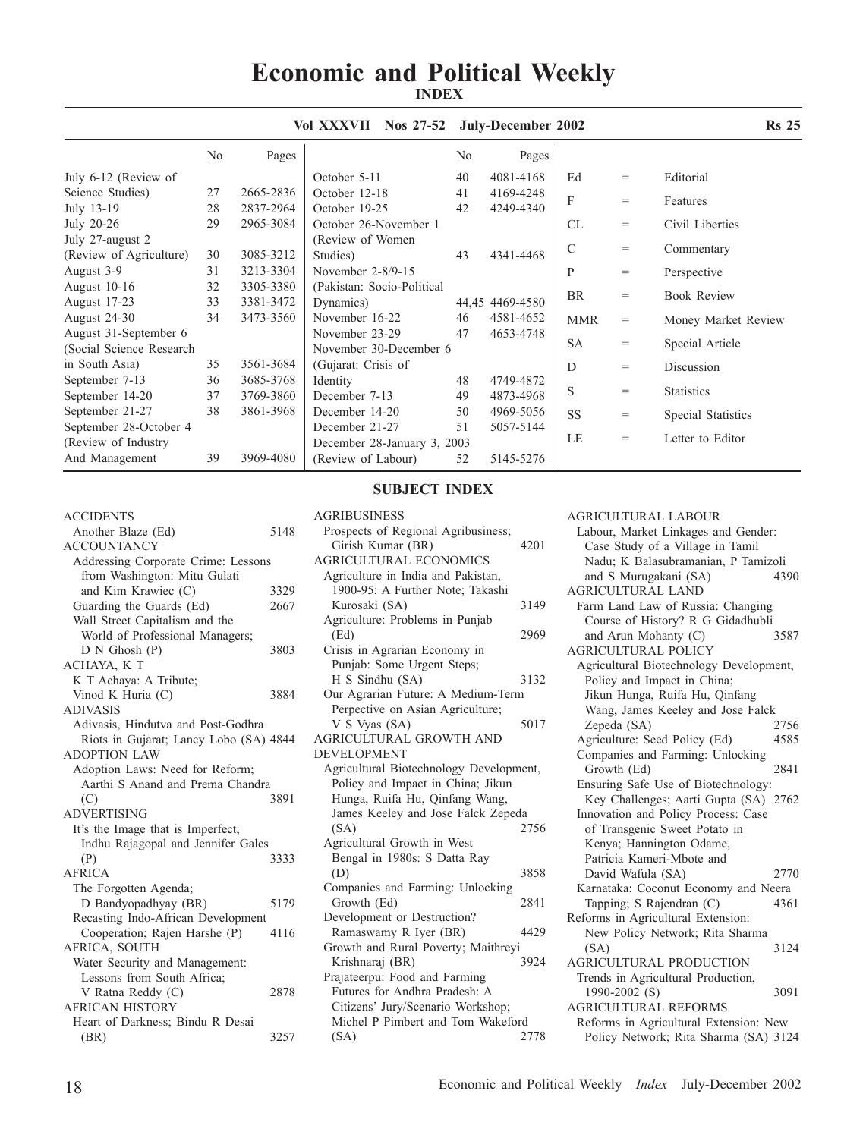## **Economic and Political Weekly INDEX**

|                          |    |           | Vol XXXVII<br>Nos $27-52$   |    | July-December 2002 |            |                   | <b>Rs</b> 25        |
|--------------------------|----|-----------|-----------------------------|----|--------------------|------------|-------------------|---------------------|
|                          | No | Pages     |                             | No | Pages              |            |                   |                     |
| July 6-12 (Review of     |    |           | October 5-11                | 40 | 4081-4168          | Ed         | $=$               | Editorial           |
| Science Studies)         | 27 | 2665-2836 | October 12-18               | 41 | 4169-4248          | F          |                   |                     |
| July 13-19               | 28 | 2837-2964 | October 19-25               | 42 | 4249-4340          |            | $=$               | Features            |
| July 20-26               | 29 | 2965-3084 | October 26-November 1       |    |                    | CL         | $=$               | Civil Liberties     |
| July 27-august 2         |    |           | (Review of Women)           |    |                    |            |                   |                     |
| (Review of Agriculture)  | 30 | 3085-3212 | Studies)                    | 43 | 4341-4468          | C          | $=$               | Commentary          |
| August 3-9               | 31 | 3213-3304 | November 2-8/9-15           |    |                    | P          | $=$               | Perspective         |
| August 10-16             | 32 | 3305-3380 | (Pakistan: Socio-Political  |    |                    |            |                   |                     |
| August 17-23             | 33 | 3381-3472 | Dynamics)                   |    | 44.45 4469-4580    | <b>BR</b>  | $=$               | <b>Book Review</b>  |
| August 24-30             | 34 | 3473-3560 | November 16-22              | 46 | 4581-4652          | <b>MMR</b> | $=$               | Money Market Review |
| August 31-September 6    |    |           | November 23-29              | 47 | 4653-4748          |            |                   |                     |
| (Social Science Research |    |           | November 30-December 6      |    |                    | <b>SA</b>  | $\qquad \qquad =$ | Special Article     |
| in South Asia)           | 35 | 3561-3684 | (Gujarat: Crisis of         |    |                    | D          | $=$               | Discussion          |
| September 7-13           | 36 | 3685-3768 | Identity                    | 48 | 4749-4872          |            |                   |                     |
| September 14-20          | 37 | 3769-3860 | December 7-13               | 49 | 4873-4968          | S          | $=$               | <b>Statistics</b>   |
| September 21-27          | 38 | 3861-3968 | December 14-20              | 50 | 4969-5056          | <b>SS</b>  | $=$               | Special Statistics  |
| September 28-October 4   |    |           | December 21-27              | 51 | 5057-5144          |            |                   |                     |
| (Review of Industry)     |    |           | December 28-January 3, 2003 |    |                    | LE         | $=$               | Letter to Editor    |
| And Management           | 39 | 3969-4080 | (Review of Labour)          | 52 | 5145-5276          |            |                   |                     |

### **SUBJECT INDEX**

AGRIBUSINESS

| Another Blaze (Ed)                       | 5148 |
|------------------------------------------|------|
| <b>ACCOUNTANCY</b>                       |      |
| Addressing Corporate Crime: Lessons      |      |
| from Washington: Mitu Gulati             |      |
| and Kim Krawiec (C)                      | 3329 |
| Guarding the Guards (Ed)                 | 2667 |
| Wall Street Capitalism and the           |      |
| World of Professional Managers;          |      |
| $D N$ Ghosh $(P)$                        | 3803 |
| ACHAYA, KT                               |      |
| K T Achaya: A Tribute;                   |      |
| Vinod K Huria (C)                        | 3884 |
| <b>ADIVASIS</b>                          |      |
| Adivasis, Hindutva and Post-Godhra       |      |
| Riots in Gujarat; Lancy Lobo (SA) 4844   |      |
| <b>ADOPTION LAW</b>                      |      |
| Adoption Laws: Need for Reform;          |      |
| Aarthi S Anand and Prema Chandra         |      |
| (C)                                      | 3891 |
| <b>ADVERTISING</b>                       |      |
| It's the Image that is Imperfect;        |      |
| Indhu Rajagopal and Jennifer Gales       |      |
| (P)                                      | 3333 |
| <b>AFRICA</b>                            |      |
| The Forgotten Agenda;                    |      |
| D Bandyopadhyay (BR)                     | 5179 |
| Recasting Indo-African Development       |      |
| Cooperation; Rajen Harshe (P)            | 4116 |
| AFRICA, SOUTH                            |      |
| Water Security and Management:           |      |
| Lessons from South Africa;               |      |
| V Ratna Reddy (C)                        |      |
|                                          | 2878 |
| <b>AFRICAN HISTORY</b>                   |      |
| Heart of Darkness; Bindu R Desai<br>(BR) | 3257 |

**ACCIDENTS** 

| Prospects of Regional Agribusiness;     |      |
|-----------------------------------------|------|
| Girish Kumar (BR)                       | 4201 |
| <b>AGRICULTURAL ECONOMICS</b>           |      |
| Agriculture in India and Pakistan,      |      |
| 1900-95: A Further Note; Takashi        |      |
| Kurosaki (SA)                           | 3149 |
| Agriculture: Problems in Punjab         |      |
| (Ed)                                    | 2969 |
| Crisis in Agrarian Economy in           |      |
| Punjab: Some Urgent Steps;              |      |
| H S Sindhu (SA)                         | 3132 |
| Our Agrarian Future: A Medium-Term      |      |
| Perpective on Asian Agriculture;        |      |
| V S Vyas (SA)                           | 5017 |
| AGRICULTURAL GROWTH AND                 |      |
| <b>DEVELOPMENT</b>                      |      |
| Agricultural Biotechnology Development, |      |
| Policy and Impact in China; Jikun       |      |
| Hunga, Ruifa Hu, Qinfang Wang,          |      |
| James Keeley and Jose Falck Zepeda      |      |
| (SA)                                    | 2756 |
| Agricultural Growth in West             |      |
| Bengal in 1980s: S Datta Ray            |      |
| (D)                                     | 3858 |
| Companies and Farming: Unlocking        |      |
| Growth (Ed)                             | 2841 |
| Development or Destruction?             |      |
| Ramaswamy R Iyer (BR)                   | 4429 |
| Growth and Rural Poverty; Maithreyi     |      |
| Krishnaraj (BR)                         | 3924 |
| Prajateerpu: Food and Farming           |      |
| Futures for Andhra Pradesh: A           |      |
| Citizens' Jury/Scenario Workshop;       |      |
| Michel P Pimbert and Tom Wakeford       |      |
| (SA)                                    | 2778 |

### AGRICULTURAL LABOUR

Labour, Market Linkages and Gender: Case Study of a Village in Tamil Nadu; K Balasubramanian, P Tamizoli and S Murugakani (SA) 4390 AGRICULTURAL LAND Farm Land Law of Russia: Changing Course of History? R G Gidadhubli and Arun Mohanty (C) 3587 AGRICULTURAL POLICY Agricultural Biotechnology Development, Policy and Impact in China; Jikun Hunga, Ruifa Hu, Qinfang Wang, James Keeley and Jose Falck Zepeda (SA) Agriculture: Seed Policy (Ed) 4585 Companies and Farming: Unlocking Growth (Ed) 2841 Ensuring Safe Use of Biotechnology: Key Challenges; Aarti Gupta (SA) 2762 Innovation and Policy Process: Case of Transgenic Sweet Potato in Kenya; Hannington Odame, Patricia Kameri-Mbote and David Wafula (SA) 2770 Karnataka: Coconut Economy and Neera Tapping; S Rajendran (C) 4361 Reforms in Agricultural Extension: New Policy Network; Rita Sharma (SA) 3124 AGRICULTURAL PRODUCTION Trends in Agricultural Production, 1990-2002 (S) 3091 AGRICULTURAL REFORMS Reforms in Agricultural Extension: New Policy Network; Rita Sharma (SA) 3124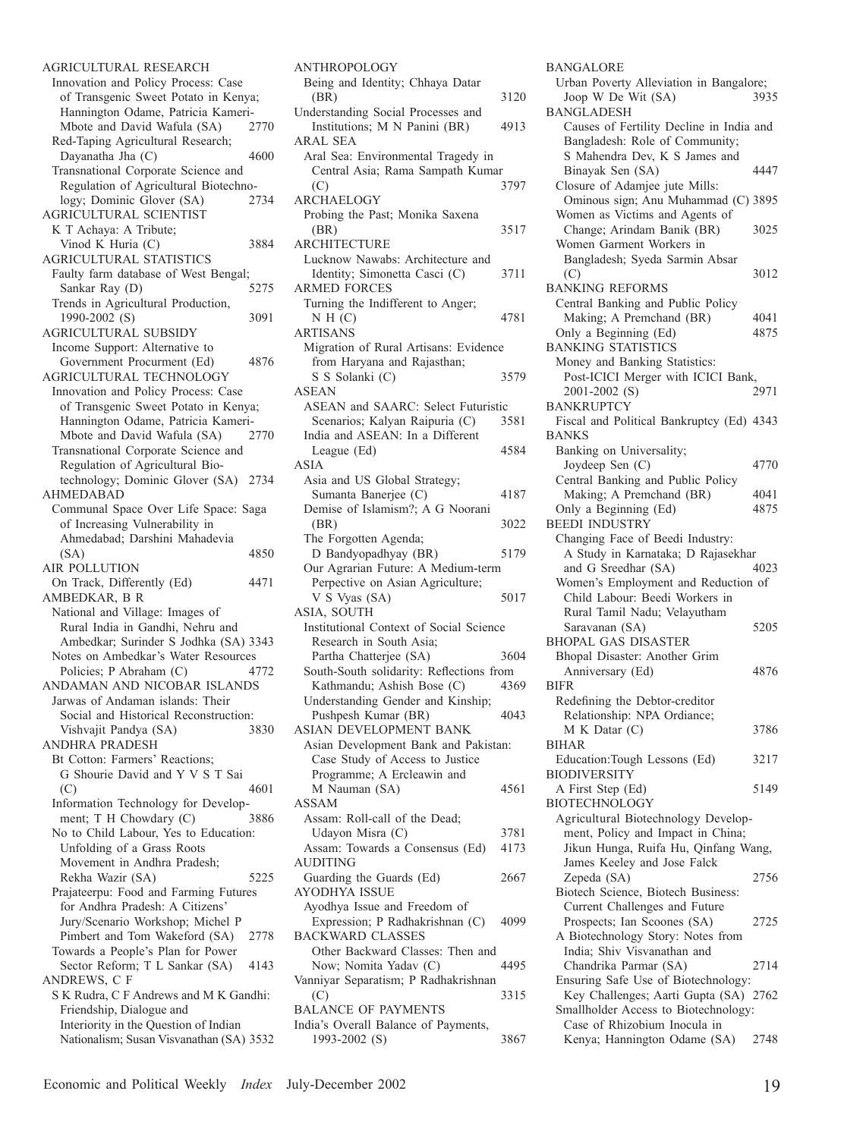AGRICULTURAL RESEARCH Innovation and Policy Process: Case of Transgenic Sweet Potato in Kenya; Hannington Odame, Patricia Kameri-<br>Mbote and David Wafula (SA) 2770 Mbote and David Wafula (SA) Red-Taping Agricultural Research; Dayanatha Jha (C) 4600 Transnational Corporate Science and Regulation of Agricultural Biotechnology; Dominic Glover (SA) 2734 AGRICULTURAL SCIENTIST K T Achaya: A Tribute; Vinod K Huria (C) 3884 AGRICULTURAL STATISTICS Faulty farm database of West Bengal; Sankar Ray (D) 5275 Trends in Agricultural Production, 1990-2002 (S) 3091 AGRICULTURAL SUBSIDY Income Support: Alternative to Government Procurment (Ed) 4876 AGRICULTURAL TECHNOLOGY Innovation and Policy Process: Case of Transgenic Sweet Potato in Kenya; Hannington Odame, Patricia Kameri-Mbote and David Wafula (SA) 2770 Transnational Corporate Science and Regulation of Agricultural Biotechnology; Dominic Glover (SA) 2734 AHMEDABAD Communal Space Over Life Space: Saga of Increasing Vulnerability in Ahmedabad; Darshini Mahadevia 4850 AIR POLLUTION On Track, Differently (Ed) 4471 AMBEDKAR, B R National and Village: Images of Rural India in Gandhi, Nehru and Ambedkar; Surinder S Jodhka (SA) 3343 Notes on Ambedkar's Water Resources Policies; P Abraham (C) 4772 ANDAMAN AND NICOBAR ISLANDS Jarwas of Andaman islands: Their Social and Historical Reconstruction: Vishvajit Pandya (SA) 3830 ANDHRA PRADESH Bt Cotton: Farmers' Reactions; G Shourie David and Y V S T Sai (C) 4601 Information Technology for Development; T H Chowdary (C) 3886 No to Child Labour, Yes to Education: Unfolding of a Grass Roots Movement in Andhra Pradesh; Rekha Wazir (SA) 5225 Prajateerpu: Food and Farming Futures for Andhra Pradesh: A Citizens' Jury/Scenario Workshop; Michel P Pimbert and Tom Wakeford (SA) 2778 Towards a People's Plan for Power Sector Reform; T L Sankar (SA) 4143 ANDREWS, C F S K Rudra, C F Andrews and M K Gandhi: Friendship, Dialogue and Interiority in the Question of Indian Nationalism; Susan Visvanathan (SA) 3532

| <b>ANTHROPOLOGY</b>                                                 |      |
|---------------------------------------------------------------------|------|
| Being and Identity; Chhaya Datar                                    |      |
| (BR)                                                                | 3120 |
| Understanding Social Processes and<br>Institutions; M N Panini (BR) | 4913 |
| <b>ARAL SEA</b>                                                     |      |
| Aral Sea: Environmental Tragedy in                                  |      |
| Central Asia; Rama Sampath Kumar                                    |      |
| (C)<br><b>ARCHAELOGY</b>                                            | 3797 |
| Probing the Past; Monika Saxena                                     |      |
| (BR)                                                                | 3517 |
| <b>ARCHITECTURE</b>                                                 |      |
| Lucknow Nawabs: Architecture and                                    |      |
| Identity; Simonetta Casci (C)                                       | 3711 |
| <b>ARMED FORCES</b>                                                 |      |
| Turning the Indifferent to Anger;                                   |      |
| N H (C)                                                             | 4781 |
| <b>ARTISANS</b>                                                     |      |
| Migration of Rural Artisans: Evidence                               |      |
| from Haryana and Rajasthan;                                         |      |
| S S Solanki (C)                                                     | 3579 |
| <b>ASEAN</b>                                                        |      |
| ASEAN and SAARC: Select Futuristic                                  | 3581 |
| Scenarios; Kalyan Raipuria (C)<br>India and ASEAN: In a Different   |      |
| League (Ed)                                                         | 4584 |
| <b>ASIA</b>                                                         |      |
| Asia and US Global Strategy;                                        |      |
| Sumanta Banerjee (C)                                                | 4187 |
| Demise of Islamism?; A G Noorani                                    |      |
| (BR)                                                                | 3022 |
| The Forgotten Agenda;                                               |      |
|                                                                     |      |
| D Bandyopadhyay (BR)                                                | 5179 |
| Our Agrarian Future: A Medium-term                                  |      |
| Perpective on Asian Agriculture;                                    |      |
| V S Vyas (SA)                                                       | 5017 |
| ASIA, SOUTH                                                         |      |
| Institutional Context of Social Science                             |      |
| Research in South Asia:                                             |      |
| Partha Chatterjee (SA)                                              | 3604 |
| South-South solidarity: Reflections from                            |      |
| Kathmandu; Ashish Bose (C)<br>Understanding Gender and Kinship;     | 4369 |
| Pushpesh Kumar (BR)                                                 | 4043 |
| ASIAN DEVELOPMENT BANK                                              |      |
| Asian Development Bank and Pakistan:                                |      |
| Case Study of Access to Justice                                     |      |
| Programme; A Ercleawin and                                          |      |
| M Nauman (SA)                                                       | 4561 |
| <b>ASSAM</b>                                                        |      |
| Assam: Roll-call of the Dead;                                       |      |
| Udayon Misra (C)                                                    | 3781 |
| Assam: Towards a Consensus (Ed)                                     | 4173 |
| <b>AUDITING</b>                                                     |      |
| Guarding the Guards (Ed)                                            | 2667 |
| <b>AYODHYA ISSUE</b>                                                |      |
| Ayodhya Issue and Freedom of<br>Expression; P Radhakrishnan (C)     | 4099 |
| <b>BACKWARD CLASSES</b>                                             |      |
| Other Backward Classes: Then and                                    |      |
| Now; Nomita Yadav (C)                                               | 4495 |
| Vanniyar Separatism; P Radhakrishnan                                |      |
| (C)                                                                 | 3315 |
| <b>BALANCE OF PAYMENTS</b>                                          |      |
| India's Overall Balance of Payments,<br>1993-2002 (S)               | 3867 |

| BANGALORE                                                           |      |
|---------------------------------------------------------------------|------|
| Urban Poverty Alleviation in Bangalore;                             |      |
| Joop W De Wit (SA)<br><b>BANGLADESH</b>                             | 3935 |
| Causes of Fertility Decline in India and                            |      |
| Bangladesh: Role of Community;                                      |      |
| S Mahendra Dev, K S James and                                       |      |
| Binayak Sen (SA)<br>Closure of Adamjee jute Mills:                  | 4447 |
| Ominous sign; Anu Muhammad (C) 3895                                 |      |
| Women as Victims and Agents of                                      |      |
| Change; Arindam Banik (BR)                                          | 3025 |
| Women Garment Workers in                                            |      |
| Bangladesh; Syeda Sarmin Absar<br>(C)                               | 3012 |
| <b>BANKING REFORMS</b>                                              |      |
| Central Banking and Public Policy                                   |      |
| Making; A Premchand (BR)                                            | 4041 |
| Only a Beginning (Ed)<br><b>BANKING STATISTICS</b>                  | 4875 |
| Money and Banking Statistics:                                       |      |
| Post-ICICI Merger with ICICI Bank,                                  |      |
| 2001-2002 (S)                                                       | 2971 |
| <b>BANKRUPTCY</b>                                                   |      |
| Fiscal and Political Bankruptcy (Ed) 4343                           |      |
| BANKS<br>Banking on Universality;                                   |      |
| Joydeep Sen (C)                                                     | 4770 |
| Central Banking and Public Policy                                   |      |
| Making; A Premchand (BR)                                            | 4041 |
| Only a Beginning (Ed)<br><b>BEEDI INDUSTRY</b>                      | 4875 |
| Changing Face of Beedi Industry:                                    |      |
| A Study in Karnataka; D Rajasekhar                                  |      |
|                                                                     |      |
| and G Sreedhar (SA)                                                 | 4023 |
| Women's Employment and Reduction of                                 |      |
| Child Labour: Beedi Workers in                                      |      |
| Rural Tamil Nadu; Velayutham                                        |      |
| Saravanan (SA)<br><b>BHOPAL GAS DISASTER</b>                        | 5205 |
| Bhopal Disaster: Another Grim                                       |      |
| Anniversary (Ed)                                                    | 4876 |
| <b>BIFR</b>                                                         |      |
| Redefining the Debtor-creditor                                      |      |
| Relationship: NPA Ordiance;                                         | 3786 |
| M K Datar (C)<br>BIHAR                                              |      |
| Education:Tough Lessons (Ed)                                        | 3217 |
| <b>BIODIVERSITY</b>                                                 |      |
| A First Step (Ed)                                                   | 5149 |
| <b>BIOTECHNOLOGY</b><br>Agricultural Biotechnology Develop-         |      |
| ment, Policy and Impact in China;                                   |      |
| Jikun Hunga, Ruifa Hu, Qinfang Wang,                                |      |
| James Keeley and Jose Falck                                         |      |
| Zepeda (SA)                                                         | 2756 |
| Biotech Science, Biotech Business:<br>Current Challenges and Future |      |
| Prospects; Ian Scoones (SA)                                         | 2725 |
| A Biotechnology Story: Notes from                                   |      |
| India; Shiv Visvanathan and                                         |      |
| Chandrika Parmar (SA)<br>Ensuring Safe Use of Biotechnology:        | 2714 |
| Key Challenges; Aarti Gupta (SA) 2762                               |      |
| Smallholder Access to Biotechnology:                                |      |
| Case of Rhizobium Inocula in<br>Kenya; Hannington Odame (SA) 2748   |      |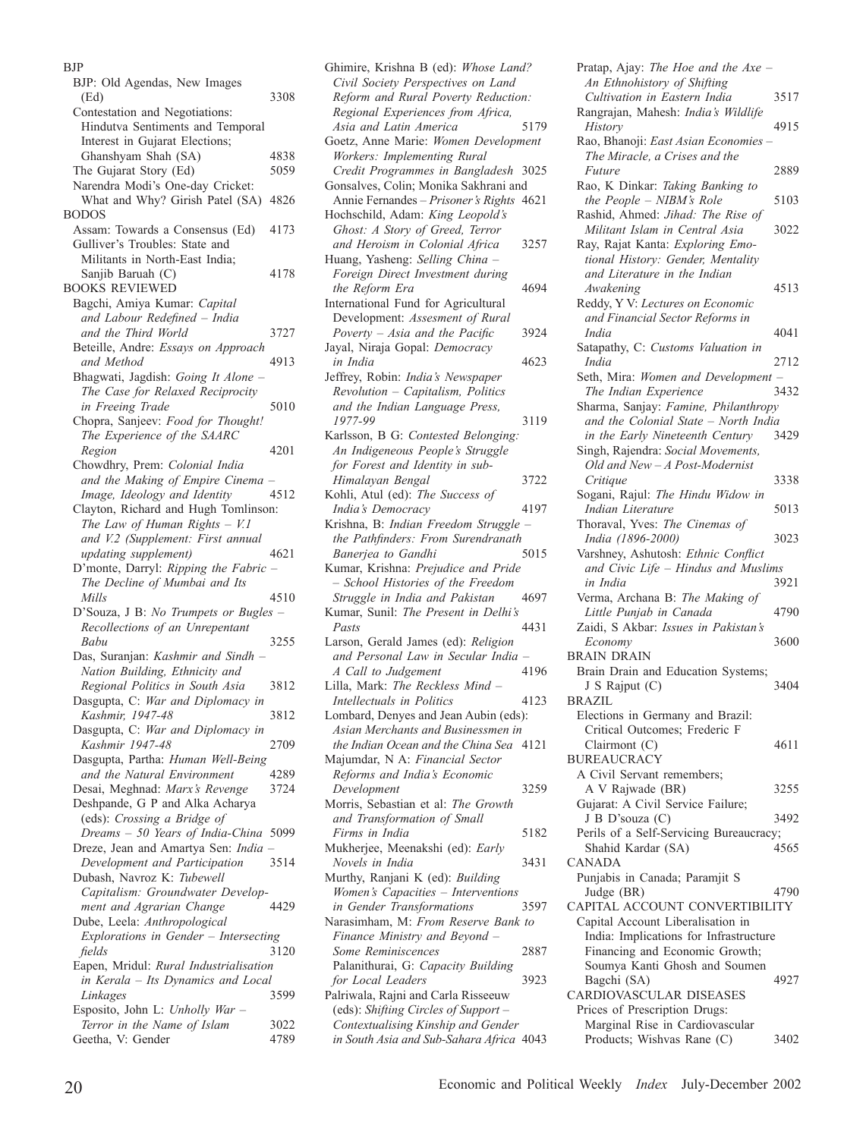#### BJP

| BJP: Old Agendas, New Images           |      |
|----------------------------------------|------|
| (Ed)                                   | 3308 |
| Contestation and Negotiations:         |      |
| Hindutva Sentiments and Temporal       |      |
|                                        |      |
| Interest in Gujarat Elections;         |      |
| Ghanshyam Shah (SA)                    | 4838 |
| The Gujarat Story (Ed)                 | 5059 |
| Narendra Modi's One-day Cricket:       |      |
| What and Why? Girish Patel (SA) 4826   |      |
|                                        |      |
| <b>BODOS</b>                           |      |
| Assam: Towards a Consensus (Ed)        | 4173 |
| Gulliver's Troubles: State and         |      |
| Militants in North-East India;         |      |
|                                        | 4178 |
| Sanjib Baruah (C)                      |      |
| <b>BOOKS REVIEWED</b>                  |      |
| Bagchi, Amiya Kumar: Capital           |      |
| and Labour Redefined - India           |      |
| and the Third World                    | 3727 |
|                                        |      |
| Beteille, Andre: Essays on Approach    |      |
| and Method                             | 4913 |
| Bhagwati, Jagdish: Going It Alone -    |      |
| The Case for Relaxed Reciprocity       |      |
| in Freeing Trade                       | 5010 |
|                                        |      |
| Chopra, Sanjeev: Food for Thought!     |      |
| The Experience of the SAARC            |      |
| Region                                 | 4201 |
| Chowdhry, Prem: Colonial India         |      |
|                                        |      |
| and the Making of Empire Cinema        |      |
| Image, Ideology and Identity           | 4512 |
| Clayton, Richard and Hugh Tomlinson:   |      |
| The Law of Human Rights $-$ V.1        |      |
| and V.2 (Supplement: First annual      |      |
|                                        |      |
|                                        |      |
| updating supplement)                   | 4621 |
| D'monte, Darryl: Ripping the Fabric    |      |
| The Decline of Mumbai and Its          |      |
| Mills                                  | 4510 |
|                                        |      |
| D'Souza, J B: No Trumpets or Bugles -  |      |
| Recollections of an Unrepentant        |      |
| Babu                                   | 3255 |
| Das, Suranjan: Kashmir and Sindh       |      |
|                                        |      |
| Nation Building, Ethnicity and         |      |
| Regional Politics in South Asia        | 3812 |
| Dasgupta, C: War and Diplomacy in      |      |
| Kashmir, 1947-48                       | 3812 |
| Dasgupta, C: War and Diplomacy in      |      |
|                                        | 2709 |
| Kashmir 1947-48                        |      |
| Dasgupta, Partha: Human Well-Being     |      |
| and the Natural Environment            | 4289 |
| Desai, Meghnad: Marx's Revenge         | 3724 |
| Deshpande, G P and Alka Acharya        |      |
|                                        |      |
| (eds): Crossing a Bridge of            |      |
| Dreams - 50 Years of India-China       | 5099 |
| Dreze, Jean and Amartya Sen: India     |      |
| Development and Participation          | 3514 |
| Dubash, Navroz K: Tubewell             |      |
|                                        |      |
| Capitalism: Groundwater Develop-       |      |
| ment and Agrarian Change               | 4429 |
| Dube, Leela: Anthropological           |      |
| Explorations in Gender - Intersecting  |      |
| fields                                 | 3120 |
|                                        |      |
| Eapen, Mridul: Rural Industrialisation |      |
| in Kerala - Its Dynamics and Local     |      |
| Linkages                               | 3599 |
| Esposito, John L: Unholly War -        |      |
| Terror in the Name of Islam            | 3022 |

Ghimire, Krishna B (ed): *Whose Land? Civil Society Perspectives on Land Reform and Rural Poverty Reduction: Regional Experiences from Africa, Asia and Latin America* 5179 Goetz, Anne Marie: *Women Development Workers: Implementing Rural Credit Programmes in Bangladesh* 3025 Gonsalves, Colin; Monika Sakhrani and Annie Fernandes – *Prisoner's Rights* 4621 Hochschild, Adam: *King Leopold's Ghost: A Story of Greed, Terror and Heroism in Colonial Africa* 3257 Huang, Yasheng: *Selling China – Foreign Direct Investment during the Reform Era* 4694 International Fund for Agricultural Development: *Assesment of Rural Poverty – Asia and the Pacific* 3924 Jayal, Niraja Gopal: *Democracy in India* 4623 Jeffrey, Robin: *India's Newspaper Revolution – Capitalism, Politics and the Indian Language Press, 1977-99* 3119 Karlsson, B G: *Contested Belonging: An Indigeneous People's Struggle for Forest and Identity in sub-Himalayan Bengal* 3722 Kohli, Atul (ed): *The Success of India's Democracy* 4197 Krishna, B: *Indian Freedom Struggle – the Pathfinders: From Surendranath*  **Banerjea** to Gandhi Kumar, Krishna: *Prejudice and Pride – School Histories of the Freedom Struggle in India and Pakistan* 4697 Kumar, Sunil: *The Present in Delhi's Pasts* 4431 Larson, Gerald James (ed): *Religion and Personal Law in Secular India – A Call to Judgement* 4196 Lilla, Mark: *The Reckless Mind – Intellectuals in Politics* 4123 Lombard, Denyes and Jean Aubin (eds): *Asian Merchants and Businessmen in the Indian Ocean and the China Sea* 4121 Majumdar, N A: *Financial Sector Reforms and India's Economic Development* 3259 Morris, Sebastian et al: *The Growth and Transformation of Small Firms in India* 5182 Mukherjee, Meenakshi (ed): *Early Novels in India* 3431 Murthy, Ranjani K (ed): *Building Women's Capacities – Interventions in Gender Transformations* 3597 Narasimham, M: *From Reserve Bank to Finance Ministry and Beyond – Some Reminiscences* 2887 Palanithurai, G: *Capacity Building for Local Leaders* 3923 Palriwala, Rajni and Carla Risseeuw (eds): *Shifting Circles of Support – Contextualising Kinship and Gender in South Asia and Sub-Sahara Africa* 4043

Pratap, Ajay: *The Hoe and the Axe – An Ethnohistory of Shifting Cultivation in Eastern India* 3517 Rangrajan, Mahesh: *India's Wildlife History* 4915 Rao, Bhanoji: *East Asian Economies – The Miracle, a Crises and the Future* 2889 Rao, K Dinkar: *Taking Banking to the People – NIBM's Role* 5103 Rashid, Ahmed: *Jihad: The Rise of Militant Islam in Central Asia* 3022 Ray, Rajat Kanta: *Exploring Emotional History: Gender, Mentality and Literature in the Indian Awakening* 4513 Reddy, Y V: *Lectures on Economic and Financial Sector Reforms in India* 4041 Satapathy, C: *Customs Valuation in India* 2712 Seth, Mira: *Women and Development –*  **The Indian Experience** Sharma, Sanjay: *Famine, Philanthropy and the Colonial State – North India in the Early Nineteenth Century* 3429 Singh, Rajendra: *Social Movements, Old and New – A Post-Modernist Critique* 3338 Sogani, Rajul: *The Hindu Widow in Indian Literature* 5013 Thoraval, Yves: *The Cinemas of India (1896-2000)* 3023 Varshney, Ashutosh: *Ethnic Conflict and Civic Life – Hindus and Muslims in India* 3921 Verma, Archana B: *The Making of Little Punjab in Canada* 4790 Zaidi, S Akbar: *Issues in Pakistan's Economy* 3600 BRAIN DRAIN Brain Drain and Education Systems; J S Rajput (C) 3404 BRAZIL Elections in Germany and Brazil: Critical Outcomes; Frederic F Clairmont (C) 4611 **BUREAUCRACY** A Civil Servant remembers; A V Rajwade (BR) 3255 Gujarat: A Civil Service Failure; J B D'souza (C) 3492 Perils of a Self-Servicing Bureaucracy; Shahid Kardar (SA) 4565 CANADA Punjabis in Canada; Paramjit S Judge (BR)  $4790$ CAPITAL ACCOUNT CONVERTIBILITY Capital Account Liberalisation in India: Implications for Infrastructure Financing and Economic Growth; Soumya Kanti Ghosh and Soumen Bagchi (SA) 4927 CARDIOVASCULAR DISEASES Prices of Prescription Drugs: Marginal Rise in Cardiovascular Products; Wishvas Rane (C) 3402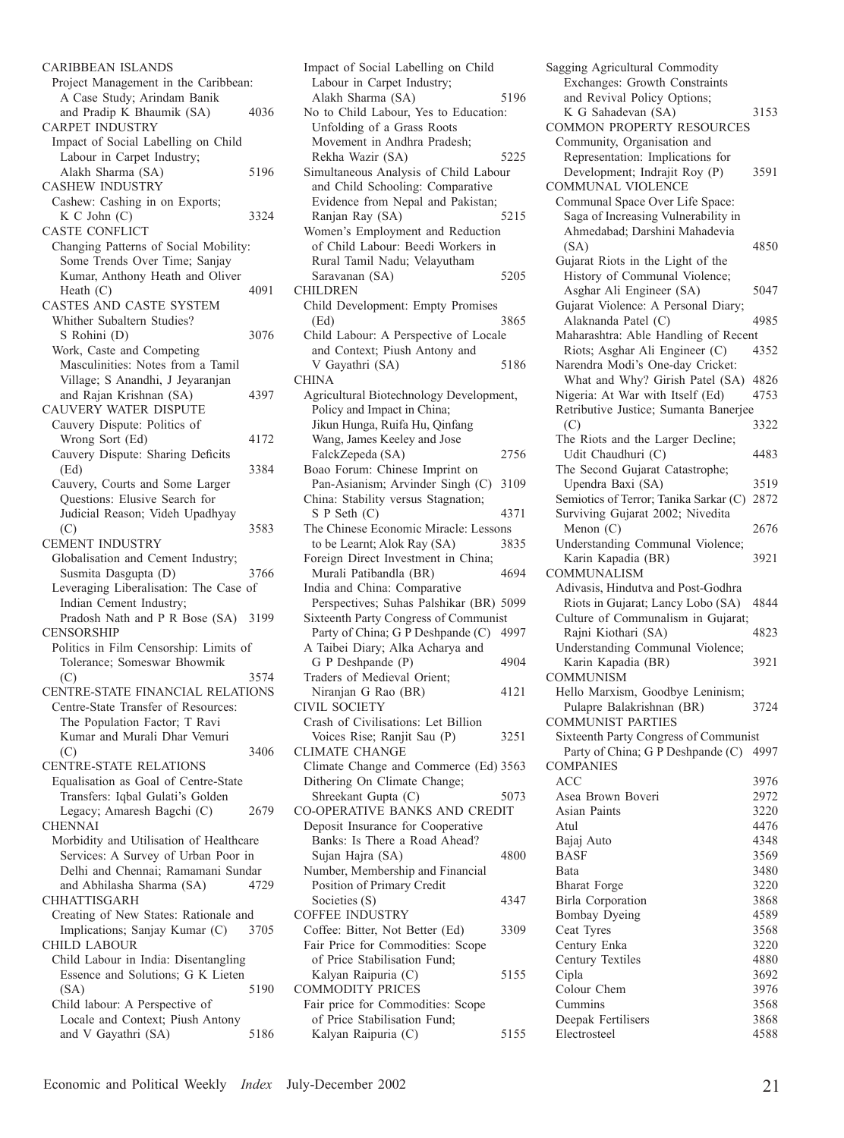CARIBBEAN ISLANDS Project Management in the Caribbean: A Case Study; Arindam Banik and Pradip K Bhaumik (SA) 4036 CARPET INDUSTRY Impact of Social Labelling on Child Labour in Carpet Industry; Alakh Sharma (SA) 5196 CASHEW INDUSTRY Cashew: Cashing in on Exports; K C John (C) 3324 CASTE CONFLICT Changing Patterns of Social Mobility: Some Trends Over Time; Sanjay Kumar, Anthony Heath and Oliver Heath  $(C)$  4091 CASTES AND CASTE SYSTEM Whither Subaltern Studies? S Rohini (D) 3076 Work, Caste and Competing Masculinities: Notes from a Tamil Village; S Anandhi, J Jeyaranjan and Rajan Krishnan (SA) 4397 CAUVERY WATER DISPUTE Cauvery Dispute: Politics of Wrong Sort (Ed) 4172 Cauvery Dispute: Sharing Deficits (Ed) 3384 Cauvery, Courts and Some Larger Questions: Elusive Search for Judicial Reason; Videh Upadhyay (C) 3583 CEMENT INDUSTRY Globalisation and Cement Industry; Susmita Dasgupta (D) 3766 Leveraging Liberalisation: The Case of Indian Cement Industry; Pradosh Nath and P R Bose (SA) 3199 CENSORSHIP Politics in Film Censorship: Limits of Tolerance; Someswar Bhowmik (C) 3574 CENTRE-STATE FINANCIAL RELATIONS Centre-State Transfer of Resources: The Population Factor; T Ravi Kumar and Murali Dhar Vemuri (C) 3406 CENTRE-STATE RELATIONS Equalisation as Goal of Centre-State Transfers: Iqbal Gulati's Golden Legacy; Amaresh Bagchi (C) 2679 CHENNAI Morbidity and Utilisation of Healthcare Services: A Survey of Urban Poor in Delhi and Chennai; Ramamani Sundar and Abhilasha Sharma (SA) 4729 CHHATTISGARH Creating of New States: Rationale and Implications; Sanjay Kumar (C) 3705 CHILD LABOUR Child Labour in India: Disentangling Essence and Solutions; G K Lieten (SA) 5190 Child labour: A Perspective of Locale and Context; Piush Antony and V Gayathri (SA) 5186

Impact of Social Labelling on Child Labour in Carpet Industry; Alakh Sharma (SA) 5196 No to Child Labour, Yes to Education: Unfolding of a Grass Roots Movement in Andhra Pradesh; Rekha Wazir (SA) 5225 Simultaneous Analysis of Child Labour and Child Schooling: Comparative Evidence from Nepal and Pakistan; Ranjan Ray (SA) 5215 Women's Employment and Reduction of Child Labour: Beedi Workers in Rural Tamil Nadu; Velayutham Saravanan (SA) 5205 CHILDREN Child Development: Empty Promises (Ed) 3865 Child Labour: A Perspective of Locale and Context; Piush Antony and V Gayathri (SA) 5186 CHINA Agricultural Biotechnology Development, Policy and Impact in China; Jikun Hunga, Ruifa Hu, Qinfang Wang, James Keeley and Jose FalckZepeda (SA) 2756 Boao Forum: Chinese Imprint on Pan-Asianism; Arvinder Singh (C) 3109 China: Stability versus Stagnation; S P Seth (C) 4371 The Chinese Economic Miracle: Lessons<br>to be Learnt: Alok Ray (SA) 3835 to be Learnt; Alok Ray (SA) Foreign Direct Investment in China; Murali Patibandla (BR) 4694 India and China: Comparative Perspectives; Suhas Palshikar (BR) 5099 Sixteenth Party Congress of Communist Party of China; G P Deshpande (C) 4997 A Taibei Diary; Alka Acharya and G P Deshpande (P) 4904 Traders of Medieval Orient; Niranjan G Rao (BR) 4121 CIVIL SOCIETY Crash of Civilisations: Let Billion Voices Rise; Ranjit Sau (P) 3251 CLIMATE CHANGE Climate Change and Commerce (Ed) 3563 Dithering On Climate Change; Shreekant Gupta (C) 5073 CO-OPERATIVE BANKS AND CREDIT Deposit Insurance for Cooperative Banks: Is There a Road Ahead? Sujan Hajra (SA) 4800 Number, Membership and Financial Position of Primary Credit Societies (S) 4347 COFFEE INDUSTRY Coffee: Bitter, Not Better (Ed) 3309 Fair Price for Commodities: Scope of Price Stabilisation Fund; Kalyan Raipuria (C) 5155 COMMODITY PRICES Fair price for Commodities: Scope of Price Stabilisation Fund; Kalyan Raipuria (C) 5155 Sagging Agricultural Commodity Exchanges: Growth Constraints and Revival Policy Options; K G Sahadevan (SA) 3153 COMMON PROPERTY RESOURCES Community, Organisation and Representation: Implications for Development; Indrajit Roy (P) 3591 COMMUNAL VIOLENCE Communal Space Over Life Space: Saga of Increasing Vulnerability in Ahmedabad; Darshini Mahadevia (SA) 4850 Gujarat Riots in the Light of the History of Communal Violence; Asghar Ali Engineer (SA) 5047 Gujarat Violence: A Personal Diary; Alaknanda Patel (C) 4985 Maharashtra: Able Handling of Recent Riots; Asghar Ali Engineer (C) 4352 Narendra Modi's One-day Cricket: What and Why? Girish Patel (SA) 4826 Nigeria: At War with Itself (Ed) 4753 Retributive Justice; Sumanta Banerjee (C) 3322 The Riots and the Larger Decline; Udit Chaudhuri (C) 4483 The Second Gujarat Catastrophe; Upendra Baxi (SA) 3519 Semiotics of Terror; Tanika Sarkar (C) 2872 Surviving Gujarat 2002; Nivedita Menon (C) 2676 Understanding Communal Violence; Karin Kapadia (BR) 3921 COMMUNALISM Adivasis, Hindutva and Post-Godhra Riots in Gujarat; Lancy Lobo (SA) 4844 Culture of Communalism in Gujarat;<br>Raini Kiothari (SA) 4823 Rajni Kiothari (SA) Understanding Communal Violence; Karin Kapadia (BR) 3921 COMMUNISM Hello Marxism, Goodbye Leninism; Pulapre Balakrishnan (BR) 3724 COMMUNIST PARTIES Sixteenth Party Congress of Communist Party of China; G P Deshpande (C) 4997 COMPANIES ACC 3976 Asea Brown Boveri 2972 Asian Paints 3220 Atul 4476 Bajaj Auto 4348 BASF 3569 Bata 3480 Bharat Forge 3220 Birla Corporation 3868 Bombay Dyeing 4589 Ceat Tyres 3568 Century Enka 3220 Century Textiles 4880 Cipla 3692 Colour Chem 3976 Cummins 3568 Deepak Fertilisers 3868 Electrosteel 4588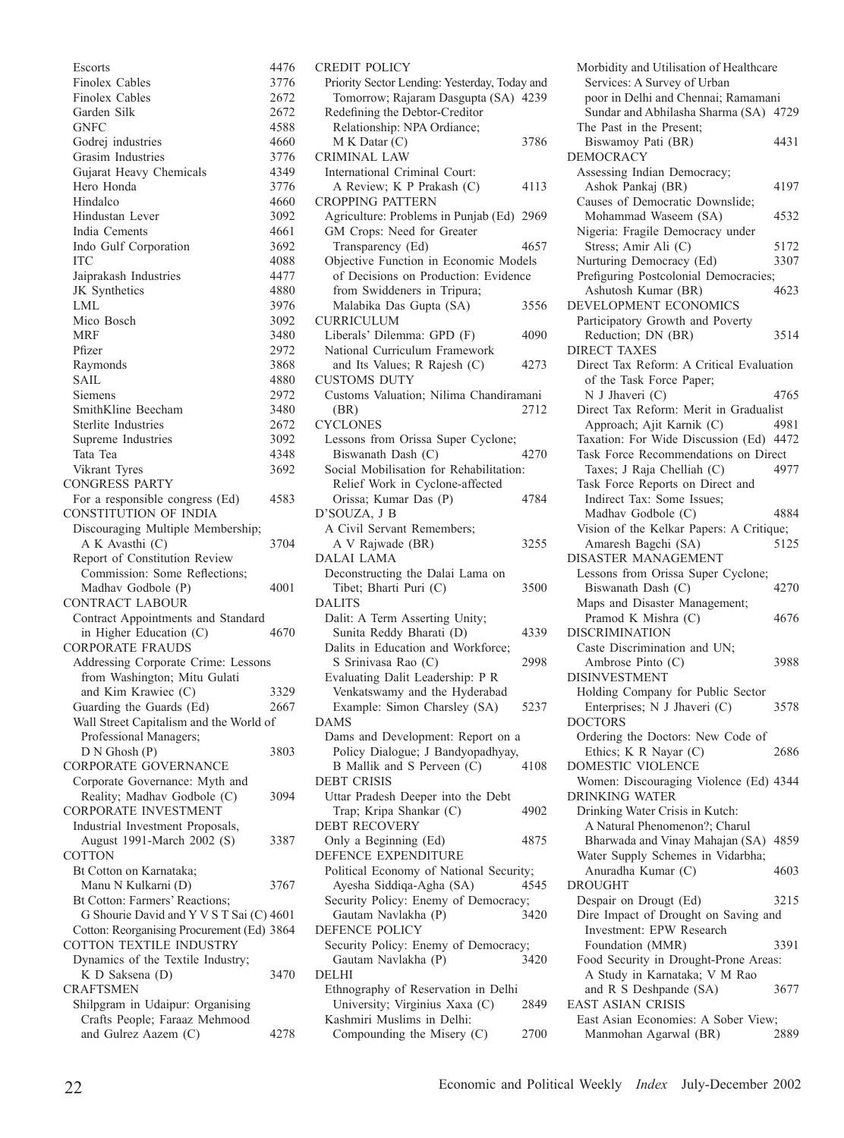| Escorts                                                       | 4476         |
|---------------------------------------------------------------|--------------|
| Finolex Cables                                                | 3776         |
| Finolex Cables                                                | 2672         |
| Garden Silk                                                   | 2672         |
| GNFC                                                          | 4588         |
| Godrej industries                                             | 4660         |
| Grasim Industries                                             | 3776         |
| Gujarat Heavy Chemicals                                       | 4349         |
| Hero Honda                                                    | 3776         |
| Hindalco                                                      | 4660         |
| Hindustan Lever                                               | 3092         |
| India Cements                                                 | 4661         |
| Indo Gulf Corporation                                         | 3692         |
| <b>ITC</b>                                                    | 4088         |
| Jaiprakash Industries                                         | 4477         |
| JK Synthetics                                                 | 4880         |
| LML                                                           | 3976         |
| Mico Bosch                                                    | 3092         |
| <b>MRF</b>                                                    | 3480         |
| Pfizer                                                        | 2972         |
| Raymonds                                                      | 3868         |
| <b>SAIL</b>                                                   | 4880         |
| Siemens<br>SmithKline Beecham                                 | 2972<br>3480 |
| Sterlite Industries                                           | 2672         |
| Supreme Industries                                            | 3092         |
| Tata Tea                                                      | 4348         |
| Vikrant Tyres                                                 | 3692         |
| <b>CONGRESS PARTY</b>                                         |              |
| For a responsible congress (Ed)                               | 4583         |
| CONSTITUTION OF INDIA                                         |              |
| Discouraging Multiple Membership;                             |              |
| A K Avasthi (C)                                               | 3704         |
| Report of Constitution Review                                 |              |
| Commission: Some Reflections;                                 |              |
| Madhav Godbole (P)                                            | 4001         |
| CONTRACT LABOUR                                               |              |
| Contract Appointments and Standard                            |              |
| in Higher Education (C)                                       | 4670         |
| <b>CORPORATE FRAUDS</b>                                       |              |
| Addressing Corporate Crime: Lessons                           |              |
| from Washington; Mitu Gulati                                  |              |
| and Kim Krawiec (C)                                           | 3329         |
| Guarding the Guards (Ed)                                      | 2667         |
| Wall Street Capitalism and the World of                       |              |
| Professional Managers;                                        |              |
| D N Ghosh (P)<br>CORPORATE GOVERNANCE                         | 3803         |
|                                                               |              |
| Corporate Governance: Myth and<br>Reality; Madhav Godbole (C) | 3094         |
| CORPORATE INVESTMENT                                          |              |
| Industrial Investment Proposals,                              |              |
| August 1991-March 2002 (S)                                    | 3387         |
| COTTON                                                        |              |
| Bt Cotton on Karnataka;                                       |              |
| Manu N Kulkarni (D)                                           | 3767         |
| Bt Cotton: Farmers' Reactions;                                |              |
| G Shourie David and Y V S T Sai (C) 4601                      |              |
| Cotton: Reorganising Procurement (Ed) 3864                    |              |
| COTTON TEXTILE INDUSTRY                                       |              |
| Dynamics of the Textile Industry;                             |              |
| K D Saksena (D)                                               | 3470         |
| <b>CRAFTSMEN</b>                                              |              |
| Shilpgram in Udaipur: Organising                              |              |
| Crafts People; Faraaz Mehmood                                 |              |
| and Gulrez Aazem (C)                                          | 4278         |

| CREDIT POLICY                                            |      |
|----------------------------------------------------------|------|
| Priority Sector Lending: Yesterday, Today and            |      |
| Tomorrow; Rajaram Dasgupta (SA) 4239                     |      |
| Redefining the Debtor-Creditor                           |      |
| Relationship: NPA Ordiance;                              |      |
| M K Datar (C)                                            | 3786 |
| <b>CRIMINAL LAW</b>                                      |      |
| International Criminal Court:                            |      |
| A Review; K P Prakash (C)                                |      |
|                                                          | 4113 |
| <b>CROPPING PATTERN</b>                                  |      |
| Agriculture: Problems in Punjab (Ed) 2969                |      |
| GM Crops: Need for Greater                               |      |
| Transparency (Ed)                                        | 4657 |
| Objective Function in Economic Models                    |      |
| of Decisions on Production: Evidence                     |      |
| from Swiddeners in Tripura;                              |      |
|                                                          |      |
| Malabika Das Gupta (SA)                                  | 3556 |
| <b>CURRICULUM</b>                                        |      |
| Liberals' Dilemma: GPD (F)                               | 4090 |
| National Curriculum Framework                            |      |
| and Its Values; R Rajesh (C)                             | 4273 |
| <b>CUSTOMS DUTY</b>                                      |      |
| Customs Valuation; Nilima Chandiramani                   |      |
|                                                          |      |
| (BR)                                                     | 2712 |
| <b>CYCLONES</b>                                          |      |
| Lessons from Orissa Super Cyclone;                       |      |
| Biswanath Dash (C)                                       | 4270 |
| Social Mobilisation for Rehabilitation:                  |      |
| Relief Work in Cyclone-affected                          |      |
| Orissa; Kumar Das (P)                                    | 4784 |
| D'SOUZA, J B                                             |      |
|                                                          |      |
| A Civil Servant Remembers;                               |      |
| A V Rajwade (BR)                                         | 3255 |
|                                                          |      |
| <b>DALAI LAMA</b>                                        |      |
| Deconstructing the Dalai Lama on                         |      |
| Tibet; Bharti Puri (C)                                   | 3500 |
|                                                          |      |
| <b>DALITS</b>                                            |      |
| Dalit: A Term Asserting Unity;                           |      |
| Sunita Reddy Bharati (D)                                 | 4339 |
| Dalits in Education and Workforce;                       |      |
| S Srinivasa Rao (C)                                      | 2998 |
| Evaluating Dalit Leadership: P R                         |      |
| Venkatswamy and the Hyderabad                            |      |
| Example: Simon Charsley (SA)                             | 5237 |
| <b>DAMS</b>                                              |      |
|                                                          |      |
| Dams and Development: Report on a                        |      |
| Policy Dialogue; J Bandyopadhyay,                        |      |
| B Mallik and S Perveen (C)                               | 4108 |
| <b>DEBT CRISIS</b>                                       |      |
| Uttar Pradesh Deeper into the Debt                       |      |
| Trap; Kripa Shankar (C)                                  | 4902 |
| <b>DEBT RECOVERY</b>                                     |      |
|                                                          | 4875 |
| Only a Beginning (Ed)                                    |      |
| DEFENCE EXPENDITURE                                      |      |
| Political Economy of National Security;                  |      |
| Ayesha Siddiqa-Agha (SA)                                 | 4545 |
| Security Policy: Enemy of Democracy;                     |      |
| Gautam Navlakha (P)                                      | 3420 |
| <b>DEFENCE POLICY</b>                                    |      |
| Security Policy: Enemy of Democracy;                     |      |
| Gautam Navlakha (P)                                      | 3420 |
| <b>DELHI</b>                                             |      |
|                                                          |      |
| Ethnography of Reservation in Delhi                      |      |
| University; Virginius Xaxa (C)                           | 2849 |
| Kashmiri Muslims in Delhi:<br>Compounding the Misery (C) | 2700 |

Morbidity and Utilisation of Healthcare Services: A Survey of Urban poor in Delhi and Chennai; Ramamani Sundar and Abhilasha Sharma (SA) 4729 The Past in the Present; Biswamoy Pati (BR) 4431 DEMOCRACY Assessing Indian Democracy; Ashok Pankaj (BR) 4197 Causes of Democratic Downslide; Mohammad Waseem (SA) 4532 Nigeria: Fragile Democracy under Stress; Amir Ali (C) 5172 Nurturing Democracy (Ed) 3307 Prefiguring Postcolonial Democracies; Ashutosh Kumar (BR) 4623 DEVELOPMENT ECONOMICS Participatory Growth and Poverty Reduction; DN (BR) 3514 DIRECT TAXES Direct Tax Reform: A Critical Evaluation of the Task Force Paper; N J Jhaveri (C) 4765 Direct Tax Reform: Merit in Gradualist Approach; Ajit Karnik (C) 4981 Taxation: For Wide Discussion (Ed) 4472 Task Force Recommendations on Direct Taxes; J Raja Chelliah (C) 4977 Task Force Reports on Direct and Indirect Tax: Some Issues; Madhav Godbole (C) 4884 Vision of the Kelkar Papers: A Critique;<br>Amaresh Bagchi (SA) 5125 Amaresh Bagchi (SA) DISASTER MANAGEMENT Lessons from Orissa Super Cyclone; Biswanath Dash (C) 4270 Maps and Disaster Management; Pramod K Mishra (C) 4676 DISCRIMINATION Caste Discrimination and UN; Ambrose Pinto (C) 3988 DISINVESTMENT Holding Company for Public Sector Enterprises; N J Jhaveri (C) 3578 DOCTORS Ordering the Doctors: New Code of Ethics; K R Nayar (C) 2686 DOMESTIC VIOLENCE Women: Discouraging Violence (Ed) 4344 DRINKING WATER Drinking Water Crisis in Kutch: A Natural Phenomenon?; Charul Bharwada and Vinay Mahajan (SA) 4859 Water Supply Schemes in Vidarbha; Anuradha Kumar (C) 4603 DROUGHT Despair on Drougt (Ed) 3215 Dire Impact of Drought on Saving and Investment: EPW Research Foundation (MMR) 3391 Food Security in Drought-Prone Areas: A Study in Karnataka; V M Rao and R S Deshpande (SA) 3677 EAST ASIAN CRISIS East Asian Economies: A Sober View; Manmohan Agarwal (BR) 2889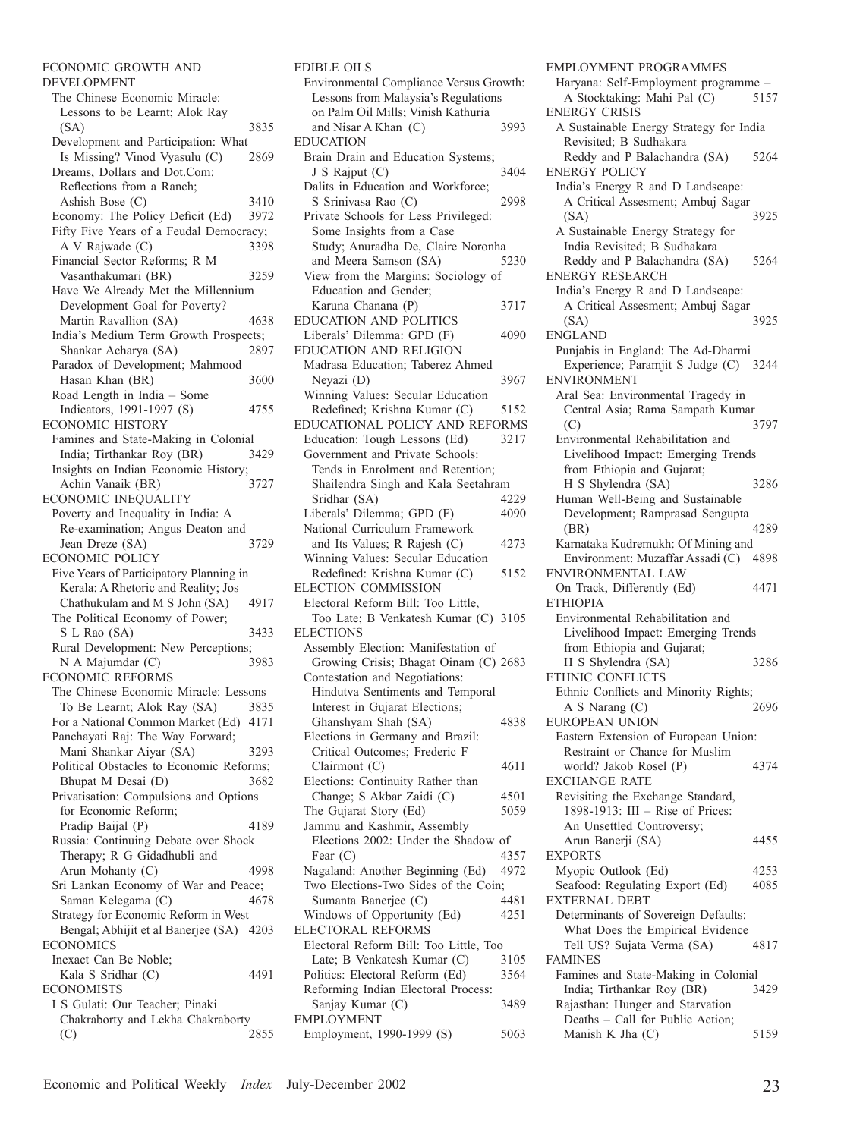ECONOMIC GROWTH AND DEVELOPMENT The Chinese Economic Miracle: Lessons to be Learnt; Alok Ray (SA) 3835 Development and Participation: What Is Missing? Vinod Vyasulu (C) 2869 Dreams, Dollars and Dot.Com: Reflections from a Ranch; Ashish Bose (C) 3410 Economy: The Policy Deficit (Ed) 3972 Fifty Five Years of a Feudal Democracy; A V Rajwade (C) 3398 Financial Sector Reforms; R M Vasanthakumari (BR) 3259 Have We Already Met the Millennium Development Goal for Poverty? Martin Ravallion (SA) 4638 India's Medium Term Growth Prospects; Shankar Acharya (SA) Paradox of Development; Mahmood Hasan Khan (BR) 3600 Road Length in India – Some Indicators, 1991-1997 (S) 4755 ECONOMIC HISTORY Famines and State-Making in Colonial India; Tirthankar Roy (BR) 3429 Insights on Indian Economic History; Achin Vanaik (BR) 3727 ECONOMIC INEQUALITY Poverty and Inequality in India: A Re-examination; Angus Deaton and Jean Dreze (SA) 3729 ECONOMIC POLICY Five Years of Participatory Planning in Kerala: A Rhetoric and Reality; Jos Chathukulam and M S John (SA) 4917 The Political Economy of Power; S L Rao (SA) 3433 Rural Development: New Perceptions; N A Majumdar (C) 3983 ECONOMIC REFORMS The Chinese Economic Miracle: Lessons To Be Learnt; Alok Ray (SA) 3835 For a National Common Market (Ed) 4171 Panchayati Raj: The Way Forward; Mani Shankar Aiyar (SA) 3293 Political Obstacles to Economic Reforms; Bhupat M Desai (D) 3682 Privatisation: Compulsions and Options for Economic Reform; Pradip Baijal (P) 4189 Russia: Continuing Debate over Shock Therapy; R G Gidadhubli and Arun Mohanty (C) 4998 Sri Lankan Economy of War and Peace; Saman Kelegama (C) 4678 Strategy for Economic Reform in West Bengal; Abhijit et al Banerjee (SA) 4203 ECONOMICS Inexact Can Be Noble; Kala S Sridhar (C) 4491 ECONOMISTS I S Gulati: Our Teacher; Pinaki Chakraborty and Lekha Chakraborty (C) 2855

EDIBLE OILS Environmental Compliance Versus Growth: Lessons from Malaysia's Regulations on Palm Oil Mills; Vinish Kathuria and Nisar A Khan (C) 3993 EDUCATION Brain Drain and Education Systems; J S Rajput (C) 3404 Dalits in Education and Workforce; S Srinivasa Rao (C) 2998 Private Schools for Less Privileged: Some Insights from a Case Study; Anuradha De, Claire Noronha and Meera Samson (SA) 5230 View from the Margins: Sociology of Education and Gender; Karuna Chanana (P) 3717 EDUCATION AND POLITICS Liberals' Dilemma: GPD (F) 4090 EDUCATION AND RELIGION Madrasa Education; Taberez Ahmed Neyazi (D) 3967 Winning Values: Secular Education Redefined; Krishna Kumar (C) 5152 EDUCATIONAL POLICY AND REFORMS Education: Tough Lessons (Ed) 3217 Government and Private Schools: Tends in Enrolment and Retention; Shailendra Singh and Kala Seetahram<br>Sridhar (SA) (1999) Sridhar (SA) Liberals' Dilemma; GPD (F) 4090 National Curriculum Framework and Its Values; R Rajesh (C) 4273 Winning Values: Secular Education Redefined: Krishna Kumar (C) 5152 ELECTION COMMISSION Electoral Reform Bill: Too Little, Too Late; B Venkatesh Kumar (C) 3105 ELECTIONS Assembly Election: Manifestation of Growing Crisis; Bhagat Oinam (C) 2683 Contestation and Negotiations: Hindutva Sentiments and Temporal Interest in Gujarat Elections; Ghanshyam Shah (SA) 4838 Elections in Germany and Brazil: Critical Outcomes; Frederic F Clairmont (C) 4611 Elections: Continuity Rather than Change; S Akbar Zaidi (C) 4501 The Gujarat Story (Ed) 5059 Jammu and Kashmir, Assembly Elections 2002: Under the Shadow of Fear (C) 4357 Nagaland: Another Beginning (Ed) 4972 Two Elections-Two Sides of the Coin; Sumanta Banerjee (C) 4481 Windows of Opportunity (Ed) 4251 ELECTORAL REFORMS Electoral Reform Bill: Too Little, Too Late; B Venkatesh Kumar (C) 3105 Politics: Electoral Reform (Ed) 3564 Reforming Indian Electoral Process: Sanjay Kumar (C) 3489 EMPLOYMENT Employment, 1990-1999 (S) 5063

EMPLOYMENT PROGRAMMES Haryana: Self-Employment programme – A Stocktaking: Mahi Pal (C) 5157 ENERGY CRISIS A Sustainable Energy Strategy for India Revisited; B Sudhakara Reddy and P Balachandra (SA) 5264 ENERGY POLICY India's Energy R and D Landscape: A Critical Assesment; Ambuj Sagar (SA) 3925 A Sustainable Energy Strategy for India Revisited; B Sudhakara Reddy and P Balachandra (SA) 5264 ENERGY RESEARCH India's Energy R and D Landscape: A Critical Assesment; Ambuj Sagar (SA) 3925 ENGLAND Punjabis in England: The Ad-Dharmi Experience; Paramjit S Judge (C) 3244 ENVIRONMENT Aral Sea: Environmental Tragedy in Central Asia; Rama Sampath Kumar (C) 3797 Environmental Rehabilitation and Livelihood Impact: Emerging Trends from Ethiopia and Gujarat; H S Shylendra (SA) 3286 Human Well-Being and Sustainable Development; Ramprasad Sengupta (BR) 4289 Karnataka Kudremukh: Of Mining and Environment: Muzaffar Assadi (C) 4898 ENVIRONMENTAL LAW On Track, Differently (Ed) 4471 ETHIOPIA Environmental Rehabilitation and Livelihood Impact: Emerging Trends from Ethiopia and Gujarat; H S Shylendra (SA) 3286 ETHNIC CONFLICTS Ethnic Conflicts and Minority Rights; A S Narang (C) 2696 EUROPEAN UNION Eastern Extension of European Union: Restraint or Chance for Muslim world? Jakob Rosel (P) 4374 EXCHANGE RATE Revisiting the Exchange Standard, 1898-1913: III – Rise of Prices: An Unsettled Controversy; Arun Banerji (SA) 4455 EXPORTS Myopic Outlook (Ed) 4253 Seafood: Regulating Export (Ed) 4085 EXTERNAL DEBT Determinants of Sovereign Defaults: What Does the Empirical Evidence Tell US? Sujata Verma (SA) 4817 FAMINES Famines and State-Making in Colonial India; Tirthankar Roy (BR) 3429 Rajasthan: Hunger and Starvation Deaths – Call for Public Action; Manish K Jha  $(C)$  5159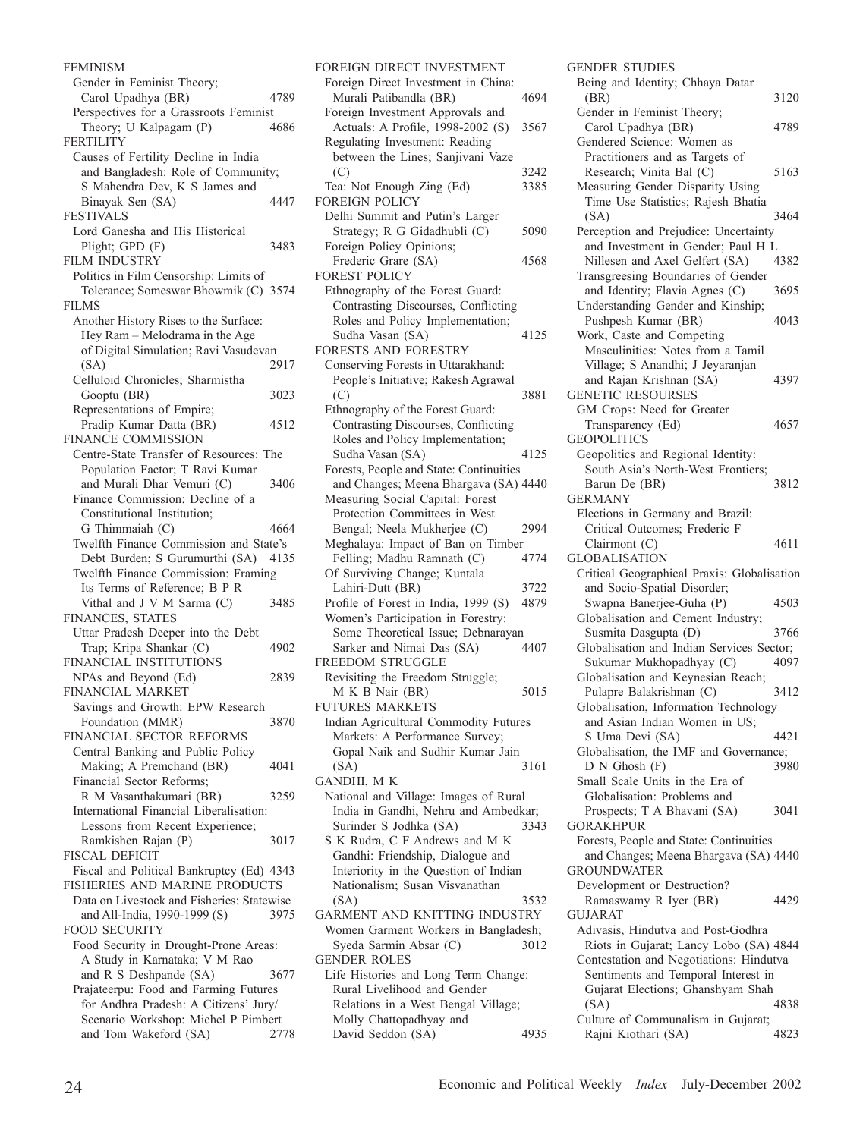FEMINISM Gender in Feminist Theory; Carol Upadhya (BR) 4789 Perspectives for a Grassroots Feminist Theory; U Kalpagam (P) 4686 **FERTILITY** Causes of Fertility Decline in India and Bangladesh: Role of Community; S Mahendra Dev, K S James and Binayak Sen (SA) 4447 FESTIVALS Lord Ganesha and His Historical Plight; GPD (F) 3483 FILM INDUSTRY Politics in Film Censorship: Limits of Tolerance; Someswar Bhowmik (C) 3574 FILMS Another History Rises to the Surface: Hey Ram – Melodrama in the Age of Digital Simulation; Ravi Vasudevan (SA) 2917 Celluloid Chronicles; Sharmistha Gooptu (BR) 3023 Representations of Empire; Pradip Kumar Datta (BR) 4512 FINANCE COMMISSION Centre-State Transfer of Resources: The Population Factor; T Ravi Kumar and Murali Dhar Vemuri (C) 3406 Finance Commission: Decline of a Constitutional Institution; G Thimmaiah  $(C)$  4664 Twelfth Finance Commission and State's Debt Burden; S Gurumurthi (SA) 4135 Twelfth Finance Commission: Framing Its Terms of Reference; B P R Vithal and J V M Sarma (C) 3485 FINANCES, STATES Uttar Pradesh Deeper into the Debt Trap; Kripa Shankar (C) 4902 FINANCIAL INSTITUTIONS NPAs and Beyond (Ed) 2839 FINANCIAL MARKET Savings and Growth: EPW Research Foundation (MMR) 3870 FINANCIAL SECTOR REFORMS Central Banking and Public Policy Making; A Premchand (BR) 4041 Financial Sector Reforms; R M Vasanthakumari (BR) 3259 International Financial Liberalisation: Lessons from Recent Experience; Ramkishen Rajan (P) 3017 FISCAL DEFICIT Fiscal and Political Bankruptcy (Ed) 4343 FISHERIES AND MARINE PRODUCTS Data on Livestock and Fisheries: Statewise and All-India, 1990-1999 (S) 3975 FOOD SECURITY Food Security in Drought-Prone Areas: A Study in Karnataka; V M Rao and R S Deshpande (SA) 3677 Prajateerpu: Food and Farming Futures for Andhra Pradesh: A Citizens' Jury/ Scenario Workshop: Michel P Pimbert and Tom Wakeford (SA) 2778

| FOREIGN DIRECT INVESTMENT                    |      |
|----------------------------------------------|------|
| Foreign Direct Investment in China:          |      |
| Murali Patibandla (BR)                       | 4694 |
| Foreign Investment Approvals and             |      |
| Actuals: A Profile, 1998-2002 (S)            | 3567 |
| Regulating Investment: Reading               |      |
| between the Lines; Sanjivani Vaze            |      |
| (C)                                          | 3242 |
|                                              | 3385 |
| Tea: Not Enough Zing (Ed)                    |      |
| <b>FOREIGN POLICY</b>                        |      |
| Delhi Summit and Putin's Larger              |      |
| Strategy; R G Gidadhubli (C)                 | 5090 |
| Foreign Policy Opinions;                     |      |
| Frederic Grare (SA)                          | 4568 |
| <b>FOREST POLICY</b>                         |      |
| Ethnography of the Forest Guard:             |      |
| Contrasting Discourses, Conflicting          |      |
| Roles and Policy Implementation;             |      |
|                                              | 4125 |
| Sudha Vasan (SA)                             |      |
| FORESTS AND FORESTRY                         |      |
| Conserving Forests in Uttarakhand:           |      |
| People's Initiative; Rakesh Agrawal          |      |
| (C)                                          | 3881 |
| Ethnography of the Forest Guard:             |      |
| Contrasting Discourses, Conflicting          |      |
| Roles and Policy Implementation;             |      |
| Sudha Vasan (SA)                             | 4125 |
| Forests, People and State: Continuities      |      |
|                                              |      |
| and Changes; Meena Bhargava (SA) 4440        |      |
| Measuring Social Capital: Forest             |      |
| Protection Committees in West                |      |
| Bengal; Neela Mukherjee (C)                  | 2994 |
| Meghalaya: Impact of Ban on Timber           |      |
| Felling; Madhu Ramnath (C)                   | 4774 |
| Of Surviving Change; Kuntala                 |      |
|                                              |      |
|                                              |      |
| Lahiri-Dutt (BR)                             | 3722 |
| Profile of Forest in India, 1999 (S)         | 4879 |
| Women's Participation in Forestry:           |      |
| Some Theoretical Issue; Debnarayan           |      |
| Sarker and Nimai Das (SA)                    | 4407 |
| FREEDOM STRUGGLE                             |      |
| Revisiting the Freedom Struggle;             |      |
| M K B Nair (BR)                              | 5015 |
| <b>FUTURES MARKETS</b>                       |      |
|                                              |      |
| Indian Agricultural Commodity Futures        |      |
| Markets: A Performance Survey;               |      |
| Gopal Naik and Sudhir Kumar Jain             |      |
| (SA)                                         | 3161 |
| GANDHI, M K                                  |      |
| National and Village: Images of Rural        |      |
| India in Gandhi, Nehru and Ambedkar;         |      |
| Surinder S Jodhka (SA)                       | 3343 |
| S K Rudra, C F Andrews and M K               |      |
| Gandhi: Friendship, Dialogue and             |      |
|                                              |      |
| Interiority in the Question of Indian        |      |
| Nationalism; Susan Visvanathan               | 3532 |
| (SA)                                         |      |
| GARMENT AND KNITTING INDUSTRY                |      |
| Women Garment Workers in Bangladesh;         |      |
| Syeda Sarmin Absar (C)                       | 3012 |
| <b>GENDER ROLES</b>                          |      |
| Life Histories and Long Term Change:         |      |
| Rural Livelihood and Gender                  |      |
| Relations in a West Bengal Village;          |      |
| Molly Chattopadhyay and<br>David Seddon (SA) |      |

GENDER STUDIES Being and Identity; Chhaya Datar (BR) 3120 Gender in Feminist Theory; Carol Upadhya (BR) 4789 Gendered Science: Women as Practitioners and as Targets of Research; Vinita Bal  $(C)$  5163 Measuring Gender Disparity Using Time Use Statistics; Rajesh Bhatia (SA) 3464 Perception and Prejudice: Uncertainty and Investment in Gender; Paul H L Nillesen and Axel Gelfert (SA) 4382 Transgreesing Boundaries of Gender and Identity; Flavia Agnes (C) 3695 Understanding Gender and Kinship; Pushpesh Kumar (BR) 4043 Work, Caste and Competing Masculinities: Notes from a Tamil Village; S Anandhi; J Jeyaranjan and Rajan Krishnan (SA) 4397 GENETIC RESOURSES GM Crops: Need for Greater Transparency (Ed) 4657 **GEOPOLITICS** Geopolitics and Regional Identity: South Asia's North-West Frontiers; Barun De (BR) 3812 **GERMANY** Elections in Germany and Brazil: Critical Outcomes; Frederic F Clairmont (C) 4611 GLOBALISATION Critical Geographical Praxis: Globalisation and Socio-Spatial Disorder; Swapna Banerjee-Guha (P) 4503 Globalisation and Cement Industry; Susmita Dasgupta (D) 3766 Globalisation and Indian Services Sector; Sukumar Mukhopadhyay (C) 4097 Globalisation and Keynesian Reach; Pulapre Balakrishnan (C) 3412 Globalisation, Information Technology and Asian Indian Women in US; S Uma Devi (SA) 4421 Globalisation, the IMF and Governance; D N Ghosh (F) 3980 Small Scale Units in the Era of Globalisation: Problems and Prospects; T A Bhavani (SA) 3041 GORAKHPUR Forests, People and State: Continuities and Changes; Meena Bhargava (SA) 4440 GROUNDWATER Development or Destruction? Ramaswamy R Iyer (BR) 4429 **GUJARAT** Adivasis, Hindutva and Post-Godhra Riots in Gujarat; Lancy Lobo (SA) 4844 Contestation and Negotiations: Hindutva Sentiments and Temporal Interest in Gujarat Elections; Ghanshyam Shah (SA) 4838 Culture of Communalism in Gujarat; Rajni Kiothari (SA) 4823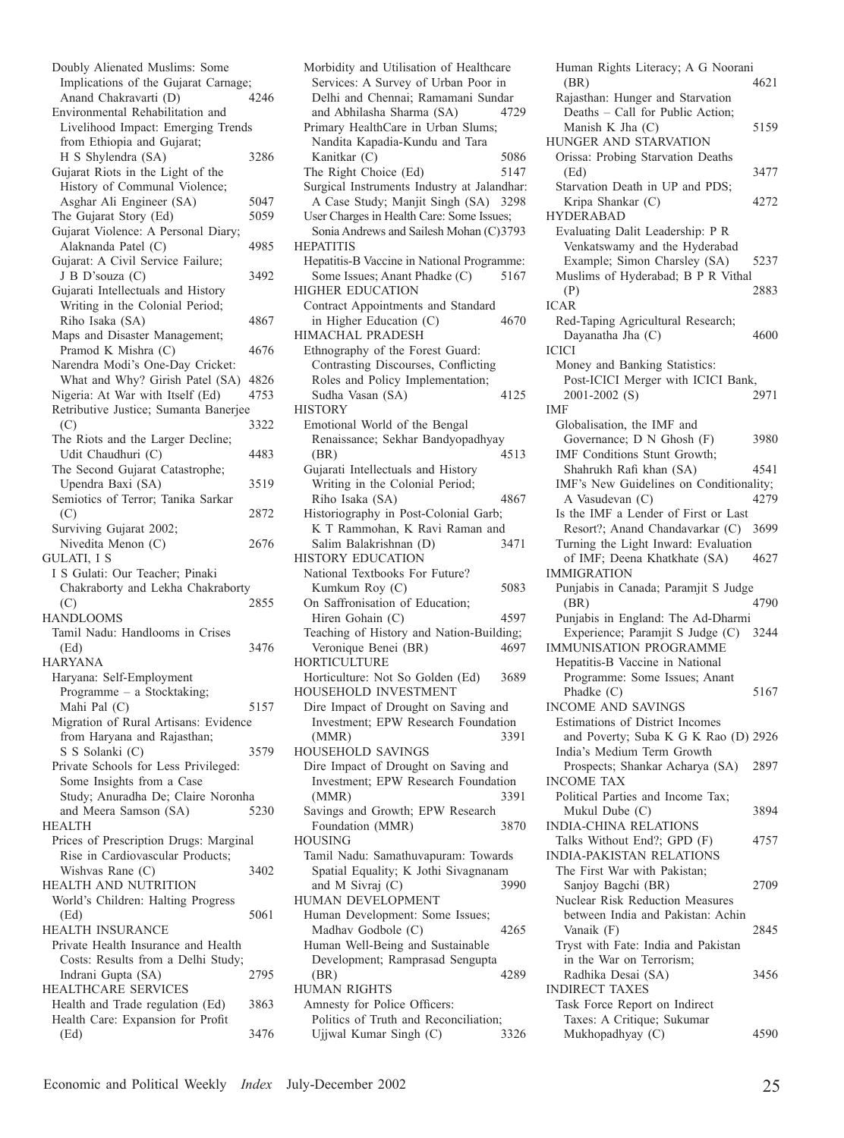| Doubly Alienated Muslims: Some                                       |      |
|----------------------------------------------------------------------|------|
| Implications of the Gujarat Carnage;                                 |      |
| Anand Chakravarti (D)                                                | 4246 |
| Environmental Rehabilitation and                                     |      |
| Livelihood Impact: Emerging Trends                                   |      |
| from Ethiopia and Gujarat;                                           |      |
| H S Shylendra (SA)                                                   | 3286 |
| Gujarat Riots in the Light of the                                    |      |
| History of Communal Violence;                                        |      |
| Asghar Ali Engineer (SA)                                             | 5047 |
| The Gujarat Story (Ed)                                               | 5059 |
| Gujarat Violence: A Personal Diary;                                  |      |
| Alaknanda Patel (C)                                                  |      |
|                                                                      | 4985 |
| Gujarat: A Civil Service Failure;                                    |      |
| J B D'souza (C)                                                      | 3492 |
| Gujarati Intellectuals and History                                   |      |
| Writing in the Colonial Period;                                      |      |
| Riho Isaka (SA)                                                      | 4867 |
| Maps and Disaster Management;                                        |      |
| Pramod K Mishra (C)                                                  | 4676 |
| Narendra Modi's One-Day Cricket:                                     |      |
| What and Why? Girish Patel (SA)                                      | 4826 |
| Nigeria: At War with Itself (Ed)                                     | 4753 |
| Retributive Justice; Sumanta Banerjee                                |      |
| (C)                                                                  | 3322 |
| The Riots and the Larger Decline;                                    |      |
| Udit Chaudhuri (C)                                                   | 4483 |
| The Second Gujarat Catastrophe;                                      |      |
| Upendra Baxi (SA)                                                    | 3519 |
| Semiotics of Terror; Tanika Sarkar                                   |      |
| (C)                                                                  | 2872 |
| Surviving Gujarat 2002;                                              |      |
| Nivedita Menon (C)                                                   | 2676 |
|                                                                      |      |
| GULATI, I S                                                          |      |
|                                                                      |      |
| I S Gulati: Our Teacher; Pinaki<br>Chakraborty and Lekha Chakraborty |      |
|                                                                      | 2855 |
| (C)<br><b>HANDLOOMS</b>                                              |      |
|                                                                      |      |
| Tamil Nadu: Handlooms in Crises<br>(Ed)                              | 3476 |
|                                                                      |      |
| <b>HARYANA</b>                                                       |      |
| Haryana: Self-Employment                                             |      |
| Programme - a Stocktaking;                                           |      |
| Mahi Pal (C)                                                         | 5157 |
| Migration of Rural Artisans: Evidence                                |      |
| from Haryana and Rajasthan;                                          |      |
| S S Solanki (C)                                                      | 3579 |
| Private Schools for Less Privileged:                                 |      |
| Some Insights from a Case                                            |      |
| Study; Anuradha De; Claire Noronha                                   |      |
| and Meera Samson (SA)                                                | 5230 |
| <b>HEALTH</b>                                                        |      |
| Prices of Prescription Drugs: Marginal                               |      |
| Rise in Cardiovascular Products;                                     |      |
| Wishvas Rane (C)                                                     | 3402 |
| HEALTH AND NUTRITION                                                 |      |
| World's Children: Halting Progress                                   |      |
| (Ed)                                                                 | 5061 |
| HEALTH INSURANCE                                                     |      |
| Private Health Insurance and Health                                  |      |
| Costs: Results from a Delhi Study;                                   |      |
| Indrani Gupta (SA)                                                   | 2795 |
| HEALTHCARE SERVICES                                                  |      |
| Health and Trade regulation (Ed)                                     | 3863 |
| Health Care: Expansion for Profit<br>(Ed)                            | 3476 |

Morbidity and Utilisation of Healthcare Services: A Survey of Urban Poor in Delhi and Chennai; Ramamani Sundar and Abhilasha Sharma (SA) 4729 Primary HealthCare in Urban Slums; Nandita Kapadia-Kundu and Tara Kanitkar (C) 5086 The Right Choice (Ed) 5147 Surgical Instruments Industry at Jalandhar: A Case Study; Manjit Singh (SA) 3298 User Charges in Health Care: Some Issues; Sonia Andrews and Sailesh Mohan (C)3793 **HEPATITIS** Hepatitis-B Vaccine in National Programme: Some Issues; Anant Phadke (C) 5167 HIGHER EDUCATION Contract Appointments and Standard<br>in Higher Education (C) 4670 in Higher Education  $(C)$ HIMACHAL PRADESH Ethnography of the Forest Guard: Contrasting Discourses, Conflicting Roles and Policy Implementation; Sudha Vasan (SA) 4125 **HISTORY** Emotional World of the Bengal Renaissance; Sekhar Bandyopadhyay (BR) 4513 Gujarati Intellectuals and History Writing in the Colonial Period; Riho Isaka (SA) 4867 Historiography in Post-Colonial Garb; K T Rammohan, K Ravi Raman and<br>Salim Balakrishnan (D) 3471 Salim Balakrishnan (D) HISTORY EDUCATION National Textbooks For Future? Kumkum Roy (C) 5083 On Saffronisation of Education; Hiren Gohain (C) 4597 Teaching of History and Nation-Building; Veronique Benei (BR) 4697 HORTICULTURE Horticulture: Not So Golden (Ed) 3689 HOUSEHOLD INVESTMENT Dire Impact of Drought on Saving and Investment; EPW Research Foundation (MMR) 3391 HOUSEHOLD SAVINGS Dire Impact of Drought on Saving and Investment; EPW Research Foundation (MMR) 3391 Savings and Growth; EPW Research Foundation (MMR) 3870 HOUSING Tamil Nadu: Samathuvapuram: Towards Spatial Equality; K Jothi Sivagnanam and M Sivraj (C) 3990 HUMAN DEVELOPMENT Human Development: Some Issues; Madhav Godbole (C) 4265 Human Well-Being and Sustainable Development; Ramprasad Sengupta (BR) 4289 HUMAN RIGHTS Amnesty for Police Officers: Politics of Truth and Reconciliation; Ujjwal Kumar Singh (C) 3326

Human Rights Literacy; A G Noorani (BR) 4621 Rajasthan: Hunger and Starvation Deaths – Call for Public Action; Manish K Jha  $(C)$  5159 HUNGER AND STARVATION Orissa: Probing Starvation Deaths (Ed) 3477 Starvation Death in UP and PDS; Kripa Shankar (C) 4272 HYDERABAD Evaluating Dalit Leadership: P R Venkatswamy and the Hyderabad Example; Simon Charsley (SA) 5237 Muslims of Hyderabad; B P R Vithal (P) 2883 ICAR Red-Taping Agricultural Research; Dayanatha Jha (C) 4600 **ICICI** Money and Banking Statistics: Post-ICICI Merger with ICICI Bank, 2001-2002 (S) 2971 IMF Globalisation, the IMF and Governance; D N Ghosh (F) 3980 IMF Conditions Stunt Growth; Shahrukh Rafi khan (SA) 4541 IMF's New Guidelines on Conditionality; A Vasudevan (C) 4279 Is the IMF a Lender of First or Last Resort?; Anand Chandavarkar (C) 3699 Turning the Light Inward: Evaluation of IMF; Deena Khatkhate (SA) 4627 IMMIGRATION Punjabis in Canada; Paramjit S Judge (BR) 4790 Punjabis in England: The Ad-Dharmi Experience; Paramjit S Judge (C) 3244 IMMUNISATION PROGRAMME Hepatitis-B Vaccine in National Programme: Some Issues; Anant Phadke (C) 5167 INCOME AND SAVINGS Estimations of District Incomes and Poverty; Suba K G K Rao (D) 2926 India's Medium Term Growth Prospects; Shankar Acharya (SA) 2897 INCOME TAX Political Parties and Income Tax; Mukul Dube (C) 3894 INDIA-CHINA RELATIONS Talks Without End?; GPD (F) 4757 INDIA-PAKISTAN RELATIONS The First War with Pakistan; Sanjoy Bagchi (BR) 2709 Nuclear Risk Reduction Measures between India and Pakistan: Achin Vanaik (F) 2845 Tryst with Fate: India and Pakistan in the War on Terrorism; Radhika Desai (SA) 3456 INDIRECT TAXES Task Force Report on Indirect Taxes: A Critique; Sukumar Mukhopadhyay (C) 4590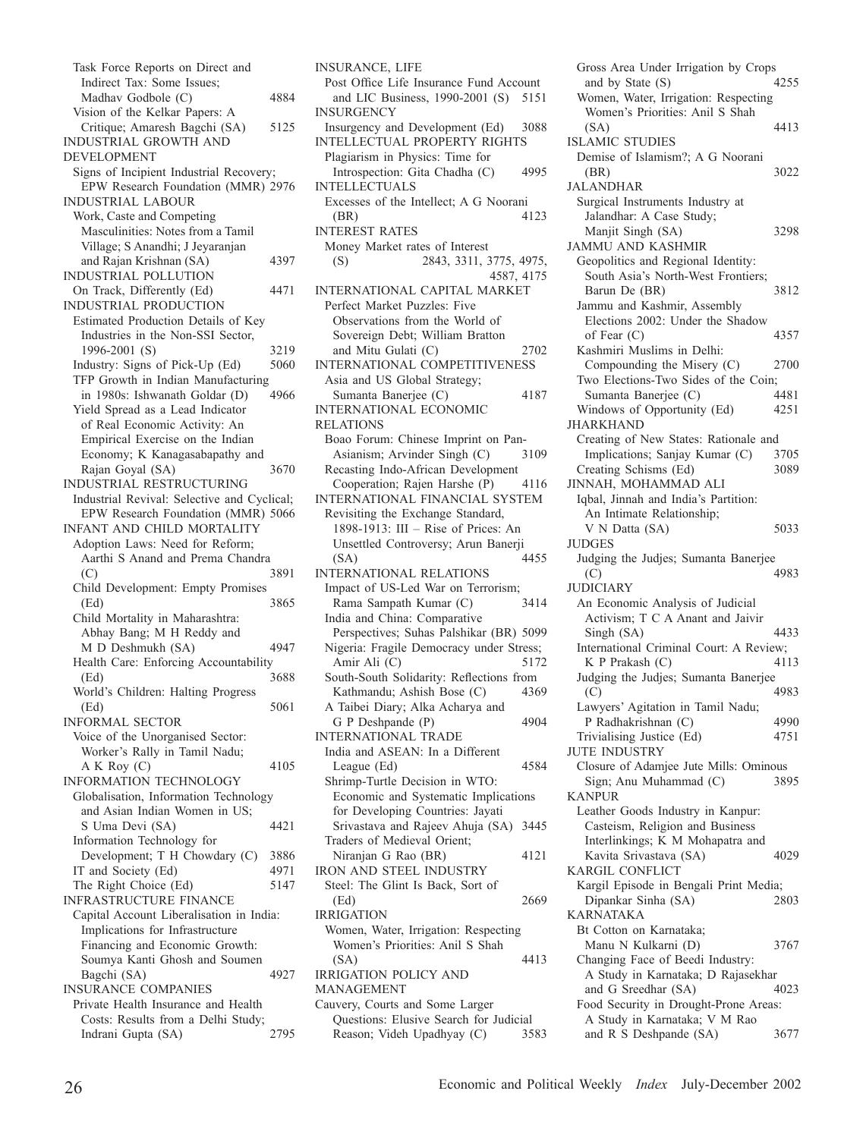| Task Force Reports on Direct and                                      |      |
|-----------------------------------------------------------------------|------|
| Indirect Tax: Some Issues;                                            |      |
| Madhav Godbole (C)                                                    | 4884 |
| Vision of the Kelkar Papers: A                                        |      |
| Critique; Amaresh Bagchi (SA)                                         | 5125 |
| INDUSTRIAL GROWTH AND                                                 |      |
| <b>DEVELOPMENT</b>                                                    |      |
| Signs of Incipient Industrial Recovery;                               |      |
| EPW Research Foundation (MMR) 2976                                    |      |
| <b>INDUSTRIAL LABOUR</b>                                              |      |
| Work, Caste and Competing                                             |      |
| Masculinities: Notes from a Tamil<br>Village; S Anandhi; J Jeyaranjan |      |
|                                                                       |      |
| and Rajan Krishnan (SA)<br><b>INDUSTRIAL POLLUTION</b>                | 4397 |
| On Track, Differently (Ed)                                            | 4471 |
| INDUSTRIAL PRODUCTION                                                 |      |
| Estimated Production Details of Key                                   |      |
| Industries in the Non-SSI Sector,                                     |      |
| 1996-2001 (S)                                                         | 3219 |
| Industry: Signs of Pick-Up (Ed)                                       | 5060 |
| TFP Growth in Indian Manufacturing                                    |      |
| in 1980s: Ishwanath Goldar (D)                                        | 4966 |
| Yield Spread as a Lead Indicator                                      |      |
| of Real Economic Activity: An                                         |      |
| Empirical Exercise on the Indian                                      |      |
| Economy; K Kanagasabapathy and                                        |      |
| Rajan Goyal (SA)                                                      | 3670 |
| <b>INDUSTRIAL RESTRUCTURING</b>                                       |      |
| Industrial Revival: Selective and Cyclical;                           |      |
| EPW Research Foundation (MMR) 5066                                    |      |
| INFANT AND CHILD MORTALITY                                            |      |
|                                                                       |      |
| Adoption Laws: Need for Reform;                                       |      |
| Aarthi S Anand and Prema Chandra                                      |      |
| (C)                                                                   | 3891 |
| Child Development: Empty Promises                                     |      |
| (Ed)                                                                  | 3865 |
| Child Mortality in Maharashtra:                                       |      |
| Abhay Bang; M H Reddy and                                             |      |
| M D Deshmukh (SA)                                                     | 4947 |
| Health Care: Enforcing Accountability                                 |      |
| (Ed)                                                                  | 3688 |
| World's Children: Halting Progress                                    |      |
| (Ed)                                                                  | 5061 |
| <b>INFORMAL SECTOR</b>                                                |      |
| Voice of the Unorganised Sector:                                      |      |
| Worker's Rally in Tamil Nadu;                                         | 4105 |
| A K Roy (C)<br><b>INFORMATION TECHNOLOGY</b>                          |      |
|                                                                       |      |
| Globalisation, Information Technology                                 |      |
| and Asian Indian Women in US;                                         | 4421 |
| S Uma Devi (SA)<br>Information Technology for                         |      |
| Development; T H Chowdary (C)                                         | 3886 |
| IT and Society (Ed)                                                   | 4971 |
| The Right Choice (Ed)                                                 | 5147 |
| INFRASTRUCTURE FINANCE                                                |      |
| Capital Account Liberalisation in India:                              |      |
| Implications for Infrastructure                                       |      |
| Financing and Economic Growth:                                        |      |
| Soumya Kanti Ghosh and Soumen                                         |      |
| Bagchi (SA)                                                           | 4927 |
| <b>INSURANCE COMPANIES</b>                                            |      |
| Private Health Insurance and Health                                   |      |
| Costs: Results from a Delhi Study;<br>Indrani Gupta (SA)              | 2795 |

INSURANCE, LIFE Post Office Life Insurance Fund Account and LIC Business, 1990-2001 (S) 5151 INSURGENCY Insurgency and Development (Ed) 3088 INTELLECTUAL PROPERTY RIGHTS Plagiarism in Physics: Time for Introspection: Gita Chadha (C) 4995 INTELLECTUALS Excesses of the Intellect; A G Noorani (BR) 4123 INTEREST RATES Money Market rates of Interest (S) 2843, 3311, 3775, 4975, 4587, 4175 INTERNATIONAL CAPITAL MARKET Perfect Market Puzzles: Five Observations from the World of Sovereign Debt; William Bratton and Mitu Gulati (C) 2702 INTERNATIONAL COMPETITIVENESS Asia and US Global Strategy; Sumanta Banerjee (C) 4187 INTERNATIONAL ECONOMIC RELATIONS Boao Forum: Chinese Imprint on Pan-Asianism; Arvinder Singh (C) 3109 Recasting Indo-African Development Cooperation; Rajen Harshe (P) 4116 INTERNATIONAL FINANCIAL SYSTEM Revisiting the Exchange Standard, 1898-1913: III – Rise of Prices: An Unsettled Controversy; Arun Banerji (SA) 4455 INTERNATIONAL RELATIONS Impact of US-Led War on Terrorism; Rama Sampath Kumar (C) 3414 India and China: Comparative Perspectives; Suhas Palshikar (BR) 5099 Nigeria: Fragile Democracy under Stress; Amir Ali (C) 5172 South-South Solidarity: Reflections from Kathmandu; Ashish Bose (C) 4369 A Taibei Diary; Alka Acharya and G P Deshpande (P) 4904 INTERNATIONAL TRADE India and ASEAN: In a Different League (Ed) 4584 Shrimp-Turtle Decision in WTO: Economic and Systematic Implications for Developing Countries: Jayati Srivastava and Rajeev Ahuja (SA) 3445 Traders of Medieval Orient; Niranjan G Rao (BR) 4121 IRON AND STEEL INDUSTRY Steel: The Glint Is Back, Sort of (Ed) 2669 IRRIGATION Women, Water, Irrigation: Respecting Women's Priorities: Anil S Shah (SA) 4413 IRRIGATION POLICY AND MANAGEMENT Cauvery, Courts and Some Larger Questions: Elusive Search for Judicial

Reason; Videh Upadhyay (C) 3583

Gross Area Under Irrigation by Crops<br>and by State (S) 4255 and by State  $(S)$ Women, Water, Irrigation: Respecting Women's Priorities: Anil S Shah (SA) 4413 ISLAMIC STUDIES Demise of Islamism?; A G Noorani (BR) 3022 JALANDHAR Surgical Instruments Industry at Jalandhar: A Case Study; Manjit Singh (SA) 3298 JAMMU AND KASHMIR Geopolitics and Regional Identity: South Asia's North-West Frontiers; Barun De (BR) 3812 Jammu and Kashmir, Assembly Elections 2002: Under the Shadow of Fear (C) 4357 Kashmiri Muslims in Delhi: Compounding the Misery (C) 2700 Two Elections-Two Sides of the Coin; Sumanta Banerjee (C) 4481 Windows of Opportunity (Ed) 4251 JHARKHAND Creating of New States: Rationale and Implications; Sanjay Kumar (C) 3705 Creating Schisms (Ed) 3089 JINNAH, MOHAMMAD ALI Iqbal, Jinnah and India's Partition: An Intimate Relationship; V N Datta (SA) 5033 *IIIDGES* Judging the Judjes; Sumanta Banerjee (C) 4983 **JUDICIARY** An Economic Analysis of Judicial Activism; T C A Anant and Jaivir Singh (SA) 4433 International Criminal Court: A Review; K P Prakash  $(C)$  4113 Judging the Judjes; Sumanta Banerjee (C) 4983 Lawyers' Agitation in Tamil Nadu; P Radhakrishnan (C) 4990<br>
Privialising Justice (Ed) 4751 Trivialising Justice (Ed) 4751 JUTE INDUSTRY Closure of Adamjee Jute Mills: Ominous Sign; Anu Muhammad (C) 3895 KANPUR Leather Goods Industry in Kanpur: Casteism, Religion and Business Interlinkings; K M Mohapatra and Kavita Srivastava (SA) 4029 KARGIL CONFLICT Kargil Episode in Bengali Print Media; Dipankar Sinha (SA) 2803 KARNATAKA Bt Cotton on Karnataka; Manu N Kulkarni (D) 3767 Changing Face of Beedi Industry: A Study in Karnataka; D Rajasekhar and G Sreedhar (SA) 4023 Food Security in Drought-Prone Areas: A Study in Karnataka; V M Rao and R S Deshpande (SA) 3677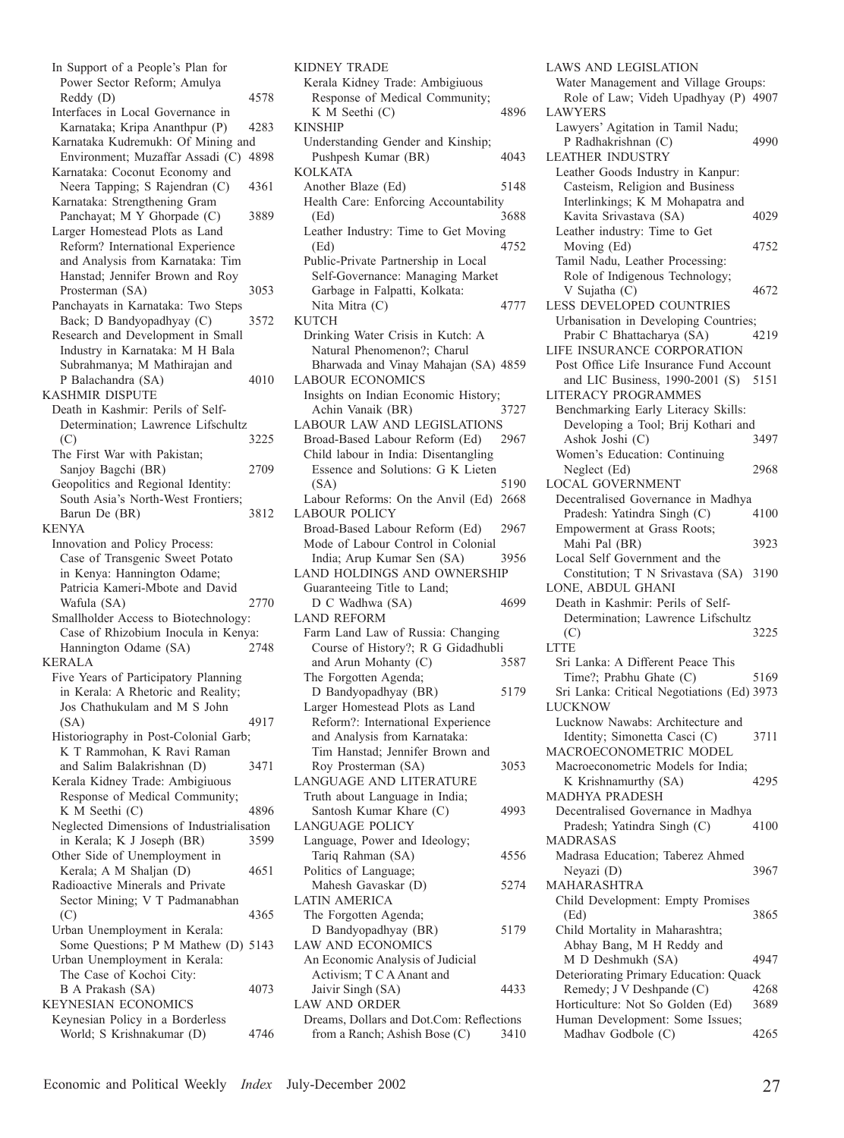In Support of a People's Plan for Power Sector Reform; Amulya Reddy (D) 4578 Interfaces in Local Governance in Karnataka; Kripa Ananthpur (P) 4283 Karnataka Kudremukh: Of Mining and Environment; Muzaffar Assadi (C) 4898 Karnataka: Coconut Economy and Neera Tapping; S Rajendran (C) 4361 Karnataka: Strengthening Gram Panchayat; M Y Ghorpade (C) 3889 Larger Homestead Plots as Land Reform? International Experience and Analysis from Karnataka: Tim Hanstad; Jennifer Brown and Roy Prosterman (SA) 3053 Panchayats in Karnataka: Two Steps Back; D Bandyopadhyay (C) 3572 Research and Development in Small Industry in Karnataka: M H Bala Subrahmanya; M Mathirajan and P Balachandra (SA) 4010 KASHMIR DISPUTE Death in Kashmir: Perils of Self-Determination; Lawrence Lifschultz  $(C)$  3225 The First War with Pakistan; Sanjoy Bagchi (BR) 2709 Geopolitics and Regional Identity: South Asia's North-West Frontiers; Barun De (BR) 3812 KENYA Innovation and Policy Process: Case of Transgenic Sweet Potato in Kenya: Hannington Odame; Patricia Kameri-Mbote and David Wafula (SA) 2770 Smallholder Access to Biotechnology: Case of Rhizobium Inocula in Kenya: Hannington Odame (SA) 2748 KERALA Five Years of Participatory Planning in Kerala: A Rhetoric and Reality; Jos Chathukulam and M S John (SA) 4917 Historiography in Post-Colonial Garb; K T Rammohan, K Ravi Raman and Salim Balakrishnan (D) 3471 Kerala Kidney Trade: Ambigiuous Response of Medical Community; K M Seethi (C) 4896 Neglected Dimensions of Industrialisation in Kerala; K J Joseph (BR) 3599 Other Side of Unemployment in Kerala; A M Shaljan (D) 4651 Radioactive Minerals and Private Sector Mining; V T Padmanabhan (C) 4365 Urban Unemployment in Kerala: Some Questions; P M Mathew (D) 5143 Urban Unemployment in Kerala: The Case of Kochoi City: B A Prakash (SA) 4073 KEYNESIAN ECONOMICS Keynesian Policy in a Borderless World; S Krishnakumar (D) 4746

KIDNEY TRADE Kerala Kidney Trade: Ambigiuous Response of Medical Community; K M Seethi (C) 4896 KINSHIP Understanding Gender and Kinship; Pushpesh Kumar (BR) 4043 KOLKATA Another Blaze (Ed) 5148 Health Care: Enforcing Accountability (Ed) 3688 Leather Industry: Time to Get Moving (Ed) 4752 Public-Private Partnership in Local Self-Governance: Managing Market Garbage in Falpatti, Kolkata: Nita Mitra (C) 4777 **KUTCH** Drinking Water Crisis in Kutch: A Natural Phenomenon?; Charul Bharwada and Vinay Mahajan (SA) 4859 LABOUR ECONOMICS Insights on Indian Economic History;<br>Achin Vanaik (BR) 3727 Achin Vanaik (BR) LABOUR LAW AND LEGISLATIONS Broad-Based Labour Reform (Ed) 2967 Child labour in India: Disentangling Essence and Solutions: G K Lieten (SA) 5190 Labour Reforms: On the Anvil (Ed) 2668 LABOUR POLICY Broad-Based Labour Reform (Ed) 2967 Mode of Labour Control in Colonial India; Arup Kumar Sen (SA) 3956 LAND HOLDINGS AND OWNERSHIP Guaranteeing Title to Land; D C Wadhwa (SA) 4699 LAND REFORM Farm Land Law of Russia: Changing Course of History?; R G Gidadhubli and Arun Mohanty (C) 3587 The Forgotten Agenda; D Bandyopadhyay (BR) 5179 Larger Homestead Plots as Land Reform?: International Experience and Analysis from Karnataka: Tim Hanstad; Jennifer Brown and Roy Prosterman (SA) 3053 LANGUAGE AND LITERATURE Truth about Language in India; Santosh Kumar Khare (C) 4993 LANGUAGE POLICY Language, Power and Ideology; Tariq Rahman (SA) 4556 Politics of Language; Mahesh Gavaskar (D) 5274 LATIN AMERICA The Forgotten Agenda; D Bandyopadhyay (BR) 5179 LAW AND ECONOMICS An Economic Analysis of Judicial Activism; T C A Anant and Jaivir Singh (SA) 4433 LAW AND ORDER Dreams, Dollars and Dot.Com: Reflections from a Ranch; Ashish Bose (C) 3410

LAWS AND LEGISLATION Water Management and Village Groups: Role of Law; Videh Upadhyay (P) 4907 LAWYERS Lawyers' Agitation in Tamil Nadu; P Radhakrishnan (C) 4990 LEATHER INDUSTRY Leather Goods Industry in Kanpur: Casteism, Religion and Business Interlinkings; K M Mohapatra and Kavita Srivastava (SA) 4029 Leather industry: Time to Get Moving (Ed) 4752 Tamil Nadu, Leather Processing: Role of Indigenous Technology; V Sujatha (C) 4672 LESS DEVELOPED COUNTRIES Urbanisation in Developing Countries;<br>Prabir C Bhattacharya (SA) 4219 Prabir C Bhattacharya (SA) LIFE INSURANCE CORPORATION Post Office Life Insurance Fund Account and LIC Business, 1990-2001 (S) 5151 LITERACY PROGRAMMES Benchmarking Early Literacy Skills: Developing a Tool; Brij Kothari and Ashok Joshi (C) 3497 Women's Education: Continuing Neglect (Ed) 2968 LOCAL GOVERNMENT Decentralised Governance in Madhya Pradesh: Yatindra Singh (C) 4100 Empowerment at Grass Roots; Mahi Pal (BR) 3923 Local Self Government and the Constitution; T N Srivastava (SA) 3190 LONE, ABDUL GHANI Death in Kashmir: Perils of Self-Determination; Lawrence Lifschultz  $($ C $)$  3225 LTTE Sri Lanka: A Different Peace This Time?; Prabhu Ghate (C) 5169 Sri Lanka: Critical Negotiations (Ed) 3973 LUCKNOW Lucknow Nawabs: Architecture and Identity; Simonetta Casci (C) 3711 MACROECONOMETRIC MODEL Macroeconometric Models for India; K Krishnamurthy (SA) 4295 MADHYA PRADESH Decentralised Governance in Madhya Pradesh; Yatindra Singh (C) 4100 MADRASAS Madrasa Education; Taberez Ahmed Neyazi (D) 3967 MAHARASHTRA Child Development: Empty Promises (Ed) 3865 Child Mortality in Maharashtra; Abhay Bang, M H Reddy and M D Deshmukh (SA) 4947 Deteriorating Primary Education: Quack Remedy; J V Deshpande (C) 4268 Horticulture: Not So Golden (Ed) 3689 Human Development: Some Issues; Madhav Godbole (C) 4265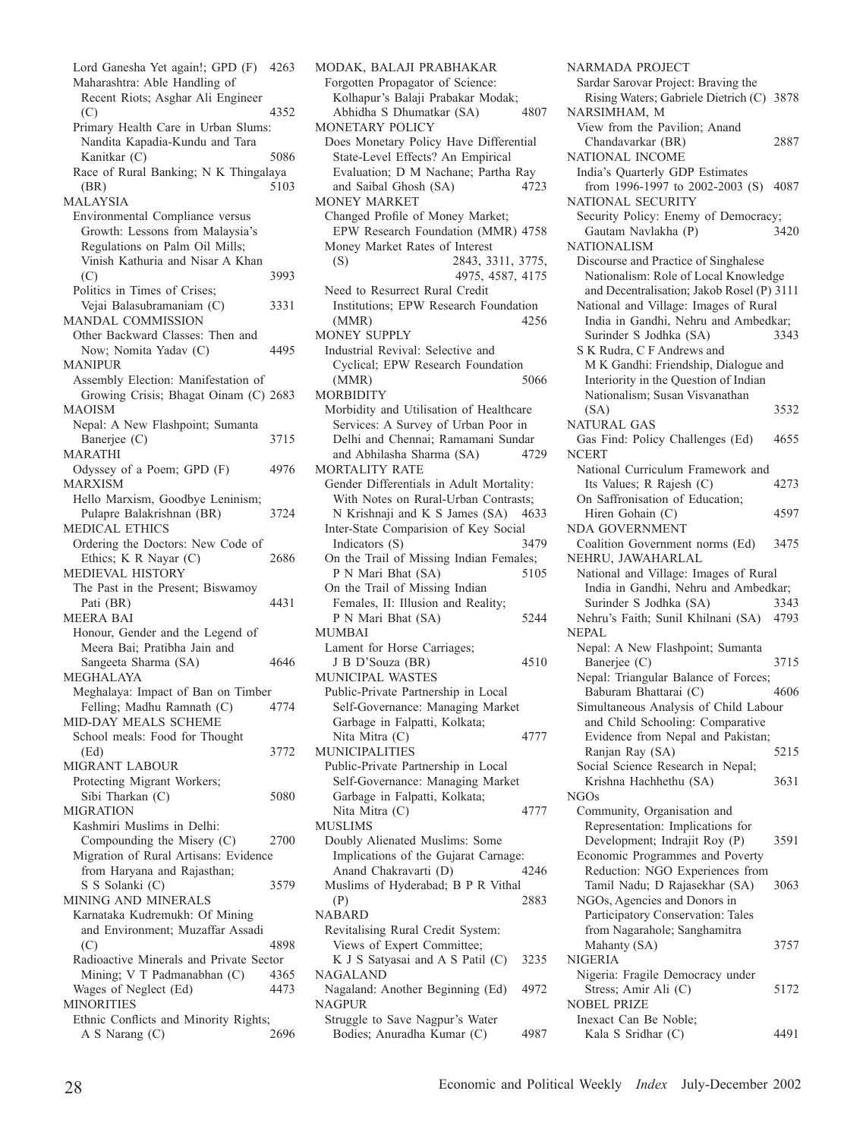Lord Ganesha Yet again!; GPD (F) 4263 Maharashtra: Able Handling of Recent Riots; Asghar Ali Engineer 4352 Primary Health Care in Urban Slums: Nandita Kapadia-Kundu and Tara Kanitkar (C) 5086 Race of Rural Banking; N K Thingalaya<br>(BR) 5103 (BR) 5103 MALAYSIA Environmental Compliance versus Growth: Lessons from Malaysia's Regulations on Palm Oil Mills; Vinish Kathuria and Nisar A Khan  $(C)$  3993 Politics in Times of Crises; Vejai Balasubramaniam (C) 3331 MANDAL COMMISSION Other Backward Classes: Then and Now; Nomita Yadav (C) 4495 MANIPUR Assembly Election: Manifestation of Growing Crisis; Bhagat Oinam (C) 2683 MAOISM Nepal: A New Flashpoint; Sumanta Banerjee (C) 3715 MARATHI Odyssey of a Poem; GPD (F) 4976 MARXISM Hello Marxism, Goodbye Leninism; Pulapre Balakrishnan (BR) 3724 MEDICAL ETHICS Ordering the Doctors: New Code of Ethics; K R Nayar (C) 2686 MEDIEVAL HISTORY The Past in the Present; Biswamoy Pati (BR) 4431 MEERA BAI Honour, Gender and the Legend of Meera Bai; Pratibha Jain and Sangeeta Sharma (SA) 4646 MEGHALAYA Meghalaya: Impact of Ban on Timber Felling; Madhu Ramnath (C) 4774 MID-DAY MEALS SCHEME School meals: Food for Thought (Ed) 3772 MIGRANT LABOUR Protecting Migrant Workers; Sibi Tharkan (C) 5080 **MIGRATION** Kashmiri Muslims in Delhi: Compounding the Misery (C) 2700 Migration of Rural Artisans: Evidence from Haryana and Rajasthan; S S Solanki (C) 3579 MINING AND MINERALS Karnataka Kudremukh: Of Mining and Environment; Muzaffar Assadi (C) 4898 Radioactive Minerals and Private Sector Mining; V T Padmanabhan (C) 4365 Wages of Neglect (Ed) 4473 MINORITIES Ethnic Conflicts and Minority Rights; A S Narang (C) 2696

MODAK, BALAJI PRABHAKAR Forgotten Propagator of Science: Kolhapur's Balaji Prabakar Modak; Abhidha S Dhumatkar (SA) 4807 MONETARY POLICY Does Monetary Policy Have Differential State-Level Effects? An Empirical Evaluation; D M Nachane; Partha Ray<br>and Saibal Ghosh (SA) 4723 and Saibal Ghosh (SA) MONEY MARKET Changed Profile of Money Market; EPW Research Foundation (MMR) 4758 Money Market Rates of Interest (S) 2843, 3311, 3775, 4975, 4587, 4175 Need to Resurrect Rural Credit Institutions; EPW Research Foundation (MMR) 4256 MONEY SUPPLY Industrial Revival: Selective and Cyclical; EPW Research Foundation (MMR) 5066 **MORBIDITY** Morbidity and Utilisation of Healthcare Services: A Survey of Urban Poor in Delhi and Chennai; Ramamani Sundar and Abhilasha Sharma (SA) 4729 MORTALITY RATE Gender Differentials in Adult Mortality: With Notes on Rural-Urban Contrasts; N Krishnaji and K S James (SA) 4633 Inter-State Comparision of Key Social<br>Indicators (S) 3479 Indicators (S) On the Trail of Missing Indian Females; P N Mari Bhat (SA) 5105 On the Trail of Missing Indian Females, II: Illusion and Reality; P N Mari Bhat (SA) 5244 MUMBAI Lament for Horse Carriages; J B D'Souza (BR) 4510 MUNICIPAL WASTES Public-Private Partnership in Local Self-Governance: Managing Market Garbage in Falpatti, Kolkata; Nita Mitra (C) 4777 MUNICIPALITIES Public-Private Partnership in Local Self-Governance: Managing Market Garbage in Falpatti, Kolkata; Nita Mitra (C) 4777 MUSLIMS Doubly Alienated Muslims: Some Implications of the Gujarat Carnage: Anand Chakravarti (D) 4246 Muslims of Hyderabad; B P R Vithal (P) 2883 NABARD Revitalising Rural Credit System: Views of Expert Committee; K J S Satyasai and A S Patil (C) 3235 NAGALAND Nagaland: Another Beginning (Ed) 4972 NAGPUR Struggle to Save Nagpur's Water Bodies; Anuradha Kumar (C) 4987

NARMADA PROJECT Sardar Sarovar Project: Braving the Rising Waters; Gabriele Dietrich (C) 3878 NARSIMHAM, M View from the Pavilion; Anand Chandavarkar (BR) 2887 NATIONAL INCOME India's Quarterly GDP Estimates from 1996-1997 to 2002-2003 (S) 4087 NATIONAL SECURITY Security Policy: Enemy of Democracy; Gautam Navlakha (P) 3420 NATIONALISM Discourse and Practice of Singhalese Nationalism: Role of Local Knowledge and Decentralisation; Jakob Rosel (P) 3111 National and Village: Images of Rural India in Gandhi, Nehru and Ambedkar; Surinder S Jodhka (SA) 3343 S K Rudra, C F Andrews and M K Gandhi: Friendship, Dialogue and Interiority in the Question of Indian Nationalism; Susan Visvanathan (SA) 3532 NATURAL GAS Gas Find: Policy Challenges (Ed) 4655 **NCERT** National Curriculum Framework and Its Values; R Rajesh (C) 4273 On Saffronisation of Education; Hiren Gohain (C) 4597 NDA GOVERNMENT Coalition Government norms (Ed) 3475 NEHRU, JAWAHARLAL National and Village: Images of Rural India in Gandhi, Nehru and Ambedkar; Surinder S Jodhka (SA) 3343 Nehru's Faith; Sunil Khilnani (SA) 4793 NEPAL Nepal: A New Flashpoint; Sumanta Banerjee (C) 3715 Nepal: Triangular Balance of Forces; Baburam Bhattarai (C) 4606 Simultaneous Analysis of Child Labour and Child Schooling: Comparative Evidence from Nepal and Pakistan; Ranjan Ray (SA) 5215 Social Science Research in Nepal; Krishna Hachhethu (SA) 3631 NGOs Community, Organisation and Representation: Implications for Development; Indrajit Roy (P) 3591 Economic Programmes and Poverty Reduction: NGO Experiences from Tamil Nadu; D Rajasekhar (SA) 3063 NGOs, Agencies and Donors in Participatory Conservation: Tales from Nagarahole; Sanghamitra Mahanty (SA) 3757 NIGERIA Nigeria: Fragile Democracy under Stress; Amir Ali (C) 5172 NOBEL PRIZE Inexact Can Be Noble; Kala S Sridhar (C) 4491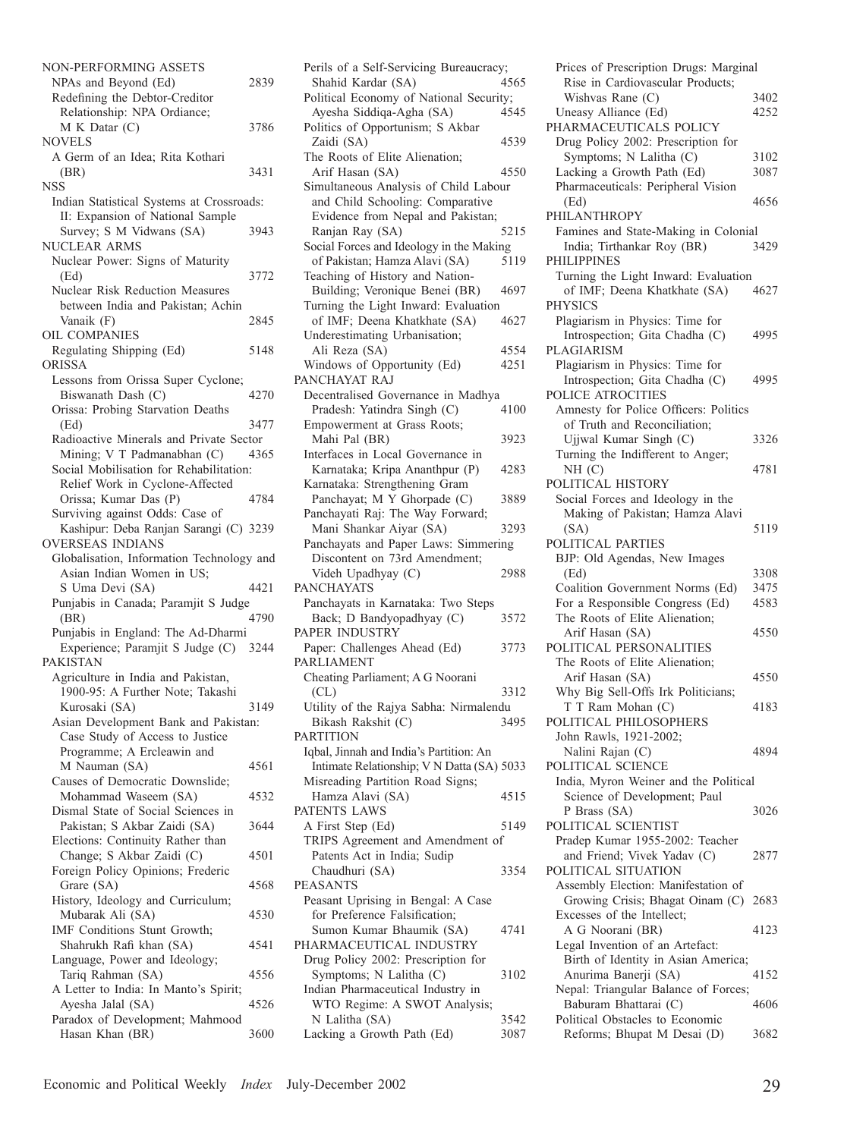| NON-PERFORMING ASSETS                              |      |
|----------------------------------------------------|------|
| NPAs and Beyond (Ed)                               | 2839 |
| Redefining the Debtor-Creditor                     |      |
| Relationship: NPA Ordiance;                        |      |
| M K Datar (C)                                      | 3786 |
| NOVELS                                             |      |
| A Germ of an Idea; Rita Kothari                    |      |
| (BR)                                               | 3431 |
| NSS                                                |      |
| Indian Statistical Systems at Crossroads:          |      |
| II: Expansion of National Sample                   |      |
| Survey; S M Vidwans (SA)                           | 3943 |
| NUCLEAR ARMS                                       |      |
|                                                    |      |
| Nuclear Power: Signs of Maturity                   |      |
| (Ed)                                               | 3772 |
| <b>Nuclear Risk Reduction Measures</b>             |      |
| between India and Pakistan; Achin                  |      |
| Vanaik (F)                                         | 2845 |
| OIL COMPANIES                                      |      |
| Regulating Shipping (Ed)                           | 5148 |
| <b>ORISSA</b>                                      |      |
| Lessons from Orissa Super Cyclone;                 |      |
| Biswanath Dash (C)                                 | 4270 |
| Orissa: Probing Starvation Deaths                  |      |
| (Ed)                                               | 3477 |
| Radioactive Minerals and Private Sector            |      |
| Mining; V T Padmanabhan (C)                        | 4365 |
| Social Mobilisation for Rehabilitation:            |      |
| Relief Work in Cyclone-Affected                    |      |
| Orissa; Kumar Das (P)                              | 4784 |
| Surviving against Odds: Case of                    |      |
| Kashipur: Deba Ranjan Sarangi (C) 3239             |      |
| OVERSEAS INDIANS                                   |      |
| Globalisation, Information Technology and          |      |
| Asian Indian Women in US;                          |      |
| S Uma Devi (SA)                                    | 4421 |
| Punjabis in Canada; Paramjit S Judge               |      |
|                                                    |      |
| (BR)                                               | 4790 |
| Punjabis in England: The Ad-Dharmi                 |      |
| Experience; Paramjit S Judge (C)                   | 3244 |
|                                                    |      |
| PAKISTAN                                           |      |
| Agriculture in India and Pakistan,                 |      |
| 1900-95: A Further Note; Takashi                   |      |
| Kurosaki (SA)                                      | 3149 |
| Asian Development Bank and Pakistan:               |      |
| Case Study of Access to Justice                    |      |
| Programme; A Ercleawin and                         |      |
| M Nauman (SA)                                      | 4561 |
| Causes of Democratic Downslide;                    |      |
| Mohammad Waseem (SA)                               | 4532 |
|                                                    |      |
| Dismal State of Social Sciences in                 | 3644 |
| Pakistan; S Akbar Zaidi (SA)                       |      |
| Elections: Continuity Rather than                  | 4501 |
| Change; S Akbar Zaidi (C)                          |      |
| Foreign Policy Opinions; Frederic                  |      |
| Grare (SA)                                         | 4568 |
| History, Ideology and Curriculum;                  |      |
| Mubarak Ali (SA)                                   | 4530 |
| IMF Conditions Stunt Growth;                       |      |
| Shahrukh Rafi khan (SA)                            | 4541 |
| Language, Power and Ideology;                      |      |
| Tariq Rahman (SA)                                  | 4556 |
| A Letter to India: In Manto's Spirit;              |      |
| Ayesha Jalal (SA)                                  | 4526 |
| Paradox of Development; Mahmood<br>Hasan Khan (BR) | 3600 |

| Perils of a Self-Servicing Bureaucracy;                           |              |
|-------------------------------------------------------------------|--------------|
| Shahid Kardar (SA)<br>Political Economy of National Security;     | 4565         |
| Ayesha Siddiqa-Agha (SA)                                          | 4545         |
| Politics of Opportunism; S Akbar                                  |              |
| Zaidi (SA)                                                        | 4539         |
| The Roots of Elite Alienation;                                    |              |
| Arif Hasan (SA)                                                   | 4550         |
| Simultaneous Analysis of Child Labour                             |              |
| and Child Schooling: Comparative                                  |              |
| Evidence from Nepal and Pakistan;                                 |              |
| Ranjan Ray (SA)                                                   | 5215         |
| Social Forces and Ideology in the Making                          |              |
| of Pakistan; Hamza Alavi (SA)                                     | 5119         |
| Teaching of History and Nation-                                   |              |
| Building; Veronique Benei (BR)                                    | 4697         |
| Turning the Light Inward: Evaluation                              |              |
| of IMF; Deena Khatkhate (SA)                                      | 4627         |
| Underestimating Urbanisation;                                     |              |
| Ali Reza (SA)                                                     | 4554         |
| Windows of Opportunity (Ed)                                       | 4251         |
| PANCHAYAT RAJ                                                     |              |
| Decentralised Governance in Madhya<br>Pradesh: Yatindra Singh (C) | 4100         |
| Empowerment at Grass Roots;                                       |              |
| Mahi Pal (BR)                                                     | 3923         |
| Interfaces in Local Governance in                                 |              |
| Karnataka; Kripa Ananthpur (P)                                    | 4283         |
| Karnataka: Strengthening Gram                                     |              |
| Panchayat; M Y Ghorpade (C)                                       | 3889         |
| Panchayati Raj: The Way Forward;                                  |              |
|                                                                   |              |
|                                                                   | 3293         |
| Mani Shankar Aiyar (SA)                                           |              |
| Panchayats and Paper Laws: Simmering                              |              |
| Discontent on 73rd Amendment;<br>Videh Upadhyay (C)               | 2988         |
| <b>PANCHAYATS</b>                                                 |              |
| Panchayats in Karnataka: Two Steps                                |              |
| Back; D Bandyopadhyay (C)                                         | 3572         |
| PAPER INDUSTRY                                                    |              |
| Paper: Challenges Ahead (Ed)                                      | 3773         |
| <b>PARLIAMENT</b>                                                 |              |
| Cheating Parliament; A G Noorani                                  |              |
| CL)                                                               | 3312         |
| Utility of the Rajya Sabha: Nirmalendu                            |              |
| Bikash Rakshit (C)                                                | 3495         |
| PARTITION                                                         |              |
| Iqbal, Jinnah and India's Partition: An                           |              |
| Intimate Relationship; V N Datta (SA) 5033                        |              |
| Misreading Partition Road Signs;                                  |              |
| Hamza Alavi (SA)                                                  | 4515         |
| PATENTS LAWS                                                      |              |
| A First Step (Ed)                                                 | 5149         |
| TRIPS Agreement and Amendment of                                  |              |
| Patents Act in India; Sudip                                       | 3354         |
| Chaudhuri (SA)<br><b>PEASANTS</b>                                 |              |
| Peasant Uprising in Bengal: A Case                                |              |
| for Preference Falsification;                                     |              |
| Sumon Kumar Bhaumik (SA)                                          | 4741         |
| PHARMACEUTICAL INDUSTRY                                           |              |
| Drug Policy 2002: Prescription for                                |              |
| Symptoms; N Lalitha (C)                                           | 3102         |
| Indian Pharmaceutical Industry in                                 |              |
| WTO Regime: A SWOT Analysis;                                      |              |
| N Lalitha (SA)<br>Lacking a Growth Path (Ed)                      | 3542<br>3087 |

| Prices of Prescription Drugs: Marginal           |              |
|--------------------------------------------------|--------------|
| Rise in Cardiovascular Products;                 |              |
| Wishvas Rane (C)<br>Uneasy Alliance (Ed)         | 3402<br>4252 |
| PHARMACEUTICALS POLICY                           |              |
| Drug Policy 2002: Prescription for               |              |
| Symptoms; N Lalitha (C)                          | 3102         |
| Lacking a Growth Path (Ed)                       | 3087         |
| Pharmaceuticals: Peripheral Vision<br>(Ed)       | 4656         |
| PHILANTHROPY                                     |              |
| Famines and State-Making in Colonial             |              |
| India; Tirthankar Roy (BR)<br>PHILIPPINES        | 3429         |
| Turning the Light Inward: Evaluation             |              |
| of IMF; Deena Khatkhate (SA)<br><b>PHYSICS</b>   | 4627         |
| Plagiarism in Physics: Time for                  |              |
| Introspection; Gita Chadha (C)                   | 4995         |
| PLAGIARISM                                       |              |
| Plagiarism in Physics: Time for                  |              |
| Introspection; Gita Chadha (C)                   | 4995         |
| POLICE ATROCITIES                                |              |
| Amnesty for Police Officers: Politics            |              |
| of Truth and Reconciliation;                     |              |
| Ujjwal Kumar Singh (C)                           | 3326         |
| Turning the Indifferent to Anger;                |              |
| NH (C)                                           | 4781         |
| POLITICAL HISTORY                                |              |
| Social Forces and Ideology in the                |              |
| Making of Pakistan; Hamza Alavi                  |              |
| (SA)                                             | 5119         |
| POLITICAL PARTIES                                |              |
| BJP: Old Agendas, New Images                     |              |
| (Ed)                                             | 3308         |
| Coalition Government Norms (Ed)                  | 3475         |
| For a Responsible Congress (Ed)                  | 4583         |
| The Roots of Elite Alienation;                   |              |
| Arif Hasan (SA)                                  | 4550         |
| POLITICAL PERSONALITIES                          |              |
| The Roots of Elite Alienation;                   |              |
| Arif Hasan (SA)                                  | 4550         |
| Why Big Sell-Offs Irk Politicians;               |              |
| T T Ram Mohan (C)                                | 4183         |
| POLITICAL PHILOSOPHERS<br>John Rawls, 1921-2002; |              |
| Nalini Rajan (C)                                 | 4894         |
| POLITICAL SCIENCE                                |              |
| India, Myron Weiner and the Political            |              |
| Science of Development; Paul                     |              |
| P Brass (SA)                                     | 3026         |
| POLITICAL SCIENTIST                              |              |
| Pradep Kumar 1955-2002: Teacher                  |              |
| and Friend; Vivek Yadav (C)                      | 2877         |
| POLITICAL SITUATION                              |              |
| Assembly Election: Manifestation of              |              |
| Growing Crisis; Bhagat Oinam (C)                 | 2683         |
| Excesses of the Intellect;                       |              |
| A G Noorani (BR)                                 | 4123         |
| Legal Invention of an Artefact:                  |              |
| Birth of Identity in Asian America;              |              |
| Anurima Banerji (SA)                             | 4152         |
| Nepal: Triangular Balance of Forces;             |              |
| Baburam Bhattarai (C)                            | 4606         |
| Political Obstacles to Economic                  |              |
| Reforms; Bhupat M Desai (D)                      | 3682         |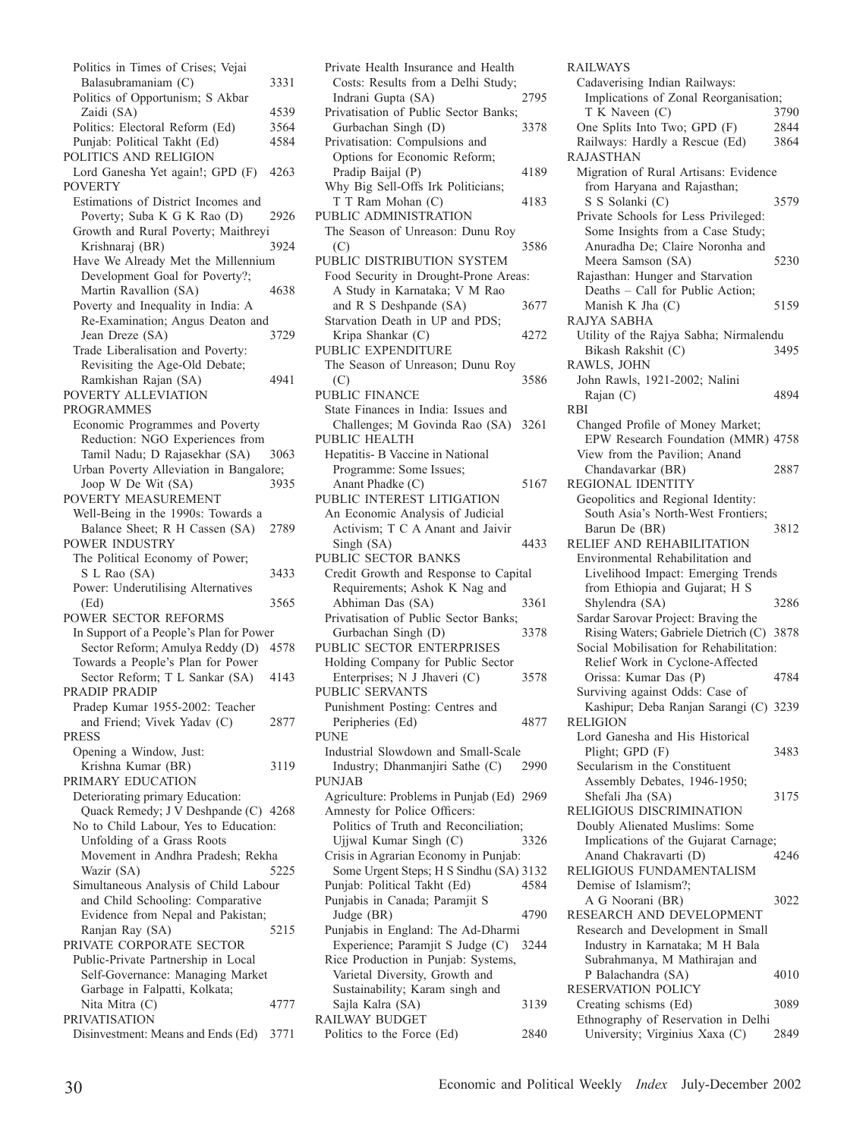Politics in Times of Crises; Vejai Balasubramaniam (C) 3331 Politics of Opportunism; S Akbar Zaidi (SA) 4539<br>olitics: Electoral Reform (Ed) 3564 Politics: Electoral Reform (Ed) 3564<br>Puniab: Political Takht (Ed) 4584 Punjab: Political Takht (Ed) POLITICS AND RELIGION Lord Ganesha Yet again!; GPD (F) 4263 POVERTY Estimations of District Incomes and Poverty; Suba K G K Rao (D) 2926 Growth and Rural Poverty; Maithreyi Krishnaraj (BR) 3924 Have We Already Met the Millennium Development Goal for Poverty?; Martin Ravallion (SA) 4638 Poverty and Inequality in India: A Re-Examination; Angus Deaton and<br>Jean Dreze (SA) 3729 Jean Dreze (SA) Trade Liberalisation and Poverty: Revisiting the Age-Old Debate; Ramkishan Rajan (SA) 4941 POVERTY ALLEVIATION PROGRAMMES Economic Programmes and Poverty Reduction: NGO Experiences from Tamil Nadu; D Rajasekhar (SA) 3063 Urban Poverty Alleviation in Bangalore; Joop W De Wit (SA) 3935 POVERTY MEASUREMENT Well-Being in the 1990s: Towards a Balance Sheet; R H Cassen (SA) 2789 POWER INDUSTRY The Political Economy of Power; S L Rao (SA) 3433 Power: Underutilising Alternatives (Ed) 3565 POWER SECTOR REFORMS In Support of a People's Plan for Power Sector Reform; Amulya Reddy (D) 4578 Towards a People's Plan for Power Sector Reform; T L Sankar (SA) 4143 PRADIP PRADIP Pradep Kumar 1955-2002: Teacher and Friend; Vivek Yadav (C) 2877 PRESS Opening a Window, Just: Krishna Kumar (BR) 3119 PRIMARY EDUCATION Deteriorating primary Education: Quack Remedy; J V Deshpande (C) 4268 No to Child Labour, Yes to Education: Unfolding of a Grass Roots Movement in Andhra Pradesh; Rekha Wazir (SA) 5225 Simultaneous Analysis of Child Labour and Child Schooling: Comparative Evidence from Nepal and Pakistan; Ranjan Ray (SA) 5215 PRIVATE CORPORATE SECTOR Public-Private Partnership in Local Self-Governance: Managing Market Garbage in Falpatti, Kolkata; Nita Mitra (C) 4777 PRIVATISATION Disinvestment: Means and Ends (Ed) 3771

Private Health Insurance and Health Costs: Results from a Delhi Study;<br>Indrani Gunta (SA) 2795 Indrani Gupta (SA) Privatisation of Public Sector Banks;<br>Gurbachan Singh (D) 3378 Gurbachan Singh (D) Privatisation: Compulsions and Options for Economic Reform; Pradip Baijal (P) 4189 Why Big Sell-Offs Irk Politicians; T T Ram Mohan (C) 4183 PUBLIC ADMINISTRATION The Season of Unreason: Dunu Roy (C) 3586 PUBLIC DISTRIBUTION SYSTEM Food Security in Drought-Prone Areas: A Study in Karnataka; V M Rao and R S Deshpande (SA) 3677 Starvation Death in UP and PDS; Kripa Shankar (C) 4272 PUBLIC EXPENDITURE The Season of Unreason; Dunu Roy (C) 3586 PUBLIC FINANCE State Finances in India: Issues and Challenges; M Govinda Rao (SA) 3261 PUBLIC HEALTH Hepatitis- B Vaccine in National Programme: Some Issues; Anant Phadke (C) 5167 PUBLIC INTEREST LITIGATION An Economic Analysis of Judicial Activism; T C A Anant and Jaivir Singh (SA) 4433 PUBLIC SECTOR BANKS Credit Growth and Response to Capital Requirements; Ashok K Nag and Abhiman Das (SA) 3361 Privatisation of Public Sector Banks; Gurbachan Singh (D) 3378 PUBLIC SECTOR ENTERPRISES Holding Company for Public Sector Enterprises; N J Jhaveri (C) 3578 PUBLIC SERVANTS Punishment Posting: Centres and Peripheries (Ed) 4877 PUNE Industrial Slowdown and Small-Scale Industry; Dhanmanjiri Sathe (C) 2990 PUNJAB Agriculture: Problems in Punjab (Ed) 2969 Amnesty for Police Officers: Politics of Truth and Reconciliation; Ujjwal Kumar Singh (C) 3326 Crisis in Agrarian Economy in Punjab: Some Urgent Steps; H S Sindhu (SA) 3132 Punjab: Political Takht (Ed) 4584 Punjabis in Canada; Paramjit S Judge (BR) 4790 Punjabis in England: The Ad-Dharmi Experience; Paramjit S Judge (C) 3244 Rice Production in Punjab: Systems, Varietal Diversity, Growth and Sustainability; Karam singh and Sajla Kalra (SA) 3139 RAILWAY BUDGET Politics to the Force (Ed) 2840 RAILWAYS Cadaverising Indian Railways: Implications of Zonal Reorganisation; T K Naveen (C) 3790<br>
Dne Splits Into Two; GPD (F) 2844 One Splits Into Two; GPD (F) 2844<br>Railways: Hardly a Rescue (Ed) 3864 Railways: Hardly a Rescue (Ed) 3864 RAJASTHAN Migration of Rural Artisans: Evidence from Haryana and Rajasthan; S S Solanki (C) 3579 Private Schools for Less Privileged: Some Insights from a Case Study; Anuradha De; Claire Noronha and Meera Samson (SA) 5230 Rajasthan: Hunger and Starvation Deaths – Call for Public Action; Manish K Jha  $(C)$  5159 RAJYA SABHA Utility of the Rajya Sabha; Nirmalendu Bikash Rakshit (C) 3495 RAWLS, JOHN John Rawls, 1921-2002; Nalini Rajan (C) 4894 RBI Changed Profile of Money Market; EPW Research Foundation (MMR) 4758 View from the Pavilion; Anand Chandavarkar (BR) 2887 REGIONAL IDENTITY Geopolitics and Regional Identity: South Asia's North-West Frontiers; Barun De (BR) 3812 RELIEF AND REHABILITATION Environmental Rehabilitation and Livelihood Impact: Emerging Trends from Ethiopia and Gujarat; H S Shylendra (SA) 3286 Sardar Sarovar Project: Braving the Rising Waters; Gabriele Dietrich (C) 3878 Social Mobilisation for Rehabilitation: Relief Work in Cyclone-Affected Orissa: Kumar Das (P) 4784 Surviving against Odds: Case of Kashipur; Deba Ranjan Sarangi (C) 3239 RELIGION Lord Ganesha and His Historical Plight: GPD (F) 3483 Secularism in the Constituent Assembly Debates, 1946-1950; Shefali Jha (SA) 3175 RELIGIOUS DISCRIMINATION Doubly Alienated Muslims: Some Implications of the Gujarat Carnage; Anand Chakravarti (D) 4246 RELIGIOUS FUNDAMENTALISM Demise of Islamism?; A G Noorani (BR) 3022 RESEARCH AND DEVELOPMENT Research and Development in Small Industry in Karnataka; M H Bala Subrahmanya, M Mathirajan and P Balachandra (SA) 4010 RESERVATION POLICY Creating schisms (Ed) 3089 Ethnography of Reservation in Delhi University; Virginius Xaxa (C) 2849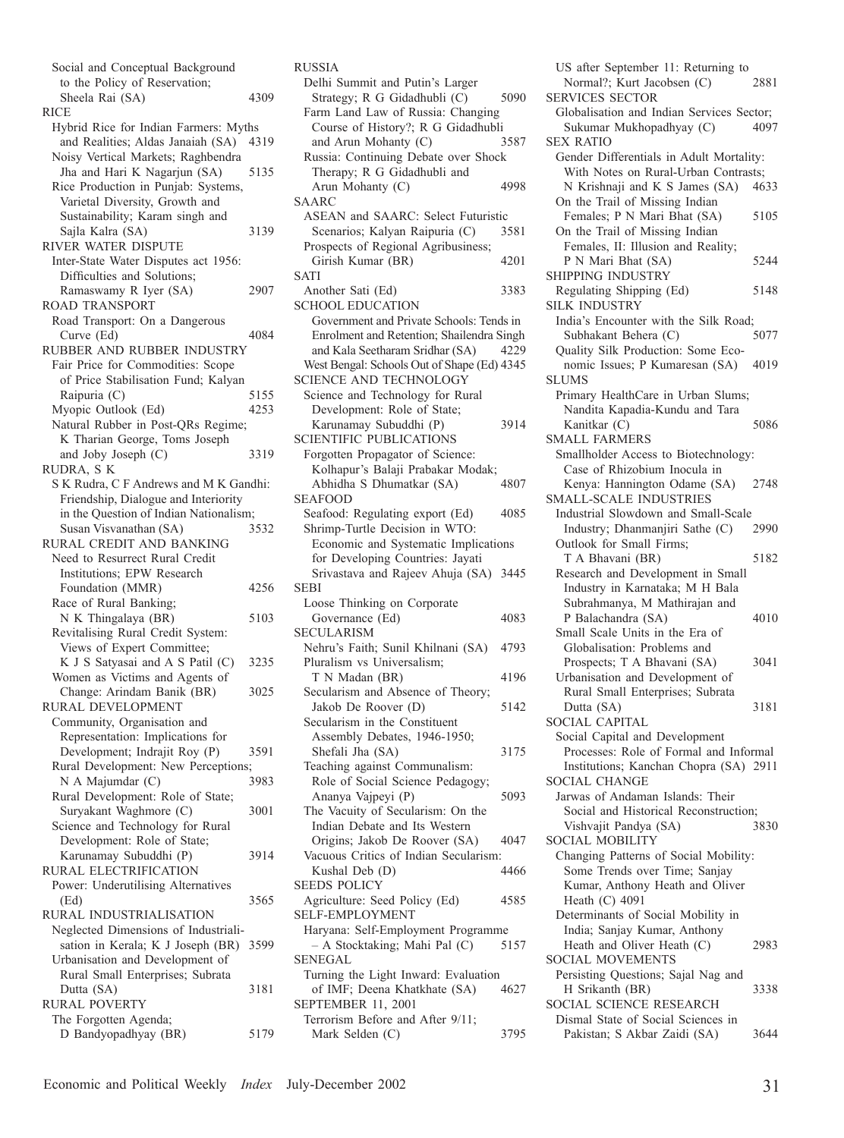Social and Conceptual Background to the Policy of Reservation; Sheela Rai (SA) 4309 **RICE** Hybrid Rice for Indian Farmers: Myths and Realities; Aldas Janaiah (SA) 4319 Noisy Vertical Markets; Raghbendra Jha and Hari K Nagarjun (SA) 5135 Rice Production in Punjab: Systems, Varietal Diversity, Growth and Sustainability; Karam singh and Sajla Kalra (SA) 3139 RIVER WATER DISPUTE Inter-State Water Disputes act 1956: Difficulties and Solutions; Ramaswamy R Iyer (SA) 2907 ROAD TRANSPORT Road Transport: On a Dangerous Curve (Ed) 4084 RUBBER AND RUBBER INDUSTRY Fair Price for Commodities: Scope of Price Stabilisation Fund; Kalyan Raipuria (C) 5155<br>Ayopic Outlook (Ed) 4253 Myopic Outlook (Ed) Natural Rubber in Post-QRs Regime; K Tharian George, Toms Joseph and Joby Joseph (C) 3319 RUDRA, S K S K Rudra, C F Andrews and M K Gandhi: Friendship, Dialogue and Interiority in the Question of Indian Nationalism; Susan Visvanathan (SA) 3532 RURAL CREDIT AND BANKING Need to Resurrect Rural Credit Institutions; EPW Research Foundation (MMR) 4256 Race of Rural Banking; N K Thingalaya (BR) 5103 Revitalising Rural Credit System: Views of Expert Committee; K J S Satyasai and A S Patil (C) 3235 Women as Victims and Agents of Change: Arindam Banik (BR) 3025 RURAL DEVELOPMENT Community, Organisation and Representation: Implications for Development; Indrajit Roy (P) 3591 Rural Development: New Perceptions; N A Majumdar (C) 3983 Rural Development: Role of State; Suryakant Waghmore (C) 3001 Science and Technology for Rural Development: Role of State; Karunamay Subuddhi (P) 3914 RURAL ELECTRIFICATION Power: Underutilising Alternatives (Ed) 3565 RURAL INDUSTRIALISATION Neglected Dimensions of Industrialisation in Kerala; K J Joseph (BR) 3599 Urbanisation and Development of Rural Small Enterprises; Subrata Dutta (SA) 3181 RURAL POVERTY The Forgotten Agenda; D Bandyopadhyay (BR) 5179

RUSSIA Delhi Summit and Putin's Larger Strategy; R G Gidadhubli (C) 5090 Farm Land Law of Russia: Changing Course of History?; R G Gidadhubli<br>and Arun Mohanty (C) 3587 and Arun Mohanty (C) Russia: Continuing Debate over Shock Therapy; R G Gidadhubli and Arun Mohanty (C) 4998 SAARC ASEAN and SAARC: Select Futuristic Scenarios; Kalyan Raipuria (C) 3581 Prospects of Regional Agribusiness; Girish Kumar (BR) 4201 SATI Another Sati (Ed) 3383 SCHOOL EDUCATION Government and Private Schools: Tends in Enrolment and Retention; Shailendra Singh and Kala Seetharam Sridhar (SA) 4229 West Bengal: Schools Out of Shape (Ed) 4345 SCIENCE AND TECHNOLOGY Science and Technology for Rural Development: Role of State; Karunamay Subuddhi (P) 3914 SCIENTIFIC PUBLICATIONS Forgotten Propagator of Science: Kolhapur's Balaji Prabakar Modak; Abhidha S Dhumatkar (SA) SEAFOOD Seafood: Regulating export (Ed) 4085 Shrimp-Turtle Decision in WTO: Economic and Systematic Implications for Developing Countries: Jayati Srivastava and Rajeev Ahuja (SA) 3445 SEBI Loose Thinking on Corporate Governance (Ed) 4083 SECULARISM Nehru's Faith; Sunil Khilnani (SA) 4793 Pluralism vs Universalism; T N Madan (BR) 4196 Secularism and Absence of Theory; Jakob De Roover (D) 5142 Secularism in the Constituent Assembly Debates, 1946-1950; Shefali Jha (SA) 3175 Teaching against Communalism: Role of Social Science Pedagogy; Ananya Vajpeyi (P) 5093 The Vacuity of Secularism: On the Indian Debate and Its Western Origins; Jakob De Roover (SA) 4047 Vacuous Critics of Indian Secularism: Kushal Deb (D) 4466 SEEDS POLICY Agriculture: Seed Policy (Ed) 4585 SELF-EMPLOYMENT Haryana: Self-Employment Programme – A Stocktaking; Mahi Pal (C) 5157 SENEGAL Turning the Light Inward: Evaluation of IMF; Deena Khatkhate (SA) 4627 SEPTEMBER 11, 2001 Terrorism Before and After 9/11; Mark Selden (C) 3795

US after September 11: Returning to<br>Normal?: Kurt Jacobsen (C) 2881 Normal?; Kurt Jacobsen (C) SERVICES SECTOR Globalisation and Indian Services Sector; Sukumar Mukhopadhyay (C) 4097 SEX RATIO Gender Differentials in Adult Mortality: With Notes on Rural-Urban Contrasts;<br>N Krishnaii and K S James (SA) 4633  $N$  Krishnaji and K S James (SA) On the Trail of Missing Indian Females; P N Mari Bhat (SA) 5105 On the Trail of Missing Indian Females, II: Illusion and Reality; P N Mari Bhat (SA) 5244 SHIPPING INDUSTRY Regulating Shipping (Ed) 5148 SILK INDUSTRY India's Encounter with the Silk Road; Subhakant Behera (C) 5077 Quality Silk Production: Some Economic Issues; P Kumaresan (SA) 4019 **SLUMS** Primary HealthCare in Urban Slums; Nandita Kapadia-Kundu and Tara Kanitkar (C) 5086 SMALL FARMERS Smallholder Access to Biotechnology: Case of Rhizobium Inocula in Kenya: Hannington Odame (SA) 2748 SMALL-SCALE INDUSTRIES Industrial Slowdown and Small-Scale Industry; Dhanmanjiri Sathe (C) 2990 Outlook for Small Firms; T A Bhavani (BR) 5182 Research and Development in Small Industry in Karnataka; M H Bala Subrahmanya, M Mathirajan and P Balachandra (SA) 4010 Small Scale Units in the Era of Globalisation: Problems and Prospects; T A Bhavani (SA) 3041 Urbanisation and Development of Rural Small Enterprises; Subrata Dutta (SA) 3181 SOCIAL CAPITAL Social Capital and Development Processes: Role of Formal and Informal Institutions; Kanchan Chopra (SA) 2911 SOCIAL CHANGE Jarwas of Andaman Islands: Their Social and Historical Reconstruction; Vishvajit Pandya (SA) 3830 SOCIAL MOBILITY Changing Patterns of Social Mobility: Some Trends over Time; Sanjay Kumar, Anthony Heath and Oliver Heath (C) 4091 Determinants of Social Mobility in India; Sanjay Kumar, Anthony Heath and Oliver Heath (C) 2983 SOCIAL MOVEMENTS Persisting Questions; Sajal Nag and H Srikanth (BR) 3338 SOCIAL SCIENCE RESEARCH Dismal State of Social Sciences in Pakistan; S Akbar Zaidi (SA) 3644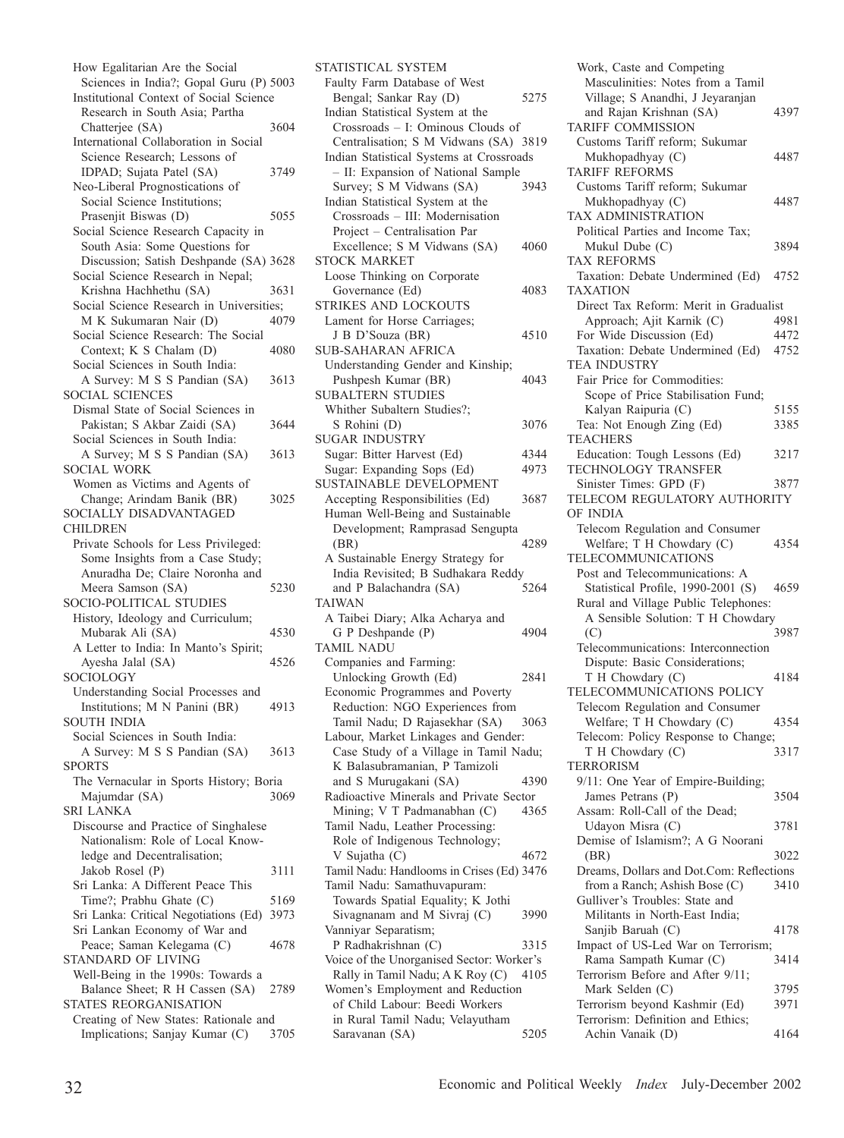How Egalitarian Are the Social Sciences in India?; Gopal Guru (P) 5003 Institutional Context of Social Science Research in South Asia; Partha Chatterjee (SA) 3604 International Collaboration in Social Science Research; Lessons of IDPAD; Sujata Patel (SA) 3749 Neo-Liberal Prognostications of Social Science Institutions; Prasenjit Biswas (D) 5055 Social Science Research Capacity in South Asia: Some Questions for Discussion; Satish Deshpande (SA) 3628 Social Science Research in Nepal; Krishna Hachhethu (SA) 3631 Social Science Research in Universities;<br>M.K. Sukumaran Nair (D) 4079 M K Sukumaran Nair (D) Social Science Research: The Social Context; K S Chalam (D) 4080 Social Sciences in South India: A Survey: M S S Pandian (SA) 3613 SOCIAL SCIENCES Dismal State of Social Sciences in Pakistan; S Akbar Zaidi (SA) 3644 Social Sciences in South India: A Survey; M S S Pandian (SA) 3613 SOCIAL WORK Women as Victims and Agents of Change; Arindam Banik (BR) 3025 SOCIALLY DISADVANTAGED CHILDREN Private Schools for Less Privileged: Some Insights from a Case Study; Anuradha De; Claire Noronha and Meera Samson (SA) 5230 SOCIO-POLITICAL STUDIES History, Ideology and Curriculum; Mubarak Ali (SA) 4530 A Letter to India: In Manto's Spirit; Ayesha Jalal (SA) 4526 SOCIOLOGY Understanding Social Processes and Institutions; M N Panini (BR) 4913 SOUTH INDIA Social Sciences in South India: A Survey: M S S Pandian (SA) 3613 SPORTS The Vernacular in Sports History; Boria Majumdar (SA) 3069 SRI LANKA Discourse and Practice of Singhalese Nationalism: Role of Local Knowledge and Decentralisation; Jakob Rosel (P) 3111 Sri Lanka: A Different Peace This Time?; Prabhu Ghate (C) 5169 Sri Lanka: Critical Negotiations (Ed) 3973 Sri Lankan Economy of War and Peace; Saman Kelegama (C) 4678 STANDARD OF LIVING Well-Being in the 1990s: Towards a Balance Sheet; R H Cassen (SA) 2789 STATES REORGANISATION Creating of New States: Rationale and Implications; Sanjay Kumar (C) 3705

STATISTICAL SYSTEM Faulty Farm Database of West Bengal; Sankar Ray (D) 5275 Indian Statistical System at the Crossroads – I: Ominous Clouds of Centralisation; S M Vidwans (SA) 3819 Indian Statistical Systems at Crossroads – II: Expansion of National Sample Survey; S M Vidwans (SA) Indian Statistical System at the Crossroads – III: Modernisation Project – Centralisation Par Excellence; S M Vidwans (SA) 4060 STOCK MARKET Loose Thinking on Corporate Governance (Ed) 4083 STRIKES AND LOCKOUTS Lament for Horse Carriages; J B D'Souza (BR) 4510 SUB-SAHARAN AFRICA Understanding Gender and Kinship; Pushpesh Kumar (BR) 4043 SUBALTERN STUDIES Whither Subaltern Studies?; S Rohini (D) 3076 SUGAR INDUSTRY Sugar: Bitter Harvest (Ed) 4344 Sugar: Expanding Sops (Ed) 4973 SUSTAINABLE DEVELOPMENT Accepting Responsibilities (Ed) 3687 Human Well-Being and Sustainable Development; Ramprasad Sengupta (BR) 4289 A Sustainable Energy Strategy for India Revisited; B Sudhakara Reddy and P Balachandra (SA) 5264 TAIWAN A Taibei Diary; Alka Acharya and G P Deshpande (P) 4904 TAMIL NADU Companies and Farming: Unlocking Growth (Ed) 2841 Economic Programmes and Poverty Reduction: NGO Experiences from Tamil Nadu; D Rajasekhar (SA) 3063 Labour, Market Linkages and Gender: Case Study of a Village in Tamil Nadu; K Balasubramanian, P Tamizoli and S Murugakani (SA) 4390 Radioactive Minerals and Private Sector Mining; V T Padmanabhan (C) 4365 Tamil Nadu, Leather Processing: Role of Indigenous Technology; V Sujatha (C) 4672 Tamil Nadu: Handlooms in Crises (Ed) 3476 Tamil Nadu: Samathuvapuram: Towards Spatial Equality; K Jothi Sivagnanam and M Sivraj (C) 3990 Vanniyar Separatism; P Radhakrishnan (C) 3315 Voice of the Unorganised Sector: Worker's Rally in Tamil Nadu; A K Roy  $(C)$  4105 Women's Employment and Reduction of Child Labour: Beedi Workers in Rural Tamil Nadu; Velayutham Saravanan (SA) 5205

Work, Caste and Competing Masculinities: Notes from a Tamil Village; S Anandhi, J Jeyaranjan and Rajan Krishnan (SA) 4397 TARIFF COMMISSION Customs Tariff reform; Sukumar Mukhopadhyay (C) 4487 TARIFF REFORMS Customs Tariff reform; Sukumar Mukhopadhyay (C) 4487 TAX ADMINISTRATION Political Parties and Income Tax; Mukul Dube (C) 3894 TAX REFORMS Taxation: Debate Undermined (Ed) 4752 TAXATION Direct Tax Reform: Merit in Gradualist Approach; Ajit Karnik (C) 4981 For Wide Discussion (Ed) 4472<br>Taxation: Debate Undermined (Ed) 4752 Taxation: Debate Undermined (Ed) TEA INDUSTRY Fair Price for Commodities: Scope of Price Stabilisation Fund; Kalyan Raipuria (C) 5155 Tea: Not Enough Zing (Ed) 3385 **TEACHERS** Education: Tough Lessons (Ed) 3217 TECHNOLOGY TRANSFER Sinister Times: GPD (F) 3877 TELECOM REGULATORY AUTHORITY OF INDIA Telecom Regulation and Consumer Welfare; T H Chowdary (C) 4354 TELECOMMUNICATIONS Post and Telecommunications: A Statistical Profile, 1990-2001 (S) 4659 Rural and Village Public Telephones: A Sensible Solution: T H Chowdary (C) 3987 Telecommunications: Interconnection Dispute: Basic Considerations; T H Chowdary (C) 4184 TELECOMMUNICATIONS POLICY Telecom Regulation and Consumer Welfare; T H Chowdary (C) 4354 Telecom: Policy Response to Change; T H Chowdary (C) 3317 TERRORISM 9/11: One Year of Empire-Building; James Petrans (P) 3504 Assam: Roll-Call of the Dead; Udayon Misra (C) 3781 Demise of Islamism?; A G Noorani (BR) 3022 Dreams, Dollars and Dot.Com: Reflections from a Ranch; Ashish Bose (C) 3410 Gulliver's Troubles: State and Militants in North-East India; Sanjib Baruah (C) 4178 Impact of US-Led War on Terrorism; Rama Sampath Kumar (C) 3414 Terrorism Before and After 9/11; Mark Selden (C) 3795 Terrorism beyond Kashmir (Ed) 3971 Terrorism: Definition and Ethics; Achin Vanaik (D) 4164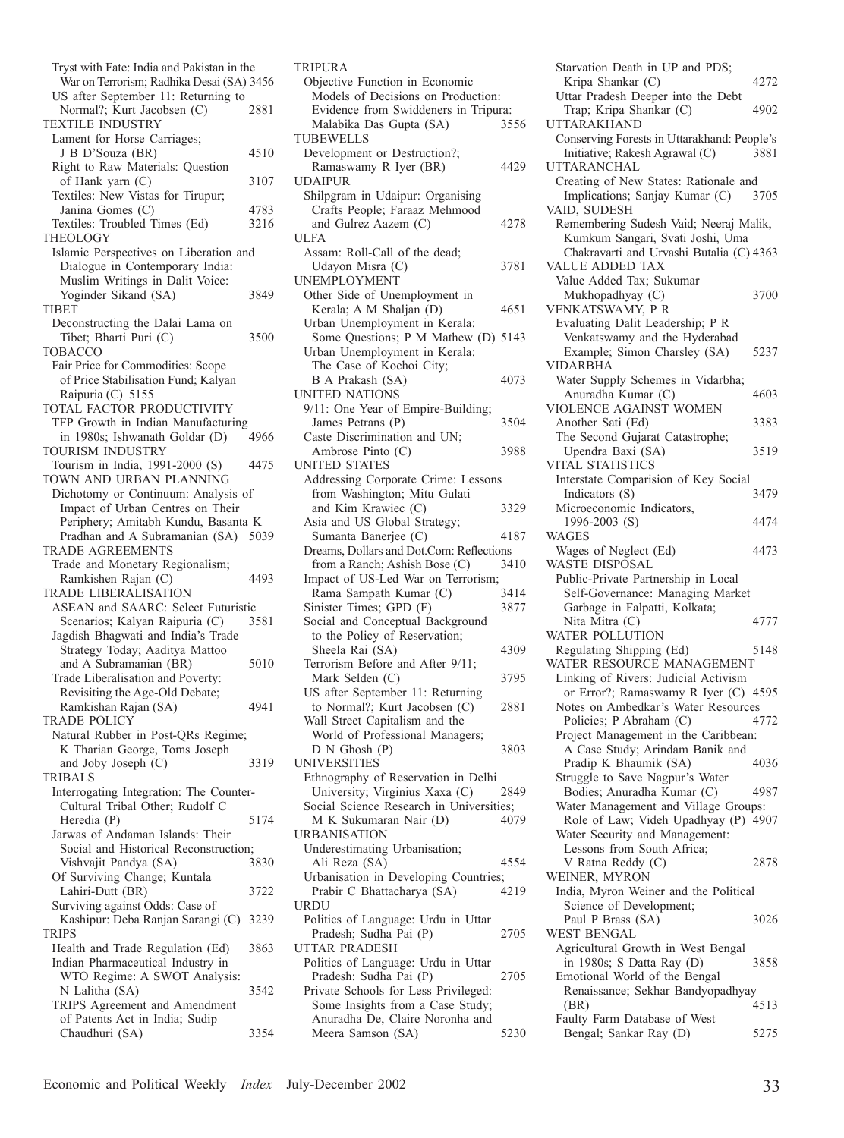Tryst with Fate: India and Pakistan in the War on Terrorism; Radhika Desai (SA) 3456 US after September 11: Returning to<br>Normal?: Kurt Jacobsen (C) 2881 Normal?; Kurt Jacobsen (C) TEXTILE INDUSTRY Lament for Horse Carriages; J B D'Souza (BR) 4510 Right to Raw Materials: Question of Hank yarn (C) 3107 Textiles: New Vistas for Tirupur; Janina Gomes (C) 4783<br>
extiles: Troubled Times (Ed) 3216 Textiles: Troubled Times (Ed) THEOLOGY Islamic Perspectives on Liberation and Dialogue in Contemporary India: Muslim Writings in Dalit Voice: Yoginder Sikand (SA) 3849 TIBET Deconstructing the Dalai Lama on Tibet; Bharti Puri (C) 3500 TOBACCO Fair Price for Commodities: Scope of Price Stabilisation Fund; Kalyan Raipuria (C) 5155 TOTAL FACTOR PRODUCTIVITY TFP Growth in Indian Manufacturing<br>in 1980s: Ishwanath Goldar (D) 4966 in 1980s; Ishwanath Goldar (D) TOURISM INDUSTRY Tourism in India, 1991-2000 (S) 4475 TOWN AND URBAN PLANNING Dichotomy or Continuum: Analysis of Impact of Urban Centres on Their Periphery; Amitabh Kundu, Basanta K Pradhan and A Subramanian (SA) 5039 TRADE AGREEMENTS Trade and Monetary Regionalism; Ramkishen Rajan (C) 4493 TRADE LIBERALISATION ASEAN and SAARC: Select Futuristic Scenarios; Kalyan Raipuria (C) 3581 Jagdish Bhagwati and India's Trade Strategy Today; Aaditya Mattoo and A Subramanian (BR) 5010 Trade Liberalisation and Poverty: Revisiting the Age-Old Debate; Ramkishan Rajan (SA) 4941 TRADE POLICY Natural Rubber in Post-QRs Regime; K Tharian George, Toms Joseph and Joby Joseph (C) 3319 TRIBALS Interrogating Integration: The Counter-Cultural Tribal Other; Rudolf C Heredia (P) 5174 Jarwas of Andaman Islands: Their Social and Historical Reconstruction; Vishvajit Pandya (SA) 3830 Of Surviving Change; Kuntala Lahiri-Dutt (BR) 3722 Surviving against Odds: Case of Kashipur: Deba Ranjan Sarangi (C) 3239 **TRIPS** Health and Trade Regulation (Ed) 3863 Indian Pharmaceutical Industry in WTO Regime: A SWOT Analysis: N Lalitha (SA) 3542 TRIPS Agreement and Amendment of Patents Act in India; Sudip Chaudhuri (SA) 3354

| <b>TRIPURA</b>                           |      |
|------------------------------------------|------|
| Objective Function in Economic           |      |
| Models of Decisions on Production:       |      |
| Evidence from Swiddeners in Tripura:     |      |
| Malabika Das Gupta (SA)                  | 3556 |
|                                          |      |
| TUBEWELLS                                |      |
| Development or Destruction?;             |      |
| Ramaswamy R Iyer (BR)                    | 4429 |
| UDAIPUR                                  |      |
| Shilpgram in Udaipur: Organising         |      |
| Crafts People; Faraaz Mehmood            |      |
| and Gulrez Aazem (C)                     | 4278 |
| <b>ULFA</b>                              |      |
|                                          |      |
| Assam: Roll-Call of the dead;            |      |
| Udayon Misra (C)                         | 3781 |
| UNEMPLOYMENT                             |      |
| Other Side of Unemployment in            |      |
| Kerala; A M Shaljan (D)                  | 4651 |
| Urban Unemployment in Kerala:            |      |
| Some Questions; P M Mathew (D) 5143      |      |
|                                          |      |
| Urban Unemployment in Kerala:            |      |
| The Case of Kochoi City;                 |      |
| B A Prakash (SA)                         | 4073 |
| UNITED NATIONS                           |      |
| 9/11: One Year of Empire-Building;       |      |
| James Petrans (P)                        | 3504 |
| Caste Discrimination and UN;             |      |
| Ambrose Pinto (C)                        | 3988 |
| <b>UNITED STATES</b>                     |      |
|                                          |      |
| Addressing Corporate Crime: Lessons      |      |
| from Washington; Mitu Gulati             |      |
| and Kim Krawiec (C)                      | 3329 |
| Asia and US Global Strategy;             |      |
| Sumanta Banerjee (C)                     | 4187 |
| Dreams, Dollars and Dot.Com: Reflections |      |
| from a Ranch; Ashish Bose (C)            | 3410 |
| Impact of US-Led War on Terrorism;       |      |
| Rama Sampath Kumar (C)                   | 3414 |
| Sinister Times; GPD (F)                  | 3877 |
| Social and Conceptual Background         |      |
| to the Policy of Reservation;            |      |
|                                          |      |
| Sheela Rai (SA)                          | 4309 |
| Terrorism Before and After 9/11;         |      |
| Mark Selden (C)                          | 3795 |
| US after September 11: Returning         |      |
| to Normal?; Kurt Jacobsen (C)            | 2881 |
| Wall Street Capitalism and the           |      |
| World of Professional Managers;          |      |
| D N Ghosh(P)                             | 3803 |
| UNIVERSITIES                             |      |
| Ethnography of Reservation in Delhi      |      |
| University; Virginius Xaxa (C)           | 2849 |
|                                          |      |
| Social Science Research in Universities; |      |
| M K Sukumaran Nair (D)                   | 4079 |
| URBANISATION                             |      |
| Underestimating Urbanisation;            |      |
| Ali Reza (SA)                            | 4554 |
| Urbanisation in Developing Countries;    |      |
| Prabir C Bhattacharya (SA)               | 4219 |
| <b>URDU</b>                              |      |
| Politics of Language: Urdu in Uttar      |      |
|                                          |      |
|                                          |      |
| Pradesh; Sudha Pai (P)                   | 2705 |
| <b>UTTAR PRADESH</b>                     |      |
| Politics of Language: Urdu in Uttar      |      |
| Pradesh: Sudha Pai (P)                   | 2705 |
| Private Schools for Less Privileged:     |      |
| Some Insights from a Case Study;         |      |
| Anuradha De, Claire Noronha and          |      |
| Meera Samson (SA)                        | 5230 |

| Starvation Death in UP and PDS;                                   |      |
|-------------------------------------------------------------------|------|
| Kripa Shankar (C)                                                 | 4272 |
| Uttar Pradesh Deeper into the Debt<br>Trap; Kripa Shankar (C)     | 4902 |
| <b>UTTARAKHAND</b><br>Conserving Forests in Uttarakhand: People's |      |
| Initiative; Rakesh Agrawal (C)<br><b>UTTARANCHAL</b>              | 3881 |
| Creating of New States: Rationale and                             |      |
| Implications; Sanjay Kumar (C)                                    | 3705 |
| VAID, SUDESH                                                      |      |
| Remembering Sudesh Vaid; Neeraj Malik,                            |      |
| Kumkum Sangari, Svati Joshi, Uma                                  |      |
| Chakravarti and Urvashi Butalia (C) 4363                          |      |
| VALUE ADDED TAX                                                   |      |
| Value Added Tax; Sukumar                                          |      |
|                                                                   | 3700 |
| Mukhopadhyay (C)<br>VENKATSWAMY, P R                              |      |
| Evaluating Dalit Leadership; P R                                  |      |
| Venkatswamy and the Hyderabad                                     |      |
| Example; Simon Charsley (SA)                                      | 5237 |
| <b>VIDARBHA</b>                                                   |      |
| Water Supply Schemes in Vidarbha;                                 |      |
| Anuradha Kumar (C)                                                | 4603 |
| <b>VIOLENCE AGAINST WOMEN</b>                                     |      |
| Another Sati (Ed)                                                 | 3383 |
| The Second Gujarat Catastrophe;                                   |      |
| Upendra Baxi (SA)                                                 | 3519 |
| <b>VITAL STATISTICS</b>                                           |      |
| Interstate Comparision of Key Social                              |      |
|                                                                   | 3479 |
| Indicators (S)                                                    |      |
| Microeconomic Indicators,                                         |      |
| 1996-2003 (S)                                                     | 4474 |
| WAGES                                                             |      |
| Wages of Neglect (Ed)                                             | 4473 |
|                                                                   |      |
| WASTE DISPOSAL                                                    |      |
| Public-Private Partnership in Local                               |      |
| Self-Governance: Managing Market                                  |      |
| Garbage in Falpatti, Kolkata;                                     |      |
| Nita Mitra (C)                                                    | 4777 |
| WATER POLLUTION                                                   |      |
| Regulating Shipping (Ed)                                          | 5148 |
| WATER RESOURCE MANAGEMENT                                         |      |
| Linking of Rivers: Judicial Activism                              |      |
| or Error?; Ramaswamy R Iyer (C)                                   | 4595 |
| Notes on Ambedkar's Water Resources                               |      |
| Policies; P Abraham (C)                                           | 4772 |
| Project Management in the Caribbean:                              |      |
| A Case Study; Arindam Banik and                                   |      |
| Pradip K Bhaumik (SA)                                             | 4036 |
| Struggle to Save Nagpur's Water                                   |      |
| Bodies; Anuradha Kumar (C)                                        | 4987 |
| Water Management and Village Groups:                              |      |
| Role of Law; Videh Upadhyay (P)                                   | 4907 |
| Water Security and Management:                                    |      |
| Lessons from South Africa;                                        |      |
| V Ratna Reddy (C)                                                 | 2878 |
| WEINER, MYRON                                                     |      |
| India, Myron Weiner and the Political                             |      |
| Science of Development;                                           |      |
| Paul P Brass (SA)                                                 | 3026 |
| <b>WEST BENGAL</b>                                                |      |
| Agricultural Growth in West Bengal                                |      |
| in 1980s; S Datta Ray (D)                                         | 3858 |
| Emotional World of the Bengal                                     |      |
| Renaissance; Sekhar Bandyopadhyay                                 |      |
| (BR)                                                              | 4513 |
| Faulty Farm Database of West<br>Bengal; Sankar Ray (D)            | 5275 |